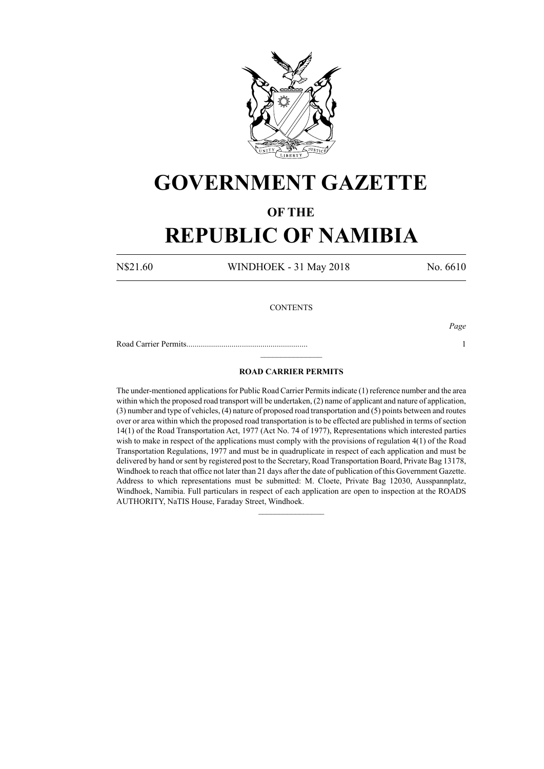

# **GOVERNMENT GAZETTE**

### **OF THE**

## **REPUBLIC OF NAMIBIA**

N\$21.60 WINDHOEK - 31 May 2018 No. 6610

### **CONTENTS**

Road Carrier Permits........................................................... 1

*Page*

### **ROAD CARRIER PERMITS**

 $\frac{1}{2}$ 

The under-mentioned applications for Public Road Carrier Permits indicate (1) reference number and the area within which the proposed road transport will be undertaken, (2) name of applicant and nature of application, (3) number and type of vehicles, (4) nature of proposed road transportation and (5) points between and routes over or area within which the proposed road transportation is to be effected are published in terms of section 14(1) of the Road Transportation Act, 1977 (Act No. 74 of 1977), Representations which interested parties wish to make in respect of the applications must comply with the provisions of regulation 4(1) of the Road Transportation Regulations, 1977 and must be in quadruplicate in respect of each application and must be delivered by hand or sent by registered post to the Secretary, Road Transportation Board, Private Bag 13178, Windhoek to reach that office not later than 21 days after the date of publication of this Government Gazette. Address to which representations must be submitted: M. Cloete, Private Bag 12030, Ausspannplatz, Windhoek, Namibia. Full particulars in respect of each application are open to inspection at the ROADS AUTHORITY, NaTIS House, Faraday Street, Windhoek.

 $\frac{1}{2}$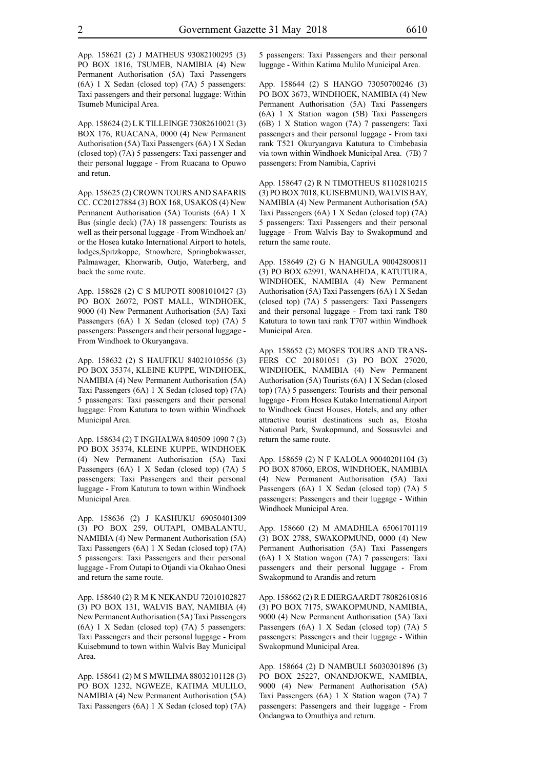App. 158624 (2) L K TILLEINGE 73082610021 (3) BOX 176, RUACANA, 0000 (4) New Permanent Authorisation (5A) Taxi Passengers (6A) 1 X Sedan (closed top) (7A) 5 passengers: Taxi passenger and their personal luggage - From Ruacana to Opuwo and retun.

App. 158625 (2) CROWN TOURS AND SAFARIS CC. CC20127884 (3) BOX 168, USAKOS (4) New Permanent Authorisation (5A) Tourists (6A) 1 X Bus (single deck) (7A) 18 passengers: Tourists as well as their personal luggage - From Windhoek an/ or the Hosea kutako International Airport to hotels, lodges,Spitzkoppe, Stnowhere, Springbokwasser, Palmawager, Khorwarib, Outjo, Waterberg, and back the same route.

App. 158628 (2) C S MUPOTI 80081010427 (3) PO BOX 26072, POST MALL, WINDHOEK, 9000 (4) New Permanent Authorisation (5A) Taxi Passengers (6A) 1 X Sedan (closed top) (7A) 5 passengers: Passengers and their personal luggage - From Windhoek to Okuryangava.

App. 158632 (2) S HAUFIKU 84021010556 (3) PO BOX 35374, KLEINE KUPPE, WINDHOEK, NAMIBIA (4) New Permanent Authorisation (5A) Taxi Passengers (6A) 1 X Sedan (closed top) (7A) 5 passengers: Taxi passengers and their personal luggage: From Katutura to town within Windhoek Municipal Area.

App. 158634 (2) T INGHALWA 840509 1090 7 (3) PO BOX 35374, KLEINE KUPPE, WINDHOEK (4) New Permanent Authorisation (5A) Taxi Passengers (6A) 1 X Sedan (closed top) (7A) 5 passengers: Taxi Passengers and their personal luggage - From Katutura to town within Windhoek Municipal Area.

App. 158636 (2) J KASHUKU 69050401309 (3) PO BOX 259, OUTAPI, OMBALANTU, NAMIBIA (4) New Permanent Authorisation (5A) Taxi Passengers (6A) 1 X Sedan (closed top) (7A) 5 passengers: Taxi Passengers and their personal luggage - From Outapi to Otjandi via Okahao Onesi and return the same route.

App. 158640 (2) R M K NEKANDU 72010102827 (3) PO BOX 131, WALVIS BAY, NAMIBIA (4) New Permanent Authorisation (5A) Taxi Passengers (6A) 1 X Sedan (closed top) (7A) 5 passengers: Taxi Passengers and their personal luggage - From Kuisebmund to town within Walvis Bay Municipal Area.

App. 158641 (2) M S MWILIMA 88032101128 (3) PO BOX 1232, NGWEZE, KATIMA MULILO, NAMIBIA (4) New Permanent Authorisation (5A) Taxi Passengers (6A) 1 X Sedan (closed top) (7A) 5 passengers: Taxi Passengers and their personal luggage - Within Katima Mulilo Municipal Area.

App. 158644 (2) S HANGO 73050700246 (3) PO BOX 3673, WINDHOEK, NAMIBIA (4) New Permanent Authorisation (5A) Taxi Passengers (6A) 1 X Station wagon (5B) Taxi Passengers (6B) 1 X Station wagon (7A) 7 passengers: Taxi passengers and their personal luggage - From taxi rank T521 Okuryangava Katutura to Cimbebasia via town within Windhoek Municipal Area. (7B) 7 passengers: From Namibia, Caprivi

App. 158647 (2) R N TIMOTHEUS 81102810215 (3) PO BOX 7018, KUISEBMUND, WALVIS BAY, NAMIBIA (4) New Permanent Authorisation (5A) Taxi Passengers (6A) 1 X Sedan (closed top) (7A) 5 passengers: Taxi Passengers and their personal luggage - From Walvis Bay to Swakopmund and return the same route.

App. 158649 (2) G N HANGULA 90042800811 (3) PO BOX 62991, WANAHEDA, KATUTURA, WINDHOEK, NAMIBIA (4) New Permanent Authorisation (5A) Taxi Passengers (6A) 1 X Sedan (closed top) (7A) 5 passengers: Taxi Passengers and their personal luggage - From taxi rank T80 Katutura to town taxi rank T707 within Windhoek Municipal Area.

App. 158652 (2) MOSES TOURS AND TRANS-FERS CC 201801051 (3) PO BOX 27020, WINDHOEK, NAMIBIA (4) New Permanent Authorisation (5A) Tourists (6A) 1 X Sedan (closed top) (7A) 5 passengers: Tourists and their personal luggage - From Hosea Kutako International Airport to Windhoek Guest Houses, Hotels, and any other attractive tourist destinations such as, Etosha National Park, Swakopmund, and Sossusvlei and return the same route.

App. 158659 (2) N F KALOLA 90040201104 (3) PO BOX 87060, EROS, WINDHOEK, NAMIBIA (4) New Permanent Authorisation (5A) Taxi Passengers (6A) 1 X Sedan (closed top) (7A) 5 passengers: Passengers and their luggage - Within Windhoek Municipal Area.

App. 158660 (2) M AMADHILA 65061701119 (3) BOX 2788, SWAKOPMUND, 0000 (4) New Permanent Authorisation (5A) Taxi Passengers (6A) 1 X Station wagon (7A) 7 passengers: Taxi passengers and their personal luggage - From Swakopmund to Arandis and return

App. 158662 (2) R E DIERGAARDT 78082610816 (3) PO BOX 7175, SWAKOPMUND, NAMIBIA, 9000 (4) New Permanent Authorisation (5A) Taxi Passengers (6A) 1 X Sedan (closed top) (7A) 5 passengers: Passengers and their luggage - Within Swakopmund Municipal Area.

App. 158664 (2) D NAMBULI 56030301896 (3) PO BOX 25227, ONANDJOKWE, NAMIBIA, 9000 (4) New Permanent Authorisation (5A) Taxi Passengers (6A) 1 X Station wagon (7A) 7 passengers: Passengers and their luggage - From Ondangwa to Omuthiya and return.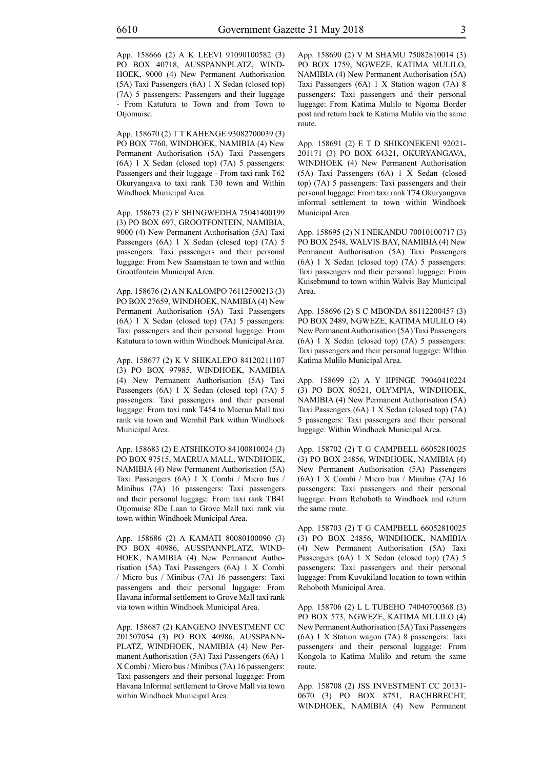App. 158666 (2) A K LEEVI 91090100582 (3) PO BOX 40718, AUSSPANNPLATZ, WIND-HOEK, 9000 (4) New Permanent Authorisation (5A) Taxi Passengers (6A) 1 X Sedan (closed top) (7A) 5 passengers: Passengers and their luggage - From Katutura to Town and from Town to Otjomuise.

App. 158670 (2) T T KAHENGE 93082700039 (3) PO BOX 7760, WINDHOEK, NAMIBIA (4) New Permanent Authorisation (5A) Taxi Passengers (6A) 1 X Sedan (closed top) (7A) 5 passengers: Passengers and their luggage - From taxi rank T62 Okuryangava to taxi rank T30 town and Within Windhoek Municipal Area.

App. 158673 (2) F SHINGWEDHA 75041400199 (3) PO BOX 697, GROOTFONTEIN, NAMIBIA, 9000 (4) New Permanent Authorisation (5A) Taxi Passengers (6A) 1 X Sedan (closed top) (7A) 5 passengers: Taxi passengers and their personal luggage: From New Saamstaan to town and within Grootfontein Municipal Area.

App. 158676 (2) A N KALOMPO 76112500213 (3) PO BOX 27659, WINDHOEK, NAMIBIA (4) New Permanent Authorisation (5A) Taxi Passengers (6A) 1 X Sedan (closed top) (7A) 5 passengers: Taxi passengers and their personal luggage: From Katutura to town within Windhoek Municipal Area.

App. 158677 (2) K V SHIKALEPO 84120211107 (3) PO BOX 97985, WINDHOEK, NAMIBIA (4) New Permanent Authorisation (5A) Taxi Passengers (6A) 1 X Sedan (closed top) (7A) 5 passengers: Taxi passengers and their personal luggage: From taxi rank T454 to Maerua Mall taxi rank via town and Wernhil Park within Windhoek Municipal Area.

App. 158683 (2) E ATSHIKOTO 84100810024 (3) PO BOX 97515, MAERUA MALL, WINDHOEK, NAMIBIA (4) New Permanent Authorisation (5A) Taxi Passengers (6A) 1 X Combi / Micro bus / Minibus (7A) 16 passengers: Taxi passengers and their personal luggage: From taxi rank TB41 Otjomuise 8De Laan to Grove Mall taxi rank via town within Windhoek Municipal Area.

App. 158686 (2) A KAMATI 80080100090 (3) PO BOX 40986, AUSSPANNPLATZ, WIND-HOEK, NAMIBIA (4) New Permanent Authorisation (5A) Taxi Passengers (6A) 1 X Combi / Micro bus / Minibus (7A) 16 passengers: Taxi passengers and their personal luggage: From Havana informal settlement to Grove Mall taxi rank via town within Windhoek Municipal Area.

App. 158687 (2) KANGENO INVESTMENT CC 201507054 (3) PO BOX 40986, AUSSPANN-PLATZ, WINDHOEK, NAMIBIA (4) New Permanent Authorisation (5A) Taxi Passengers (6A) 1 X Combi / Micro bus / Minibus (7A) 16 passengers: Taxi passengers and their personal luggage: From Havana Informal settlement to Grove Mall via town within Windhoek Municipal Area.

App. 158690 (2) V M SHAMU 75082810014 (3) PO BOX 1759, NGWEZE, KATIMA MULILO, NAMIBIA (4) New Permanent Authorisation (5A) Taxi Passengers (6A) 1 X Station wagon (7A) 8 passengers: Taxi passengers and their personal luggage: From Katima Mulilo to Ngoma Border post and return back to Katima Mulilo via the same route.

App. 158691 (2) E T D SHIKONEKENI 92021- 201171 (3) PO BOX 64321, OKURYANGAVA, WINDHOEK (4) New Permanent Authorisation (5A) Taxi Passengers (6A) 1 X Sedan (closed top) (7A) 5 passengers: Taxi passengers and their personal luggage: From taxi rank T74 Okuryangava informal settlement to town within Windhoek Municipal Area.

App. 158695 (2) N I NEKANDU 70010100717 (3) PO BOX 2548, WALVIS BAY, NAMIBIA (4) New Permanent Authorisation (5A) Taxi Passengers (6A) 1 X Sedan (closed top) (7A) 5 passengers: Taxi passengers and their personal luggage: From Kuisebmund to town within Walvis Bay Municipal Area.

App. 158696 (2) S C MBONDA 86112200457 (3) PO BOX 2489, NGWEZE, KATIMA MULILO (4) New Permanent Authorisation (5A) Taxi Passengers (6A) 1 X Sedan (closed top) (7A) 5 passengers: Taxi passengers and their personal luggage: WIthin Katima Mulilo Municipal Area.

App. 158699 (2) A Y IIPINGE 79040410224 (3) PO BOX 80521, OLYMPIA, WINDHOEK, NAMIBIA (4) New Permanent Authorisation (5A) Taxi Passengers (6A) 1 X Sedan (closed top) (7A) 5 passengers: Taxi passengers and their personal luggage: Within Windhoek Municipal Area.

App. 158702 (2) T G CAMPBELL 66052810025 (3) PO BOX 24856, WINDHOEK, NAMIBIA (4) New Permanent Authorisation (5A) Passengers (6A) 1 X Combi / Micro bus / Minibus (7A) 16 passengers: Taxi passengers and their personal luggage: From Rehoboth to Windhoek and return the same route.

App. 158703 (2) T G CAMPBELL 66052810025 (3) PO BOX 24856, WINDHOEK, NAMIBIA (4) New Permanent Authorisation (5A) Taxi Passengers (6A) 1 X Sedan (closed top) (7A) 5 passengers: Taxi passengers and their personal luggage: From Kuvukiland location to town within Rehoboth Municipal Area.

App. 158706 (2) L L TUBEHO 74040700368 (3) PO BOX 573, NGWEZE, KATIMA MULILO (4) New Permanent Authorisation (5A) Taxi Passengers (6A) 1 X Station wagon (7A) 8 passengers: Taxi passengers and their personal luggage: From Kongola to Katima Mulilo and return the same route.

App. 158708 (2) JSS INVESTMENT CC 20131- 0670 (3) PO BOX 8751, BACHBRECHT, WINDHOEK, NAMIBIA (4) New Permanent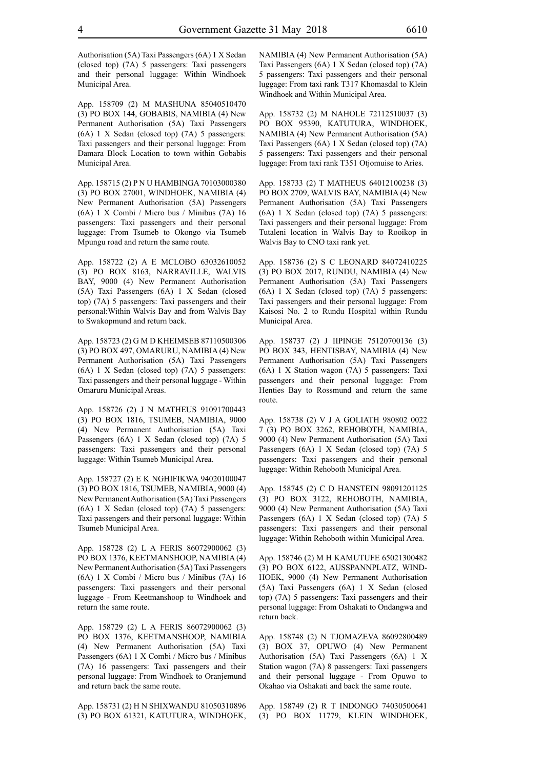Authorisation (5A) Taxi Passengers (6A) 1 X Sedan (closed top) (7A) 5 passengers: Taxi passengers and their personal luggage: Within Windhoek Municipal Area.

App. 158709 (2) M MASHUNA 85040510470 (3) PO BOX 144, GOBABIS, NAMIBIA (4) New Permanent Authorisation (5A) Taxi Passengers (6A) 1 X Sedan (closed top) (7A) 5 passengers: Taxi passengers and their personal luggage: From Damara Block Location to town within Gobabis Municipal Area.

App. 158715 (2) P N U HAMBINGA 70103000380 (3) PO BOX 27001, WINDHOEK, NAMIBIA (4) New Permanent Authorisation (5A) Passengers (6A) 1 X Combi / Micro bus / Minibus (7A) 16 passengers: Taxi passengers and their personal luggage: From Tsumeb to Okongo via Tsumeb Mpungu road and return the same route.

App. 158722 (2) A E MCLOBO 63032610052 (3) PO BOX 8163, NARRAVILLE, WALVIS BAY, 9000 (4) New Permanent Authorisation (5A) Taxi Passengers (6A) 1 X Sedan (closed top) (7A) 5 passengers: Taxi passengers and their personal:Within Walvis Bay and from Walvis Bay to Swakopmund and return back.

App. 158723 (2) G M D KHEIMSEB 87110500306 (3) PO BOX 497, OMARURU, NAMIBIA (4) New Permanent Authorisation (5A) Taxi Passengers (6A) 1 X Sedan (closed top) (7A) 5 passengers: Taxi passengers and their personal luggage - Within Omaruru Municipal Areas.

App. 158726 (2) J N MATHEUS 91091700443 (3) PO BOX 1816, TSUMEB, NAMIBIA, 9000 (4) New Permanent Authorisation (5A) Taxi Passengers (6A) 1 X Sedan (closed top) (7A) 5 passengers: Taxi passengers and their personal luggage: Within Tsumeb Municipal Area.

App. 158727 (2) E K NGHIFIKWA 94020100047 (3) PO BOX 1816, TSUMEB, NAMIBIA, 9000 (4) New Permanent Authorisation (5A) Taxi Passengers (6A) 1 X Sedan (closed top) (7A) 5 passengers: Taxi passengers and their personal luggage: Within Tsumeb Municipal Area.

App. 158728 (2) L A FERIS 86072900062 (3) PO BOX 1376, KEETMANSHOOP, NAMIBIA (4) New Permanent Authorisation (5A) Taxi Passengers (6A) 1 X Combi / Micro bus / Minibus (7A) 16 passengers: Taxi passengers and their personal luggage - From Keetmanshoop to Windhoek and return the same route.

App. 158729 (2) L A FERIS 86072900062 (3) PO BOX 1376, KEETMANSHOOP, NAMIBIA (4) New Permanent Authorisation (5A) Taxi Passengers (6A) 1 X Combi / Micro bus / Minibus (7A) 16 passengers: Taxi passengers and their personal luggage: From Windhoek to Oranjemund and return back the same route.

App. 158731 (2) H N SHIXWANDU 81050310896 (3) PO BOX 61321, KATUTURA, WINDHOEK, NAMIBIA (4) New Permanent Authorisation (5A) Taxi Passengers (6A) 1 X Sedan (closed top) (7A) 5 passengers: Taxi passengers and their personal luggage: From taxi rank T317 Khomasdal to Klein Windhoek and Within Municipal Area.

App. 158732 (2) M NAHOLE 72112510037 (3) PO BOX 95390, KATUTURA, WINDHOEK, NAMIBIA (4) New Permanent Authorisation (5A) Taxi Passengers (6A) 1 X Sedan (closed top) (7A) 5 passengers: Taxi passengers and their personal luggage: From taxi rank T351 Otjomuise to Aries.

App. 158733 (2) T MATHEUS 64012100238 (3) PO BOX 2709, WALVIS BAY, NAMIBIA (4) New Permanent Authorisation (5A) Taxi Passengers (6A) 1 X Sedan (closed top) (7A) 5 passengers: Taxi passengers and their personal luggage: From Tutaleni location in Walvis Bay to Rooikop in Walvis Bay to CNO taxi rank yet.

App. 158736 (2) S C LEONARD 84072410225 (3) PO BOX 2017, RUNDU, NAMIBIA (4) New Permanent Authorisation (5A) Taxi Passengers (6A) 1 X Sedan (closed top) (7A) 5 passengers: Taxi passengers and their personal luggage: From Kaisosi No. 2 to Rundu Hospital within Rundu Municipal Area.

App. 158737 (2) J IIPINGE 75120700136 (3) PO BOX 343, HENTISBAY, NAMIBIA (4) New Permanent Authorisation (5A) Taxi Passengers (6A) 1 X Station wagon (7A) 5 passengers: Taxi passengers and their personal luggage: From Henties Bay to Rossmund and return the same route.

App. 158738 (2) V J A GOLIATH 980802 0022 7 (3) PO BOX 3262, REHOBOTH, NAMIBIA, 9000 (4) New Permanent Authorisation (5A) Taxi Passengers (6A) 1 X Sedan (closed top) (7A) 5 passengers: Taxi passengers and their personal luggage: Within Rehoboth Municipal Area.

App. 158745 (2) C D HANSTEIN 98091201125 (3) PO BOX 3122, REHOBOTH, NAMIBIA, 9000 (4) New Permanent Authorisation (5A) Taxi Passengers (6A) 1 X Sedan (closed top) (7A) 5 passengers: Taxi passengers and their personal luggage: Within Rehoboth within Municipal Area.

App. 158746 (2) M H KAMUTUFE 65021300482 (3) PO BOX 6122, AUSSPANNPLATZ, WIND-HOEK, 9000 (4) New Permanent Authorisation (5A) Taxi Passengers (6A) 1 X Sedan (closed top) (7A) 5 passengers: Taxi passengers and their personal luggage: From Oshakati to Ondangwa and return back.

App. 158748 (2) N TJOMAZEVA 86092800489 (3) BOX 37, OPUWO (4) New Permanent Authorisation (5A) Taxi Passengers (6A) 1 X Station wagon (7A) 8 passengers: Taxi passengers and their personal luggage - From Opuwo to Okahao via Oshakati and back the same route.

App. 158749 (2) R T INDONGO 74030500641 (3) PO BOX 11779, KLEIN WINDHOEK,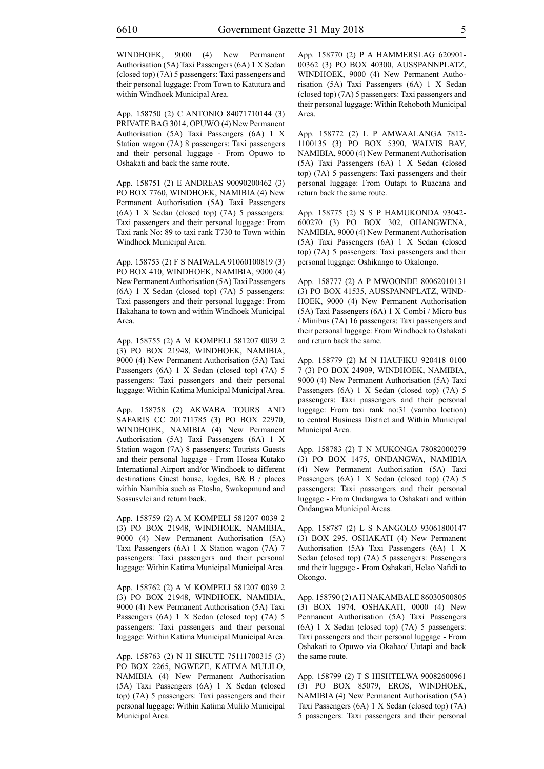WINDHOEK, 9000 (4) New Permanent Authorisation (5A) Taxi Passengers (6A) 1 X Sedan (closed top) (7A) 5 passengers: Taxi passengers and their personal luggage: From Town to Katutura and within Windhoek Municipal Area.

App. 158750 (2) C ANTONIO 84071710144 (3) PRIVATE BAG 3014, OPUWO (4) New Permanent Authorisation (5A) Taxi Passengers (6A) 1 X Station wagon (7A) 8 passengers: Taxi passengers and their personal luggage - From Opuwo to Oshakati and back the same route.

App. 158751 (2) E ANDREAS 90090200462 (3) PO BOX 7760, WINDHOEK, NAMIBIA (4) New Permanent Authorisation (5A) Taxi Passengers (6A) 1 X Sedan (closed top) (7A) 5 passengers: Taxi passengers and their personal luggage: From Taxi rank No: 89 to taxi rank T730 to Town within Windhoek Municipal Area.

App. 158753 (2) F S NAIWALA 91060100819 (3) PO BOX 410, WINDHOEK, NAMIBIA, 9000 (4) New Permanent Authorisation (5A) Taxi Passengers (6A) 1 X Sedan (closed top) (7A) 5 passengers: Taxi passengers and their personal luggage: From Hakahana to town and within Windhoek Municipal Area.

App. 158755 (2) A M KOMPELI 581207 0039 2 (3) PO BOX 21948, WINDHOEK, NAMIBIA, 9000 (4) New Permanent Authorisation (5A) Taxi Passengers (6A) 1 X Sedan (closed top) (7A) 5 passengers: Taxi passengers and their personal luggage: Within Katima Municipal Municipal Area.

App. 158758 (2) AKWABA TOURS AND SAFARIS CC 201711785 (3) PO BOX 22970, WINDHOEK, NAMIBIA (4) New Permanent Authorisation (5A) Taxi Passengers (6A) 1 X Station wagon (7A) 8 passengers: Tourists Guests and their personal luggage - From Hosea Kutako International Airport and/or Windhoek to different destinations Guest house, logdes, B& B / places within Namibia such as Etosha, Swakopmund and Sossusvlei and return back.

App. 158759 (2) A M KOMPELI 581207 0039 2 (3) PO BOX 21948, WINDHOEK, NAMIBIA, 9000 (4) New Permanent Authorisation (5A) Taxi Passengers (6A) 1 X Station wagon (7A) 7 passengers: Taxi passengers and their personal luggage: Within Katima Municipal Municipal Area.

App. 158762 (2) A M KOMPELI 581207 0039 2 (3) PO BOX 21948, WINDHOEK, NAMIBIA, 9000 (4) New Permanent Authorisation (5A) Taxi Passengers (6A) 1 X Sedan (closed top) (7A) 5 passengers: Taxi passengers and their personal luggage: Within Katima Municipal Municipal Area.

App. 158763 (2) N H SIKUTE 75111700315 (3) PO BOX 2265, NGWEZE, KATIMA MULILO, NAMIBIA (4) New Permanent Authorisation (5A) Taxi Passengers (6A) 1 X Sedan (closed top) (7A) 5 passengers: Taxi passengers and their personal luggage: Within Katima Mulilo Municipal Municipal Area.

App. 158770 (2) P A HAMMERSLAG 620901- 00362 (3) PO BOX 40300, AUSSPANNPLATZ, WINDHOEK, 9000 (4) New Permanent Authorisation (5A) Taxi Passengers (6A) 1 X Sedan (closed top) (7A) 5 passengers: Taxi passengers and their personal luggage: Within Rehoboth Municipal Area.

App. 158772 (2) L P AMWAALANGA 7812- 1100135 (3) PO BOX 5390, WALVIS BAY, NAMIBIA, 9000 (4) New Permanent Authorisation (5A) Taxi Passengers (6A) 1 X Sedan (closed top) (7A) 5 passengers: Taxi passengers and their personal luggage: From Outapi to Ruacana and return back the same route.

App. 158775 (2) S S P HAMUKONDA 93042- 600270 (3) PO BOX 302, OHANGWENA, NAMIBIA, 9000 (4) New Permanent Authorisation (5A) Taxi Passengers (6A) 1 X Sedan (closed top) (7A) 5 passengers: Taxi passengers and their personal luggage: Oshikango to Okalongo.

App. 158777 (2) A P MWOONDE 80062010131 (3) PO BOX 41535, AUSSPANNPLATZ, WIND-HOEK, 9000 (4) New Permanent Authorisation (5A) Taxi Passengers (6A) 1 X Combi / Micro bus / Minibus (7A) 16 passengers: Taxi passengers and their personal luggage: From Windhoek to Oshakati and return back the same.

App. 158779 (2) M N HAUFIKU 920418 0100 7 (3) PO BOX 24909, WINDHOEK, NAMIBIA, 9000 (4) New Permanent Authorisation (5A) Taxi Passengers (6A) 1 X Sedan (closed top) (7A) 5 passengers: Taxi passengers and their personal luggage: From taxi rank no:31 (vambo loction) to central Business District and Within Municipal Municipal Area.

App. 158783 (2) T N MUKONGA 78082000279 (3) PO BOX 1475, ONDANGWA, NAMIBIA (4) New Permanent Authorisation (5A) Taxi Passengers (6A) 1 X Sedan (closed top) (7A) 5 passengers: Taxi passengers and their personal luggage - From Ondangwa to Oshakati and within Ondangwa Municipal Areas.

App. 158787 (2) L S NANGOLO 93061800147 (3) BOX 295, OSHAKATI (4) New Permanent Authorisation (5A) Taxi Passengers (6A) 1 X Sedan (closed top) (7A) 5 passengers: Passengers and their luggage - From Oshakati, Helao Nafidi to Okongo.

App. 158790 (2) A H NAKAMBALE 86030500805 (3) BOX 1974, OSHAKATI, 0000 (4) New Permanent Authorisation (5A) Taxi Passengers (6A) 1 X Sedan (closed top) (7A) 5 passengers: Taxi passengers and their personal luggage - From Oshakati to Opuwo via Okahao/ Uutapi and back the same route.

App. 158799 (2) T S HISHTELWA 90082600961 (3) PO BOX 85079, EROS, WINDHOEK, NAMIBIA (4) New Permanent Authorisation (5A) Taxi Passengers (6A) 1 X Sedan (closed top) (7A) 5 passengers: Taxi passengers and their personal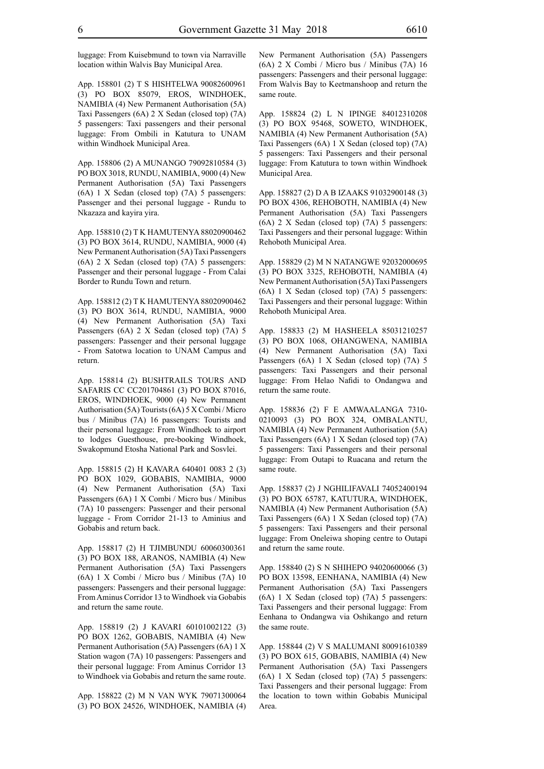luggage: From Kuisebmund to town via Narraville location within Walvis Bay Municipal Area.

App. 158801 (2) T S HISHTELWA 90082600961 (3) PO BOX 85079, EROS, WINDHOEK, NAMIBIA (4) New Permanent Authorisation (5A) Taxi Passengers (6A) 2 X Sedan (closed top) (7A) 5 passengers: Taxi passengers and their personal luggage: From Ombili in Katutura to UNAM within Windhoek Municipal Area.

App. 158806 (2) A MUNANGO 79092810584 (3) PO BOX 3018, RUNDU, NAMIBIA, 9000 (4) New Permanent Authorisation (5A) Taxi Passengers (6A) 1 X Sedan (closed top) (7A) 5 passengers: Passenger and thei personal luggage - Rundu to Nkazaza and kayira yira.

App. 158810 (2) T K HAMUTENYA 88020900462 (3) PO BOX 3614, RUNDU, NAMIBIA, 9000 (4) New Permanent Authorisation (5A) Taxi Passengers (6A) 2 X Sedan (closed top) (7A) 5 passengers: Passenger and their personal luggage - From Calai Border to Rundu Town and return.

App. 158812 (2) T K HAMUTENYA 88020900462 (3) PO BOX 3614, RUNDU, NAMIBIA, 9000 (4) New Permanent Authorisation (5A) Taxi Passengers (6A) 2 X Sedan (closed top) (7A) 5 passengers: Passenger and their personal luggage - From Satotwa location to UNAM Campus and return.

App. 158814 (2) BUSHTRAILS TOURS AND SAFARIS CC CC201704861 (3) PO BOX 87016, EROS, WINDHOEK, 9000 (4) New Permanent Authorisation (5A) Tourists (6A) 5 X Combi / Micro bus / Minibus (7A) 16 passengers: Tourists and their personal luggage: From Windhoek to airport to lodges Guesthouse, pre-booking Windhoek, Swakopmund Etosha National Park and Sosvlei.

App. 158815 (2) H KAVARA 640401 0083 2 (3) PO BOX 1029, GOBABIS, NAMIBIA, 9000 (4) New Permanent Authorisation (5A) Taxi Passengers (6A) 1 X Combi / Micro bus / Minibus (7A) 10 passengers: Passenger and their personal luggage - From Corridor 21-13 to Aminius and Gobabis and return back.

App. 158817 (2) H TJIMBUNDU 60060300361 (3) PO BOX 188, ARANOS, NAMIBIA (4) New Permanent Authorisation (5A) Taxi Passengers (6A) 1 X Combi / Micro bus / Minibus (7A) 10 passengers: Passengers and their personal luggage: From Aminus Corridor 13 to Windhoek via Gobabis and return the same route.

App. 158819 (2) J KAVARI 60101002122 (3) PO BOX 1262, GOBABIS, NAMIBIA (4) New Permanent Authorisation (5A) Passengers (6A) 1 X Station wagon (7A) 10 passengers: Passengers and their personal luggage: From Aminus Corridor 13 to Windhoek via Gobabis and return the same route.

App. 158822 (2) M N VAN WYK 79071300064 (3) PO BOX 24526, WINDHOEK, NAMIBIA (4) New Permanent Authorisation (5A) Passengers (6A) 2 X Combi / Micro bus / Minibus (7A) 16 passengers: Passengers and their personal luggage: From Walvis Bay to Keetmanshoop and return the same route.

App. 158824 (2) L N IPINGE 84012310208 (3) PO BOX 95468, SOWETO, WINDHOEK, NAMIBIA (4) New Permanent Authorisation (5A) Taxi Passengers (6A) 1 X Sedan (closed top) (7A) 5 passengers: Taxi Passengers and their personal luggage: From Katutura to town within Windhoek Municipal Area.

App. 158827 (2) D A B IZAAKS 91032900148 (3) PO BOX 4306, REHOBOTH, NAMIBIA (4) New Permanent Authorisation (5A) Taxi Passengers (6A) 2 X Sedan (closed top) (7A) 5 passengers: Taxi Passengers and their personal luggage: Within Rehoboth Municipal Area.

App. 158829 (2) M N NATANGWE 92032000695 (3) PO BOX 3325, REHOBOTH, NAMIBIA (4) New Permanent Authorisation (5A) Taxi Passengers (6A) 1 X Sedan (closed top) (7A) 5 passengers: Taxi Passengers and their personal luggage: Within Rehoboth Municipal Area.

App. 158833 (2) M HASHEELA 85031210257 (3) PO BOX 1068, OHANGWENA, NAMIBIA (4) New Permanent Authorisation (5A) Taxi Passengers (6A) 1 X Sedan (closed top) (7A) 5 passengers: Taxi Passengers and their personal luggage: From Helao Nafidi to Ondangwa and return the same route.

App. 158836 (2) F E AMWAALANGA 7310- 0210093 (3) PO BOX 324, OMBALANTU, NAMIBIA (4) New Permanent Authorisation (5A) Taxi Passengers (6A) 1 X Sedan (closed top) (7A) 5 passengers: Taxi Passengers and their personal luggage: From Outapi to Ruacana and return the same route.

App. 158837 (2) J NGHILIFAVALI 74052400194 (3) PO BOX 65787, KATUTURA, WINDHOEK, NAMIBIA (4) New Permanent Authorisation (5A) Taxi Passengers (6A) 1 X Sedan (closed top) (7A) 5 passengers: Taxi Passengers and their personal luggage: From Oneleiwa shoping centre to Outapi and return the same route.

App. 158840 (2) S N SHIHEPO 94020600066 (3) PO BOX 13598, EENHANA, NAMIBIA (4) New Permanent Authorisation (5A) Taxi Passengers (6A) 1 X Sedan (closed top) (7A) 5 passengers: Taxi Passengers and their personal luggage: From Eenhana to Ondangwa via Oshikango and return the same route.

App. 158844 (2) V S MALUMANI 80091610389 (3) PO BOX 615, GOBABIS, NAMIBIA (4) New Permanent Authorisation (5A) Taxi Passengers (6A) 1 X Sedan (closed top) (7A) 5 passengers: Taxi Passengers and their personal luggage: From the location to town within Gobabis Municipal Area.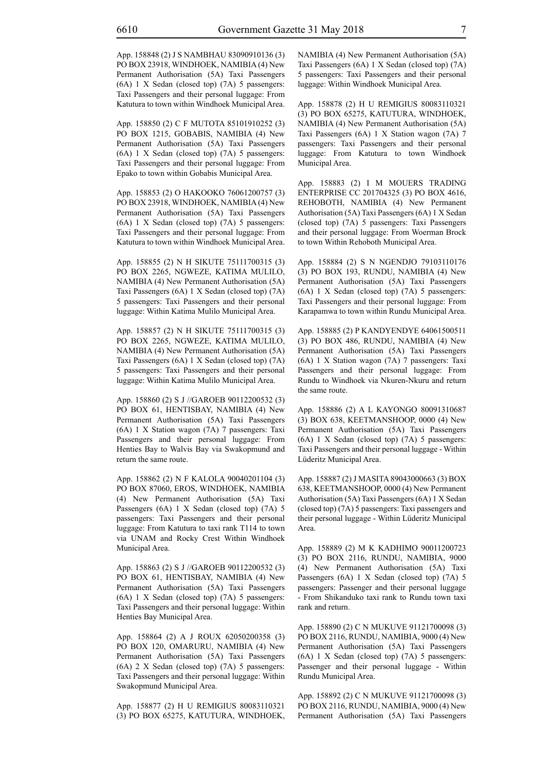App. 158848 (2) J S NAMBHAU 83090910136 (3) PO BOX 23918, WINDHOEK, NAMIBIA (4) New Permanent Authorisation (5A) Taxi Passengers (6A) 1 X Sedan (closed top) (7A) 5 passengers: Taxi Passengers and their personal luggage: From Katutura to town within Windhoek Municipal Area.

App. 158850 (2) C F MUTOTA 85101910252 (3) PO BOX 1215, GOBABIS, NAMIBIA (4) New Permanent Authorisation (5A) Taxi Passengers (6A) 1 X Sedan (closed top) (7A) 5 passengers: Taxi Passengers and their personal luggage: From Epako to town within Gobabis Municipal Area.

App. 158853 (2) O HAKOOKO 76061200757 (3) PO BOX 23918, WINDHOEK, NAMIBIA (4) New Permanent Authorisation (5A) Taxi Passengers (6A) 1 X Sedan (closed top) (7A) 5 passengers: Taxi Passengers and their personal luggage: From Katutura to town within Windhoek Municipal Area.

App. 158855 (2) N H SIKUTE 75111700315 (3) PO BOX 2265, NGWEZE, KATIMA MULILO, NAMIBIA (4) New Permanent Authorisation (5A) Taxi Passengers (6A) 1 X Sedan (closed top) (7A) 5 passengers: Taxi Passengers and their personal luggage: Within Katima Mulilo Municipal Area.

App. 158857 (2) N H SIKUTE 75111700315 (3) PO BOX 2265, NGWEZE, KATIMA MULILO, NAMIBIA (4) New Permanent Authorisation (5A) Taxi Passengers (6A) 1 X Sedan (closed top) (7A) 5 passengers: Taxi Passengers and their personal luggage: Within Katima Mulilo Municipal Area.

App. 158860 (2) S J //GAROEB 90112200532 (3) PO BOX 61, HENTISBAY, NAMIBIA (4) New Permanent Authorisation (5A) Taxi Passengers (6A) 1 X Station wagon (7A) 7 passengers: Taxi Passengers and their personal luggage: From Henties Bay to Walvis Bay via Swakopmund and return the same route.

App. 158862 (2) N F KALOLA 90040201104 (3) PO BOX 87060, EROS, WINDHOEK, NAMIBIA (4) New Permanent Authorisation (5A) Taxi Passengers (6A) 1 X Sedan (closed top) (7A) 5 passengers: Taxi Passengers and their personal luggage: From Katutura to taxi rank T114 to town via UNAM and Rocky Crest Within Windhoek Municipal Area.

App. 158863 (2) S J //GAROEB 90112200532 (3) PO BOX 61, HENTISBAY, NAMIBIA (4) New Permanent Authorisation (5A) Taxi Passengers (6A) 1 X Sedan (closed top) (7A) 5 passengers: Taxi Passengers and their personal luggage: Within Henties Bay Municipal Area.

App. 158864 (2) A J ROUX 62050200358 (3) PO BOX 120, OMARURU, NAMIBIA (4) New Permanent Authorisation (5A) Taxi Passengers (6A) 2 X Sedan (closed top) (7A) 5 passengers: Taxi Passengers and their personal luggage: Within Swakopmund Municipal Area.

App. 158877 (2) H U REMIGIUS 80083110321 (3) PO BOX 65275, KATUTURA, WINDHOEK, NAMIBIA (4) New Permanent Authorisation (5A) Taxi Passengers (6A) 1 X Sedan (closed top) (7A) 5 passengers: Taxi Passengers and their personal luggage: Within Windhoek Municipal Area.

App. 158878 (2) H U REMIGIUS 80083110321 (3) PO BOX 65275, KATUTURA, WINDHOEK, NAMIBIA (4) New Permanent Authorisation (5A) Taxi Passengers (6A) 1 X Station wagon (7A) 7 passengers: Taxi Passengers and their personal luggage: From Katutura to town Windhoek Municipal Area.

App. 158883 (2) I M MOUERS TRADING ENTERPRISE CC 201704325 (3) PO BOX 4616, REHOBOTH, NAMIBIA (4) New Permanent Authorisation (5A) Taxi Passengers (6A) 1 X Sedan (closed top) (7A) 5 passengers: Taxi Passengers and their personal luggage: From Woerman Brock to town Within Rehoboth Municipal Area.

App. 158884 (2) S N NGENDJO 79103110176 (3) PO BOX 193, RUNDU, NAMIBIA (4) New Permanent Authorisation (5A) Taxi Passengers (6A) 1 X Sedan (closed top) (7A) 5 passengers: Taxi Passengers and their personal luggage: From Karapamwa to town within Rundu Municipal Area.

App. 158885 (2) P KANDYENDYE 64061500511 (3) PO BOX 486, RUNDU, NAMIBIA (4) New Permanent Authorisation (5A) Taxi Passengers (6A) 1 X Station wagon (7A) 7 passengers: Taxi Passengers and their personal luggage: From Rundu to Windhoek via Nkuren-Nkuru and return the same route.

App. 158886 (2) A L KAYONGO 80091310687 (3) BOX 638, KEETMANSHOOP, 0000 (4) New Permanent Authorisation (5A) Taxi Passengers (6A) 1 X Sedan (closed top) (7A) 5 passengers: Taxi Passengers and their personal luggage - Within Lüderitz Municipal Area.

App. 158887 (2) J MASITA 89043000663 (3) BOX 638, KEETMANSHOOP, 0000 (4) New Permanent Authorisation (5A) Taxi Passengers (6A) 1 X Sedan (closed top) (7A) 5 passengers: Taxi passengers and their personal luggage - Within Lüderitz Municipal Area.

App. 158889 (2) M K KADHIMO 90011200723 (3) PO BOX 2116, RUNDU, NAMIBIA, 9000 (4) New Permanent Authorisation (5A) Taxi Passengers (6A) 1 X Sedan (closed top) (7A) 5 passengers: Passenger and their personal luggage - From Shikanduko taxi rank to Rundu town taxi rank and return.

App. 158890 (2) C N MUKUVE 91121700098 (3) PO BOX 2116, RUNDU, NAMIBIA, 9000 (4) New Permanent Authorisation (5A) Taxi Passengers (6A) 1 X Sedan (closed top) (7A) 5 passengers: Passenger and their personal luggage - Within Rundu Municipal Area.

App. 158892 (2) C N MUKUVE 91121700098 (3) PO BOX 2116, RUNDU, NAMIBIA, 9000 (4) New Permanent Authorisation (5A) Taxi Passengers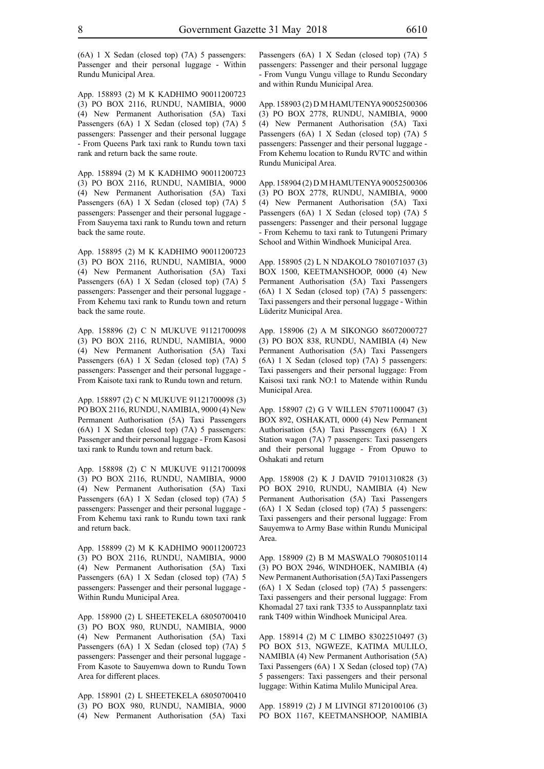(6A) 1 X Sedan (closed top) (7A) 5 passengers: Passenger and their personal luggage - Within Rundu Municipal Area.

App. 158893 (2) M K KADHIMO 90011200723 (3) PO BOX 2116, RUNDU, NAMIBIA, 9000 (4) New Permanent Authorisation (5A) Taxi Passengers (6A) 1 X Sedan (closed top) (7A) 5 passengers: Passenger and their personal luggage - From Queens Park taxi rank to Rundu town taxi rank and return back the same route.

App. 158894 (2) M K KADHIMO 90011200723 (3) PO BOX 2116, RUNDU, NAMIBIA, 9000 (4) New Permanent Authorisation (5A) Taxi Passengers (6A) 1 X Sedan (closed top) (7A) 5 passengers: Passenger and their personal luggage - From Sauyema taxi rank to Rundu town and return back the same route.

App. 158895 (2) M K KADHIMO 90011200723 (3) PO BOX 2116, RUNDU, NAMIBIA, 9000 (4) New Permanent Authorisation (5A) Taxi Passengers (6A) 1 X Sedan (closed top) (7A) 5 passengers: Passenger and their personal luggage - From Kehemu taxi rank to Rundu town and return back the same route.

App. 158896 (2) C N MUKUVE 91121700098 (3) PO BOX 2116, RUNDU, NAMIBIA, 9000 (4) New Permanent Authorisation (5A) Taxi Passengers (6A) 1 X Sedan (closed top) (7A) 5 passengers: Passenger and their personal luggage - From Kaisote taxi rank to Rundu town and return.

App. 158897 (2) C N MUKUVE 91121700098 (3) PO BOX 2116, RUNDU, NAMIBIA, 9000 (4) New Permanent Authorisation (5A) Taxi Passengers (6A) 1 X Sedan (closed top) (7A) 5 passengers: Passenger and their personal luggage - From Kasosi taxi rank to Rundu town and return back.

App. 158898 (2) C N MUKUVE 91121700098 (3) PO BOX 2116, RUNDU, NAMIBIA, 9000 (4) New Permanent Authorisation (5A) Taxi Passengers (6A) 1 X Sedan (closed top) (7A) 5 passengers: Passenger and their personal luggage - From Kehemu taxi rank to Rundu town taxi rank and return back.

App. 158899 (2) M K KADHIMO 90011200723 (3) PO BOX 2116, RUNDU, NAMIBIA, 9000 (4) New Permanent Authorisation (5A) Taxi Passengers (6A) 1 X Sedan (closed top) (7A) 5 passengers: Passenger and their personal luggage - Within Rundu Municipal Area.

App. 158900 (2) L SHEETEKELA 68050700410 (3) PO BOX 980, RUNDU, NAMIBIA, 9000 (4) New Permanent Authorisation (5A) Taxi Passengers (6A) 1 X Sedan (closed top) (7A) 5 passengers: Passenger and their personal luggage - From Kasote to Sauyemwa down to Rundu Town Area for different places.

App. 158901 (2) L SHEETEKELA 68050700410 (3) PO BOX 980, RUNDU, NAMIBIA, 9000 (4) New Permanent Authorisation (5A) Taxi

Passengers (6A) 1 X Sedan (closed top) (7A) 5 passengers: Passenger and their personal luggage - From Vungu Vungu village to Rundu Secondary and within Rundu Municipal Area.

App. 158903 (2) D M HAMUTENYA 90052500306 (3) PO BOX 2778, RUNDU, NAMIBIA, 9000 (4) New Permanent Authorisation (5A) Taxi Passengers (6A) 1 X Sedan (closed top) (7A) 5 passengers: Passenger and their personal luggage - From Kehemu location to Rundu RVTC and within Rundu Municipal Area.

App. 158904 (2) D M HAMUTENYA 90052500306 (3) PO BOX 2778, RUNDU, NAMIBIA, 9000 (4) New Permanent Authorisation (5A) Taxi Passengers (6A) 1 X Sedan (closed top) (7A) 5 passengers: Passenger and their personal luggage - From Kehemu to taxi rank to Tutungeni Primary School and Within Windhoek Municipal Area.

App. 158905 (2) L N NDAKOLO 7801071037 (3) BOX 1500, KEETMANSHOOP, 0000 (4) New Permanent Authorisation (5A) Taxi Passengers (6A) 1 X Sedan (closed top) (7A) 5 passengers: Taxi passengers and their personal luggage - Within Lüderitz Municipal Area.

App. 158906 (2) A M SIKONGO 86072000727 (3) PO BOX 838, RUNDU, NAMIBIA (4) New Permanent Authorisation (5A) Taxi Passengers (6A) 1 X Sedan (closed top) (7A) 5 passengers: Taxi passengers and their personal luggage: From Kaisosi taxi rank NO:1 to Matende within Rundu Municipal Area.

App. 158907 (2) G V WILLEN 57071100047 (3) BOX 892, OSHAKATI, 0000 (4) New Permanent Authorisation (5A) Taxi Passengers (6A) 1 X Station wagon (7A) 7 passengers: Taxi passengers and their personal luggage - From Opuwo to Oshakati and return

App. 158908 (2) K J DAVID 79101310828 (3) PO BOX 2910, RUNDU, NAMIBIA (4) New Permanent Authorisation (5A) Taxi Passengers (6A) 1 X Sedan (closed top) (7A) 5 passengers: Taxi passengers and their personal luggage: From Sauyemwa to Army Base within Rundu Municipal Area.

App. 158909 (2) B M MASWALO 79080510114 (3) PO BOX 2946, WINDHOEK, NAMIBIA (4) New Permanent Authorisation (5A) Taxi Passengers (6A) 1 X Sedan (closed top) (7A) 5 passengers: Taxi passengers and their personal luggage: From Khomadal 27 taxi rank T335 to Ausspannplatz taxi rank T409 within Windhoek Municipal Area.

App. 158914 (2) M C LIMBO 83022510497 (3) PO BOX 513, NGWEZE, KATIMA MULILO, NAMIBIA (4) New Permanent Authorisation (5A) Taxi Passengers (6A) 1 X Sedan (closed top) (7A) 5 passengers: Taxi passengers and their personal luggage: Within Katima Mulilo Municipal Area.

App. 158919 (2) J M LIVINGI 87120100106 (3) PO BOX 1167, KEETMANSHOOP, NAMIBIA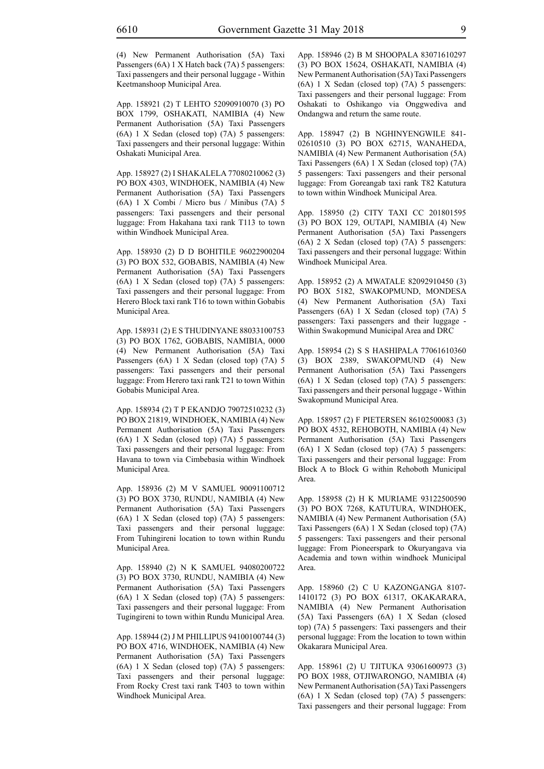(4) New Permanent Authorisation (5A) Taxi Passengers (6A) 1 X Hatch back (7A) 5 passengers: Taxi passengers and their personal luggage - Within Keetmanshoop Municipal Area.

App. 158921 (2) T LEHTO 52090910070 (3) PO BOX 1799, OSHAKATI, NAMIBIA (4) New Permanent Authorisation (5A) Taxi Passengers (6A) 1 X Sedan (closed top) (7A) 5 passengers: Taxi passengers and their personal luggage: Within Oshakati Municipal Area.

App. 158927 (2) I SHAKALELA 77080210062 (3) PO BOX 4303, WINDHOEK, NAMIBIA (4) New Permanent Authorisation (5A) Taxi Passengers (6A) 1 X Combi / Micro bus / Minibus (7A) 5 passengers: Taxi passengers and their personal luggage: From Hakahana taxi rank T113 to town within Windhoek Municipal Area.

App. 158930 (2) D D BOHITILE 96022900204 (3) PO BOX 532, GOBABIS, NAMIBIA (4) New Permanent Authorisation (5A) Taxi Passengers (6A) 1 X Sedan (closed top) (7A) 5 passengers: Taxi passengers and their personal luggage: From Herero Block taxi rank T16 to town within Gobabis Municipal Area.

App. 158931 (2) E S THUDINYANE 88033100753 (3) PO BOX 1762, GOBABIS, NAMIBIA, 0000 (4) New Permanent Authorisation (5A) Taxi Passengers (6A) 1 X Sedan (closed top) (7A) 5 passengers: Taxi passengers and their personal luggage: From Herero taxi rank T21 to town Within Gobabis Municipal Area.

App. 158934 (2) T P EKANDJO 79072510232 (3) PO BOX 21819, WINDHOEK, NAMIBIA (4) New Permanent Authorisation (5A) Taxi Passengers (6A) 1 X Sedan (closed top) (7A) 5 passengers: Taxi passengers and their personal luggage: From Havana to town via Cimbebasia within Windhoek Municipal Area.

App. 158936 (2) M V SAMUEL 90091100712 (3) PO BOX 3730, RUNDU, NAMIBIA (4) New Permanent Authorisation (5A) Taxi Passengers (6A) 1 X Sedan (closed top) (7A) 5 passengers: Taxi passengers and their personal luggage: From Tuhingireni location to town within Rundu Municipal Area.

App. 158940 (2) N K SAMUEL 94080200722 (3) PO BOX 3730, RUNDU, NAMIBIA (4) New Permanent Authorisation (5A) Taxi Passengers (6A) 1 X Sedan (closed top) (7A) 5 passengers: Taxi passengers and their personal luggage: From Tugingireni to town within Rundu Municipal Area.

App. 158944 (2) J M PHILLIPUS 94100100744 (3) PO BOX 4716, WINDHOEK, NAMIBIA (4) New Permanent Authorisation (5A) Taxi Passengers (6A) 1 X Sedan (closed top) (7A) 5 passengers: Taxi passengers and their personal luggage: From Rocky Crest taxi rank T403 to town within Windhoek Municipal Area.

App. 158946 (2) B M SHOOPALA 83071610297 (3) PO BOX 15624, OSHAKATI, NAMIBIA (4) New Permanent Authorisation (5A) Taxi Passengers (6A) 1 X Sedan (closed top) (7A) 5 passengers: Taxi passengers and their personal luggage: From Oshakati to Oshikango via Onggwediva and Ondangwa and return the same route.

App. 158947 (2) B NGHINYENGWILE 841- 02610510 (3) PO BOX 62715, WANAHEDA, NAMIBIA (4) New Permanent Authorisation (5A) Taxi Passengers (6A) 1 X Sedan (closed top) (7A) 5 passengers: Taxi passengers and their personal luggage: From Goreangab taxi rank T82 Katutura to town within Windhoek Municipal Area.

App. 158950 (2) CITY TAXI CC 201801595 (3) PO BOX 129, OUTAPI, NAMIBIA (4) New Permanent Authorisation (5A) Taxi Passengers (6A) 2 X Sedan (closed top) (7A) 5 passengers: Taxi passengers and their personal luggage: Within Windhoek Municipal Area.

App. 158952 (2) A MWATALE 82092910450 (3) PO BOX 5182, SWAKOPMUND, MONDESA (4) New Permanent Authorisation (5A) Taxi Passengers (6A) 1 X Sedan (closed top) (7A) 5 passengers: Taxi passengers and their luggage - Within Swakopmund Municipal Area and DRC

App. 158954 (2) S S HASHIPALA 77061610360 (3) BOX 2389, SWAKOPMUND (4) New Permanent Authorisation (5A) Taxi Passengers (6A) 1 X Sedan (closed top) (7A) 5 passengers: Taxi passengers and their personal luggage - Within Swakopmund Municipal Area.

App. 158957 (2) F PIETERSEN 86102500083 (3) PO BOX 4532, REHOBOTH, NAMIBIA (4) New Permanent Authorisation (5A) Taxi Passengers (6A) 1 X Sedan (closed top) (7A) 5 passengers: Taxi passengers and their personal luggage: From Block A to Block G within Rehoboth Municipal Area.

App. 158958 (2) H K MURIAME 93122500590 (3) PO BOX 7268, KATUTURA, WINDHOEK, NAMIBIA (4) New Permanent Authorisation (5A) Taxi Passengers (6A) 1 X Sedan (closed top) (7A) 5 passengers: Taxi passengers and their personal luggage: From Pioneerspark to Okuryangava via Academia and town within windhoek Municipal Area.

App. 158960 (2) C U KAZONGANGA 8107- 1410172 (3) PO BOX 61317, OKAKARARA, NAMIBIA (4) New Permanent Authorisation (5A) Taxi Passengers (6A) 1 X Sedan (closed top) (7A) 5 passengers: Taxi passengers and their personal luggage: From the location to town within Okakarara Municipal Area.

App. 158961 (2) U TJITUKA 93061600973 (3) PO BOX 1988, OTJIWARONGO, NAMIBIA (4) New Permanent Authorisation (5A) Taxi Passengers (6A) 1 X Sedan (closed top) (7A) 5 passengers: Taxi passengers and their personal luggage: From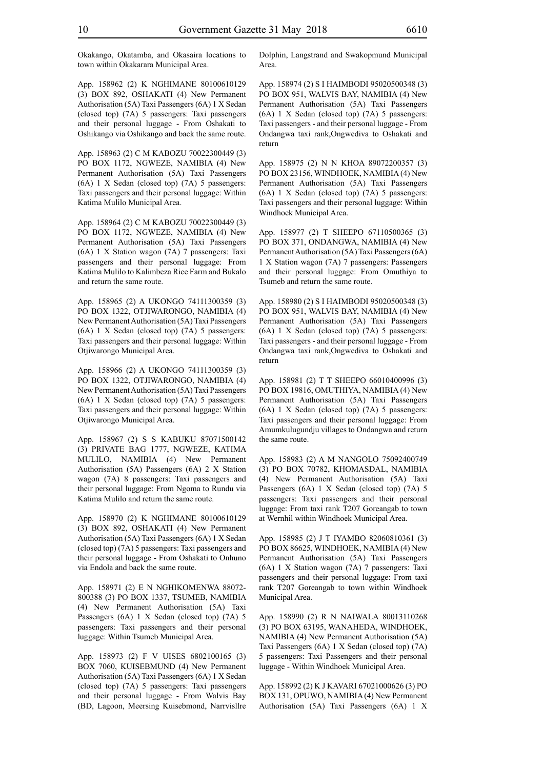Okakango, Okatamba, and Okasaira locations to town within Okakarara Municipal Area.

App. 158962 (2) K NGHIMANE 80100610129 (3) BOX 892, OSHAKATI (4) New Permanent Authorisation (5A) Taxi Passengers (6A) 1 X Sedan (closed top) (7A) 5 passengers: Taxi passengers and their personal luggage - From Oshakati to Oshikango via Oshikango and back the same route.

App. 158963 (2) C M KABOZU 70022300449 (3) PO BOX 1172, NGWEZE, NAMIBIA (4) New Permanent Authorisation (5A) Taxi Passengers (6A) 1 X Sedan (closed top) (7A) 5 passengers: Taxi passengers and their personal luggage: Within Katima Mulilo Municipal Area.

App. 158964 (2) C M KABOZU 70022300449 (3) PO BOX 1172, NGWEZE, NAMIBIA (4) New Permanent Authorisation (5A) Taxi Passengers (6A) 1 X Station wagon (7A) 7 passengers: Taxi passengers and their personal luggage: From Katima Mulilo to Kalimbeza Rice Farm and Bukalo and return the same route.

App. 158965 (2) A UKONGO 74111300359 (3) PO BOX 1322, OTJIWARONGO, NAMIBIA (4) New Permanent Authorisation (5A) Taxi Passengers (6A) 1 X Sedan (closed top) (7A) 5 passengers: Taxi passengers and their personal luggage: Within Otjiwarongo Municipal Area.

App. 158966 (2) A UKONGO 74111300359 (3) PO BOX 1322, OTJIWARONGO, NAMIBIA (4) New Permanent Authorisation (5A) Taxi Passengers (6A) 1 X Sedan (closed top) (7A) 5 passengers: Taxi passengers and their personal luggage: Within Otjiwarongo Municipal Area.

App. 158967 (2) S S KABUKU 87071500142 (3) PRIVATE BAG 1777, NGWEZE, KATIMA MULILO, NAMIBIA (4) New Permanent Authorisation (5A) Passengers (6A) 2 X Station wagon (7A) 8 passengers: Taxi passengers and their personal luggage: From Ngoma to Rundu via Katima Mulilo and return the same route.

App. 158970 (2) K NGHIMANE 80100610129 (3) BOX 892, OSHAKATI (4) New Permanent Authorisation (5A) Taxi Passengers (6A) 1 X Sedan (closed top) (7A) 5 passengers: Taxi passengers and their personal luggage - From Oshakati to Onhuno via Endola and back the same route.

App. 158971 (2) E N NGHIKOMENWA 88072- 800388 (3) PO BOX 1337, TSUMEB, NAMIBIA (4) New Permanent Authorisation (5A) Taxi Passengers (6A) 1 X Sedan (closed top) (7A) 5 passengers: Taxi passengers and their personal luggage: Within Tsumeb Municipal Area.

App. 158973 (2) F V UISES 6802100165 (3) BOX 7060, KUISEBMUND (4) New Permanent Authorisation (5A) Taxi Passengers (6A) 1 X Sedan (closed top) (7A) 5 passengers: Taxi passengers and their personal luggage - From Walvis Bay (BD, Lagoon, Meersing Kuisebmond, Narrvisllre

Dolphin, Langstrand and Swakopmund Municipal Area.

App. 158974 (2) S I HAIMBODI 95020500348 (3) PO BOX 951, WALVIS BAY, NAMIBIA (4) New Permanent Authorisation (5A) Taxi Passengers (6A) 1 X Sedan (closed top) (7A) 5 passengers: Taxi passengers - and their personal luggage - From Ondangwa taxi rank,Ongwediva to Oshakati and return

App. 158975 (2) N N KHOA 89072200357 (3) PO BOX 23156, WINDHOEK, NAMIBIA (4) New Permanent Authorisation (5A) Taxi Passengers (6A) 1 X Sedan (closed top) (7A) 5 passengers: Taxi passengers and their personal luggage: Within Windhoek Municipal Area.

App. 158977 (2) T SHEEPO 67110500365 (3) PO BOX 371, ONDANGWA, NAMIBIA (4) New Permanent Authorisation (5A) Taxi Passengers (6A) 1 X Station wagon (7A) 7 passengers: Passengers and their personal luggage: From Omuthiya to Tsumeb and return the same route.

App. 158980 (2) S I HAIMBODI 95020500348 (3) PO BOX 951, WALVIS BAY, NAMIBIA (4) New Permanent Authorisation (5A) Taxi Passengers (6A) 1 X Sedan (closed top) (7A) 5 passengers: Taxi passengers - and their personal luggage - From Ondangwa taxi rank,Ongwediva to Oshakati and return

App. 158981 (2) T T SHEEPO 66010400996 (3) PO BOX 19816, OMUTHIYA, NAMIBIA (4) New Permanent Authorisation (5A) Taxi Passengers (6A) 1 X Sedan (closed top) (7A) 5 passengers: Taxi passengers and their personal luggage: From Amumkulugundju villages to Ondangwa and return the same route.

App. 158983 (2) A M NANGOLO 75092400749 (3) PO BOX 70782, KHOMASDAL, NAMIBIA (4) New Permanent Authorisation (5A) Taxi Passengers (6A) 1 X Sedan (closed top) (7A) 5 passengers: Taxi passengers and their personal luggage: From taxi rank T207 Goreangab to town at Wernhil within Windhoek Municipal Area.

App. 158985 (2) J T IYAMBO 82060810361 (3) PO BOX 86625, WINDHOEK, NAMIBIA (4) New Permanent Authorisation (5A) Taxi Passengers (6A) 1 X Station wagon (7A) 7 passengers: Taxi passengers and their personal luggage: From taxi rank T207 Goreangab to town within Windhoek Municipal Area.

App. 158990 (2) R N NAIWALA 80013110268 (3) PO BOX 63195, WANAHEDA, WINDHOEK, NAMIBIA (4) New Permanent Authorisation (5A) Taxi Passengers (6A) 1 X Sedan (closed top) (7A) 5 passengers: Taxi Passengers and their personal luggage - Within Windhoek Municipal Area.

App. 158992 (2) K J KAVARI 67021000626 (3) PO BOX 131, OPUWO, NAMIBIA (4) New Permanent Authorisation (5A) Taxi Passengers (6A) 1 X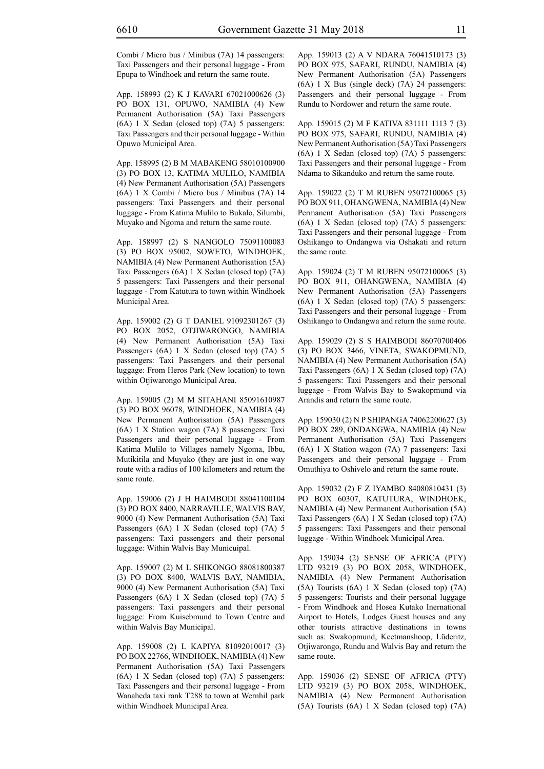Combi / Micro bus / Minibus (7A) 14 passengers: Taxi Passengers and their personal luggage - From Epupa to Windhoek and return the same route.

App. 158993 (2) K J KAVARI 67021000626 (3) PO BOX 131, OPUWO, NAMIBIA (4) New Permanent Authorisation (5A) Taxi Passengers (6A) 1 X Sedan (closed top) (7A) 5 passengers: Taxi Passengers and their personal luggage - Within Opuwo Municipal Area.

App. 158995 (2) B M MABAKENG 58010100900 (3) PO BOX 13, KATIMA MULILO, NAMIBIA (4) New Permanent Authorisation (5A) Passengers (6A) 1 X Combi / Micro bus / Minibus (7A) 14 passengers: Taxi Passengers and their personal luggage - From Katima Mulilo to Bukalo, Silumbi, Muyako and Ngoma and return the same route.

App. 158997 (2) S NANGOLO 75091100083 (3) PO BOX 95002, SOWETO, WINDHOEK, NAMIBIA (4) New Permanent Authorisation (5A) Taxi Passengers (6A) 1 X Sedan (closed top) (7A) 5 passengers: Taxi Passengers and their personal luggage - From Katutura to town within Windhoek Municipal Area.

App. 159002 (2) G T DANIEL 91092301267 (3) PO BOX 2052, OTJIWARONGO, NAMIBIA (4) New Permanent Authorisation (5A) Taxi Passengers (6A) 1 X Sedan (closed top) (7A) 5 passengers: Taxi Passengers and their personal luggage: From Heros Park (New location) to town within Otjiwarongo Municipal Area.

App. 159005 (2) M M SITAHANI 85091610987 (3) PO BOX 96078, WINDHOEK, NAMIBIA (4) New Permanent Authorisation (5A) Passengers (6A) 1 X Station wagon (7A) 8 passengers: Taxi Passengers and their personal luggage - From Katima Mulilo to Villages namely Ngoma, Ibbu, Mutikitila and Muyako (they are just in one way route with a radius of 100 kilometers and return the same route.

App. 159006 (2) J H HAIMBODI 88041100104 (3) PO BOX 8400, NARRAVILLE, WALVIS BAY, 9000 (4) New Permanent Authorisation (5A) Taxi Passengers (6A) 1 X Sedan (closed top) (7A) 5 passengers: Taxi passengers and their personal luggage: Within Walvis Bay Municuipal.

App. 159007 (2) M L SHIKONGO 88081800387 (3) PO BOX 8400, WALVIS BAY, NAMIBIA, 9000 (4) New Permanent Authorisation (5A) Taxi Passengers (6A) 1 X Sedan (closed top) (7A) 5 passengers: Taxi passengers and their personal luggage: From Kuisebmund to Town Centre and within Walvis Bay Municipal.

App. 159008 (2) L KAPIYA 81092010017 (3) PO BOX 22766, WINDHOEK, NAMIBIA (4) New Permanent Authorisation (5A) Taxi Passengers (6A) 1 X Sedan (closed top) (7A) 5 passengers: Taxi Passengers and their personal luggage - From Wanaheda taxi rank T288 to town at Wernhil park within Windhoek Municipal Area.

App. 159013 (2) A V NDARA 76041510173 (3) PO BOX 975, SAFARI, RUNDU, NAMIBIA (4) New Permanent Authorisation (5A) Passengers (6A) 1 X Bus (single deck) (7A) 24 passengers: Passengers and their personal luggage - From Rundu to Nordower and return the same route.

App. 159015 (2) M F KATIVA 831111 1113 7 (3) PO BOX 975, SAFARI, RUNDU, NAMIBIA (4) New Permanent Authorisation (5A) Taxi Passengers (6A) 1 X Sedan (closed top) (7A) 5 passengers: Taxi Passengers and their personal luggage - From Ndama to Sikanduko and return the same route.

App. 159022 (2) T M RUBEN 95072100065 (3) PO BOX 911, OHANGWENA, NAMIBIA (4) New Permanent Authorisation (5A) Taxi Passengers (6A) 1 X Sedan (closed top) (7A) 5 passengers: Taxi Passengers and their personal luggage - From Oshikango to Ondangwa via Oshakati and return the same route.

App. 159024 (2) T M RUBEN 95072100065 (3) PO BOX 911, OHANGWENA, NAMIBIA (4) New Permanent Authorisation (5A) Passengers (6A) 1 X Sedan (closed top) (7A) 5 passengers: Taxi Passengers and their personal luggage - From Oshikango to Ondangwa and return the same route.

App. 159029 (2) S S HAIMBODI 86070700406 (3) PO BOX 3466, VINETA, SWAKOPMUND, NAMIBIA (4) New Permanent Authorisation (5A) Taxi Passengers (6A) 1 X Sedan (closed top) (7A) 5 passengers: Taxi Passengers and their personal luggage - From Walvis Bay to Swakopmund via Arandis and return the same route.

App. 159030 (2) N P SHIPANGA 74062200627 (3) PO BOX 289, ONDANGWA, NAMIBIA (4) New Permanent Authorisation (5A) Taxi Passengers (6A) 1 X Station wagon (7A) 7 passengers: Taxi Passengers and their personal luggage - From Omuthiya to Oshivelo and return the same route.

App. 159032 (2) F Z IYAMBO 84080810431 (3) PO BOX 60307, KATUTURA, WINDHOEK, NAMIBIA (4) New Permanent Authorisation (5A) Taxi Passengers (6A) 1 X Sedan (closed top) (7A) 5 passengers: Taxi Passengers and their personal luggage - Within Windhoek Municipal Area.

App. 159034 (2) SENSE OF AFRICA (PTY) LTD 93219 (3) PO BOX 2058, WINDHOEK, NAMIBIA (4) New Permanent Authorisation (5A) Tourists (6A) 1 X Sedan (closed top) (7A) 5 passengers: Tourists and their personal luggage - From Windhoek and Hosea Kutako Inernational Airport to Hotels, Lodges Guest houses and any other tourists attractive destinations in towns such as: Swakopmund, Keetmanshoop, Lüderitz, Otjiwarongo, Rundu and Walvis Bay and return the same route.

App. 159036 (2) SENSE OF AFRICA (PTY) LTD 93219 (3) PO BOX 2058, WINDHOEK, NAMIBIA (4) New Permanent Authorisation (5A) Tourists (6A) 1 X Sedan (closed top) (7A)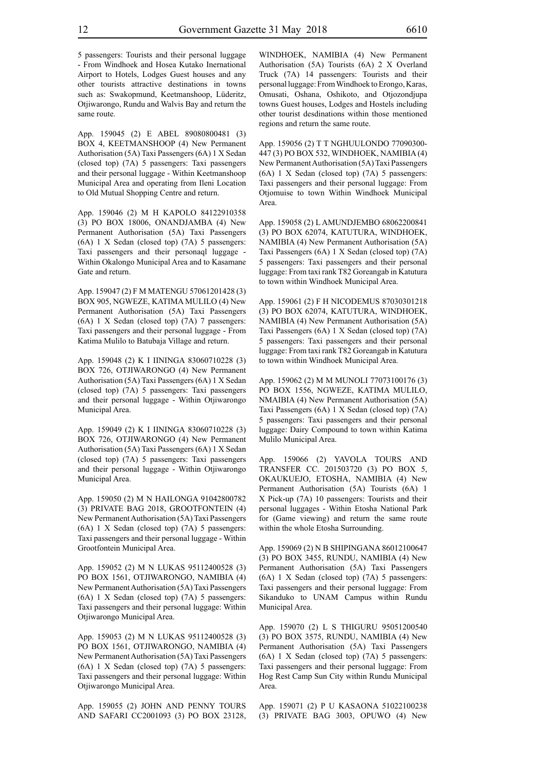5 passengers: Tourists and their personal luggage - From Windhoek and Hosea Kutako Inernational Airport to Hotels, Lodges Guest houses and any other tourists attractive destinations in towns such as: Swakopmund, Keetmanshoop, Lüderitz, Otjiwarongo, Rundu and Walvis Bay and return the same route.

App. 159045 (2) E ABEL 89080800481 (3) BOX 4, KEETMANSHOOP (4) New Permanent Authorisation (5A) Taxi Passengers (6A) 1 X Sedan (closed top) (7A) 5 passengers: Taxi passengers and their personal luggage - Within Keetmanshoop Municipal Area and operating from Ileni Location to Old Mutual Shopping Centre and return.

App. 159046 (2) M H KAPOLO 84122910358 (3) PO BOX 18006, ONANDJAMBA (4) New Permanent Authorisation (5A) Taxi Passengers (6A) 1 X Sedan (closed top) (7A) 5 passengers: Taxi passengers and their personaql luggage - Within Okalongo Municipal Area and to Kasamane Gate and return.

App. 159047 (2) F M MATENGU 57061201428 (3) BOX 905, NGWEZE, KATIMA MULILO (4) New Permanent Authorisation (5A) Taxi Passengers (6A) 1 X Sedan (closed top) (7A) 7 passengers: Taxi passengers and their personal luggage - From Katima Mulilo to Batubaja Village and return.

App. 159048 (2) K I IININGA 83060710228 (3) BOX 726, OTJIWARONGO (4) New Permanent Authorisation (5A) Taxi Passengers (6A) 1 X Sedan (closed top) (7A) 5 passengers: Taxi passengers and their personal luggage - Within Otjiwarongo Municipal Area.

App. 159049 (2) K I IININGA 83060710228 (3) BOX 726, OTJIWARONGO (4) New Permanent Authorisation (5A) Taxi Passengers (6A) 1 X Sedan (closed top) (7A) 5 passengers: Taxi passengers and their personal luggage - Within Otjiwarongo Municipal Area.

App. 159050 (2) M N HAILONGA 91042800782 (3) PRIVATE BAG 2018, GROOTFONTEIN (4) New Permanent Authorisation (5A) Taxi Passengers (6A) 1 X Sedan (closed top) (7A) 5 passengers: Taxi passengers and their personal luggage - Within Grootfontein Municipal Area.

App. 159052 (2) M N LUKAS 95112400528 (3) PO BOX 1561, OTJIWARONGO, NAMIBIA (4) New Permanent Authorisation (5A) Taxi Passengers (6A) 1 X Sedan (closed top) (7A) 5 passengers: Taxi passengers and their personal luggage: Within Otjiwarongo Municipal Area.

App. 159053 (2) M N LUKAS 95112400528 (3) PO BOX 1561, OTJIWARONGO, NAMIBIA (4) New Permanent Authorisation (5A) Taxi Passengers (6A) 1 X Sedan (closed top) (7A) 5 passengers: Taxi passengers and their personal luggage: Within Otjiwarongo Municipal Area.

App. 159055 (2) JOHN AND PENNY TOURS AND SAFARI CC2001093 (3) PO BOX 23128, WINDHOEK, NAMIBIA (4) New Permanent Authorisation (5A) Tourists (6A) 2 X Overland Truck (7A) 14 passengers: Tourists and their personal luggage: From Windhoek to Erongo, Karas, Omusati, Oshana, Oshikoto, and Otjozondjupa towns Guest houses, Lodges and Hostels including other tourist desdinations within those mentioned regions and return the same route.

App. 159056 (2) T T NGHUULONDO 77090300- 447 (3) PO BOX 532, WINDHOEK, NAMIBIA (4) New Permanent Authorisation (5A) Taxi Passengers (6A) 1 X Sedan (closed top) (7A) 5 passengers: Taxi passengers and their personal luggage: From Otjomuise to town Within Windhoek Municipal Area.

App. 159058 (2) L AMUNDJEMBO 68062200841 (3) PO BOX 62074, KATUTURA, WINDHOEK, NAMIBIA (4) New Permanent Authorisation (5A) Taxi Passengers (6A) 1 X Sedan (closed top) (7A) 5 passengers: Taxi passengers and their personal luggage: From taxi rank T82 Goreangab in Katutura to town within Windhoek Municipal Area.

App. 159061 (2) F H NICODEMUS 87030301218 (3) PO BOX 62074, KATUTURA, WINDHOEK, NAMIBIA (4) New Permanent Authorisation (5A) Taxi Passengers (6A) 1 X Sedan (closed top) (7A) 5 passengers: Taxi passengers and their personal luggage: From taxi rank T82 Goreangab in Katutura to town within Windhoek Municipal Area.

App. 159062 (2) M M MUNOLI 77073100176 (3) PO BOX 1556, NGWEZE, KATIMA MULILO, NMAIBIA (4) New Permanent Authorisation (5A) Taxi Passengers (6A) 1 X Sedan (closed top) (7A) 5 passengers: Taxi passengers and their personal luggage: Dairy Compound to town within Katima Mulilo Municipal Area.

App. 159066 (2) YAVOLA TOURS AND TRANSFER CC. 201503720 (3) PO BOX 5, OKAUKUEJO, ETOSHA, NAMIBIA (4) New Permanent Authorisation (5A) Tourists (6A) 1 X Pick-up (7A) 10 passengers: Tourists and their personal luggages - Within Etosha National Park for (Game viewing) and return the same route within the whole Etosha Surrounding.

App. 159069 (2) N B SHIPINGANA 86012100647 (3) PO BOX 3455, RUNDU, NAMIBIA (4) New Permanent Authorisation (5A) Taxi Passengers (6A) 1 X Sedan (closed top) (7A) 5 passengers: Taxi passengers and their personal luggage: From Sikanduko to UNAM Campus within Rundu Municipal Area.

App. 159070 (2) L S THIGURU 95051200540 (3) PO BOX 3575, RUNDU, NAMIBIA (4) New Permanent Authorisation (5A) Taxi Passengers (6A) 1 X Sedan (closed top) (7A) 5 passengers: Taxi passengers and their personal luggage: From Hog Rest Camp Sun City within Rundu Municipal Area.

App. 159071 (2) P U KASAONA 51022100238 (3) PRIVATE BAG 3003, OPUWO (4) New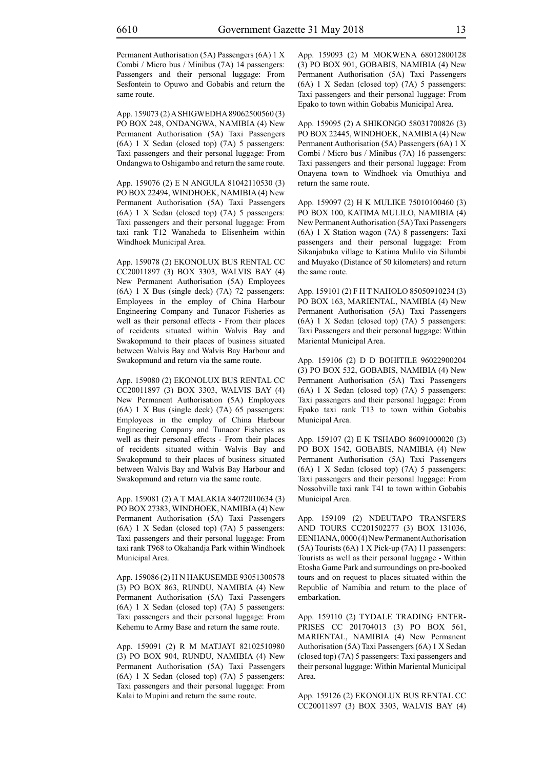same route.

Permanent Authorisation (5A) Passengers (6A) 1 X Combi / Micro bus / Minibus (7A) 14 passengers: Passengers and their personal luggage: From Sesfontein to Opuwo and Gobabis and return the

App. 159073 (2) A SHIGWEDHA 89062500560 (3) PO BOX 248, ONDANGWA, NAMIBIA (4) New Permanent Authorisation (5A) Taxi Passengers (6A) 1 X Sedan (closed top) (7A) 5 passengers: Taxi passengers and their personal luggage: From Ondangwa to Oshigambo and return the same route.

App. 159076 (2) E N ANGULA 81042110530 (3) PO BOX 22494, WINDHOEK, NAMIBIA (4) New Permanent Authorisation (5A) Taxi Passengers (6A) 1 X Sedan (closed top) (7A) 5 passengers: Taxi passengers and their personal luggage: From taxi rank T12 Wanaheda to Elisenheim within Windhoek Municipal Area.

App. 159078 (2) EKONOLUX BUS RENTAL CC CC20011897 (3) BOX 3303, WALVIS BAY (4) New Permanent Authorisation (5A) Employees (6A) 1 X Bus (single deck) (7A) 72 passengers: Employees in the employ of China Harbour Engineering Company and Tunacor Fisheries as well as their personal effects - From their places of recidents situated within Walvis Bay and Swakopmund to their places of business situated between Walvis Bay and Walvis Bay Harbour and Swakopmund and return via the same route.

App. 159080 (2) EKONOLUX BUS RENTAL CC CC20011897 (3) BOX 3303, WALVIS BAY (4) New Permanent Authorisation (5A) Employees (6A) 1 X Bus (single deck) (7A) 65 passengers: Employees in the employ of China Harbour Engineering Company and Tunacor Fisheries as well as their personal effects - From their places of recidents situated within Walvis Bay and Swakopmund to their places of business situated between Walvis Bay and Walvis Bay Harbour and Swakopmund and return via the same route.

App. 159081 (2) A T MALAKIA 84072010634 (3) PO BOX 27383, WINDHOEK, NAMIBIA (4) New Permanent Authorisation (5A) Taxi Passengers (6A) 1 X Sedan (closed top) (7A) 5 passengers: Taxi passengers and their personal luggage: From taxi rank T968 to Okahandja Park within Windhoek Municipal Area.

App. 159086 (2) H N HAKUSEMBE 93051300578 (3) PO BOX 863, RUNDU, NAMIBIA (4) New Permanent Authorisation (5A) Taxi Passengers (6A) 1 X Sedan (closed top) (7A) 5 passengers: Taxi passengers and their personal luggage: From Kehemu to Army Base and return the same route.

App. 159091 (2) R M MATJAYI 82102510980 (3) PO BOX 904, RUNDU, NAMIBIA (4) New Permanent Authorisation (5A) Taxi Passengers (6A) 1 X Sedan (closed top) (7A) 5 passengers: Taxi passengers and their personal luggage: From Kalai to Mupini and return the same route.

App. 159093 (2) M MOKWENA 68012800128 (3) PO BOX 901, GOBABIS, NAMIBIA (4) New Permanent Authorisation (5A) Taxi Passengers (6A) 1 X Sedan (closed top) (7A) 5 passengers: Taxi passengers and their personal luggage: From Epako to town within Gobabis Municipal Area.

App. 159095 (2) A SHIKONGO 58031700826 (3) PO BOX 22445, WINDHOEK, NAMIBIA (4) New Permanent Authorisation (5A) Passengers (6A) 1 X Combi / Micro bus / Minibus (7A) 16 passengers: Taxi passengers and their personal luggage: From Onayena town to Windhoek via Omuthiya and return the same route.

App. 159097 (2) H K MULIKE 75010100460 (3) PO BOX 100, KATIMA MULILO, NAMIBIA (4) New Permanent Authorisation (5A) Taxi Passengers (6A) 1 X Station wagon (7A) 8 passengers: Taxi passengers and their personal luggage: From Sikanjabuka village to Katima Mulilo via Silumbi and Muyako (Distance of 50 kilometers) and return the same route.

App. 159101 (2) F H T NAHOLO 85050910234 (3) PO BOX 163, MARIENTAL, NAMIBIA (4) New Permanent Authorisation (5A) Taxi Passengers (6A) 1 X Sedan (closed top) (7A) 5 passengers: Taxi Passengers and their personal luggage: Within Mariental Municipal Area.

App. 159106 (2) D D BOHITILE 96022900204 (3) PO BOX 532, GOBABIS, NAMIBIA (4) New Permanent Authorisation (5A) Taxi Passengers (6A) 1 X Sedan (closed top) (7A) 5 passengers: Taxi passengers and their personal luggage: From Epako taxi rank T13 to town within Gobabis Municipal Area.

App. 159107 (2) E K TSHABO 86091000020 (3) PO BOX 1542, GOBABIS, NAMIBIA (4) New Permanent Authorisation (5A) Taxi Passengers (6A) 1 X Sedan (closed top) (7A) 5 passengers: Taxi passengers and their personal luggage: From Nossobville taxi rank T41 to town within Gobabis Municipal Area.

App. 159109 (2) NDEUTAPO TRANSFERS AND TOURS CC201502277 (3) BOX 131036, EENHANA, 0000 (4) New Permanent Authorisation (5A) Tourists (6A) 1 X Pick-up (7A) 11 passengers: Tourists as well as their personal luggage - Within Etosha Game Park and surroundings on pre-booked tours and on request to places situated within the Republic of Namibia and return to the place of embarkation.

App. 159110 (2) TYDALE TRADING ENTER-PRISES CC 201704013 (3) PO BOX 561, MARIENTAL, NAMIBIA (4) New Permanent Authorisation (5A) Taxi Passengers (6A) 1 X Sedan (closed top) (7A) 5 passengers: Taxi passengers and their personal luggage: Within Mariental Municipal Area.

App. 159126 (2) EKONOLUX BUS RENTAL CC CC20011897 (3) BOX 3303, WALVIS BAY (4)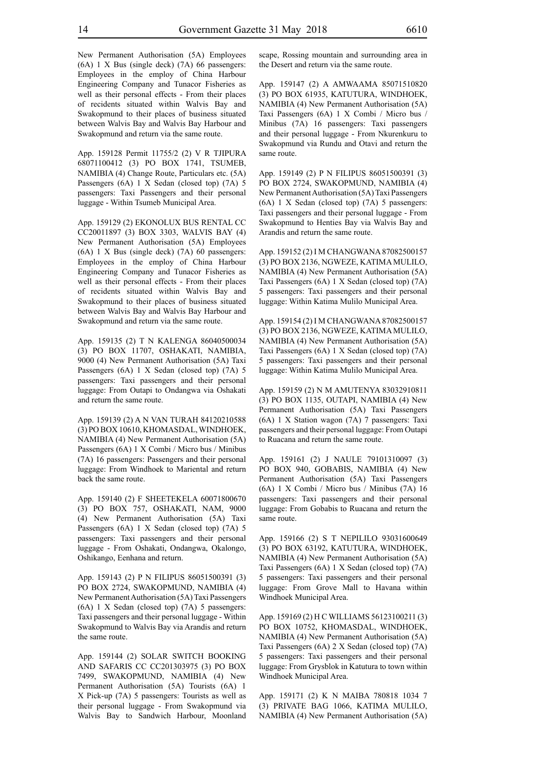New Permanent Authorisation (5A) Employees (6A) 1 X Bus (single deck) (7A) 66 passengers: Employees in the employ of China Harbour Engineering Company and Tunacor Fisheries as well as their personal effects - From their places of recidents situated within Walvis Bay and Swakopmund to their places of business situated between Walvis Bay and Walvis Bay Harbour and Swakopmund and return via the same route.

App. 159128 Permit 11755/2 (2) V R TJIPURA 68071100412 (3) PO BOX 1741, TSUMEB, NAMIBIA (4) Change Route, Particulars etc. (5A) Passengers (6A) 1 X Sedan (closed top) (7A) 5 passengers: Taxi Passengers and their personal luggage - Within Tsumeb Municipal Area.

App. 159129 (2) EKONOLUX BUS RENTAL CC CC20011897 (3) BOX 3303, WALVIS BAY (4) New Permanent Authorisation (5A) Employees (6A) 1 X Bus (single deck) (7A) 60 passengers: Employees in the employ of China Harbour Engineering Company and Tunacor Fisheries as well as their personal effects - From their places of recidents situated within Walvis Bay and Swakopmund to their places of business situated between Walvis Bay and Walvis Bay Harbour and Swakopmund and return via the same route.

App. 159135 (2) T N KALENGA 86040500034 (3) PO BOX 11707, OSHAKATI, NAMIBIA, 9000 (4) New Permanent Authorisation (5A) Taxi Passengers (6A) 1 X Sedan (closed top) (7A) 5 passengers: Taxi passengers and their personal luggage: From Outapi to Ondangwa via Oshakati and return the same route.

App. 159139 (2) A N VAN TURAH 84120210588 (3) PO BOX 10610, KHOMASDAL, WINDHOEK, NAMIBIA (4) New Permanent Authorisation (5A) Passengers (6A) 1 X Combi / Micro bus / Minibus (7A) 16 passengers: Passengers and their personal luggage: From Windhoek to Mariental and return back the same route.

App. 159140 (2) F SHEETEKELA 60071800670 (3) PO BOX 757, OSHAKATI, NAM, 9000 (4) New Permanent Authorisation (5A) Taxi Passengers (6A) 1 X Sedan (closed top) (7A) 5 passengers: Taxi passengers and their personal luggage - From Oshakati, Ondangwa, Okalongo, Oshikango, Eenhana and return.

App. 159143 (2) P N FILIPUS 86051500391 (3) PO BOX 2724, SWAKOPMUND, NAMIBIA (4) New Permanent Authorisation (5A) Taxi Passengers (6A) 1 X Sedan (closed top) (7A) 5 passengers: Taxi passengers and their personal luggage - Within Swakopmund to Walvis Bay via Arandis and return the same route.

App. 159144 (2) SOLAR SWITCH BOOKING AND SAFARIS CC CC201303975 (3) PO BOX 7499, SWAKOPMUND, NAMIBIA (4) New Permanent Authorisation (5A) Tourists (6A) 1 X Pick-up (7A) 5 passengers: Tourists as well as their personal luggage - From Swakopmund via Walvis Bay to Sandwich Harbour, Moonland scape, Rossing mountain and surrounding area in the Desert and return via the same route.

App. 159147 (2) A AMWAAMA 85071510820 (3) PO BOX 61935, KATUTURA, WINDHOEK, NAMIBIA (4) New Permanent Authorisation (5A) Taxi Passengers (6A) 1 X Combi / Micro bus / Minibus (7A) 16 passengers: Taxi passengers and their personal luggage - From Nkurenkuru to Swakopmund via Rundu and Otavi and return the same route.

App. 159149 (2) P N FILIPUS 86051500391 (3) PO BOX 2724, SWAKOPMUND, NAMIBIA (4) New Permanent Authorisation (5A) Taxi Passengers (6A) 1 X Sedan (closed top) (7A) 5 passengers: Taxi passengers and their personal luggage - From Swakopmund to Henties Bay via Walvis Bay and Arandis and return the same route.

App. 159152 (2) I M CHANGWANA 87082500157 (3) PO BOX 2136, NGWEZE, KATIMA MULILO, NAMIBIA (4) New Permanent Authorisation (5A) Taxi Passengers (6A) 1 X Sedan (closed top) (7A) 5 passengers: Taxi passengers and their personal luggage: Within Katima Mulilo Municipal Area.

App. 159154 (2) I M CHANGWANA 87082500157 (3) PO BOX 2136, NGWEZE, KATIMA MULILO, NAMIBIA (4) New Permanent Authorisation (5A) Taxi Passengers (6A) 1 X Sedan (closed top) (7A) 5 passengers: Taxi passengers and their personal luggage: Within Katima Mulilo Municipal Area.

App. 159159 (2) N M AMUTENYA 83032910811 (3) PO BOX 1135, OUTAPI, NAMIBIA (4) New Permanent Authorisation (5A) Taxi Passengers (6A) 1 X Station wagon (7A) 7 passengers: Taxi passengers and their personal luggage: From Outapi to Ruacana and return the same route.

App. 159161 (2) J NAULE 79101310097 (3) PO BOX 940, GOBABIS, NAMIBIA (4) New Permanent Authorisation (5A) Taxi Passengers (6A) 1 X Combi / Micro bus / Minibus (7A) 16 passengers: Taxi passengers and their personal luggage: From Gobabis to Ruacana and return the same route.

App. 159166 (2) S T NEPILILO 93031600649 (3) PO BOX 63192, KATUTURA, WINDHOEK, NAMIBIA (4) New Permanent Authorisation (5A) Taxi Passengers (6A) 1 X Sedan (closed top) (7A) 5 passengers: Taxi passengers and their personal luggage: From Grove Mall to Havana within Windhoek Municipal Area.

App. 159169 (2) H C WILLIAMS 56123100211 (3) PO BOX 10752, KHOMASDAL, WINDHOEK, NAMIBIA (4) New Permanent Authorisation (5A) Taxi Passengers (6A) 2 X Sedan (closed top) (7A) 5 passengers: Taxi passengers and their personal luggage: From Grysblok in Katutura to town within Windhoek Municipal Area.

App. 159171 (2) K N MAIBA 780818 1034 7 (3) PRIVATE BAG 1066, KATIMA MULILO, NAMIBIA (4) New Permanent Authorisation (5A)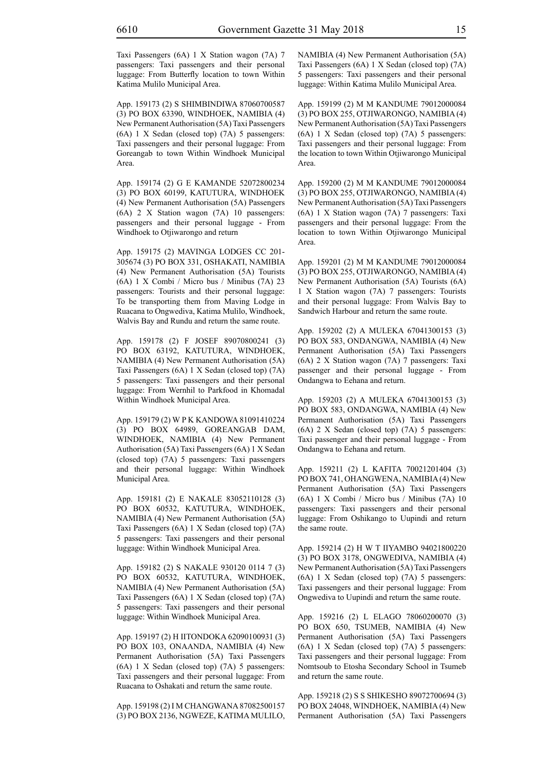Taxi Passengers (6A) 1 X Station wagon (7A) 7 passengers: Taxi passengers and their personal luggage: From Butterfly location to town Within Katima Mulilo Municipal Area.

App. 159173 (2) S SHIMBINDIWA 87060700587 (3) PO BOX 63390, WINDHOEK, NAMIBIA (4) New Permanent Authorisation (5A) Taxi Passengers (6A) 1 X Sedan (closed top) (7A) 5 passengers: Taxi passengers and their personal luggage: From Goreangab to town Within Windhoek Municipal Area.

App. 159174 (2) G E KAMANDE 52072800234 (3) PO BOX 60199, KATUTURA, WINDHOEK (4) New Permanent Authorisation (5A) Passengers (6A) 2 X Station wagon (7A) 10 passengers: passengers and their personal luggage - From Windhoek to Otjiwarongo and return

App. 159175 (2) MAVINGA LODGES CC 201- 305674 (3) PO BOX 331, OSHAKATI, NAMIBIA (4) New Permanent Authorisation (5A) Tourists (6A) 1 X Combi / Micro bus / Minibus (7A) 23 passengers: Tourists and their personal luggage: To be transporting them from Maving Lodge in Ruacana to Ongwediva, Katima Mulilo, Windhoek, Walvis Bay and Rundu and return the same route.

App. 159178 (2) F JOSEF 89070800241 (3) PO BOX 63192, KATUTURA, WINDHOEK, NAMIBIA (4) New Permanent Authorisation (5A) Taxi Passengers (6A) 1 X Sedan (closed top) (7A) 5 passengers: Taxi passengers and their personal luggage: From Wernhil to Parkfood in Khomadal Within Windhoek Municipal Area.

App. 159179 (2) W P K KANDOWA 81091410224 (3) PO BOX 64989, GOREANGAB DAM, WINDHOEK, NAMIBIA (4) New Permanent Authorisation (5A) Taxi Passengers (6A) 1 X Sedan (closed top) (7A) 5 passengers: Taxi passengers and their personal luggage: Within Windhoek Municipal Area.

App. 159181 (2) E NAKALE 83052110128 (3) PO BOX 60532, KATUTURA, WINDHOEK, NAMIBIA (4) New Permanent Authorisation (5A) Taxi Passengers (6A) 1 X Sedan (closed top) (7A) 5 passengers: Taxi passengers and their personal luggage: Within Windhoek Municipal Area.

App. 159182 (2) S NAKALE 930120 0114 7 (3) PO BOX 60532, KATUTURA, WINDHOEK, NAMIBIA (4) New Permanent Authorisation (5A) Taxi Passengers (6A) 1 X Sedan (closed top) (7A) 5 passengers: Taxi passengers and their personal luggage: Within Windhoek Municipal Area.

App. 159197 (2) H IITONDOKA 62090100931 (3) PO BOX 103, ONAANDA, NAMIBIA (4) New Permanent Authorisation (5A) Taxi Passengers (6A) 1 X Sedan (closed top) (7A) 5 passengers: Taxi passengers and their personal luggage: From Ruacana to Oshakati and return the same route.

App. 159198 (2) I M CHANGWANA 87082500157 (3) PO BOX 2136, NGWEZE, KATIMA MULILO, NAMIBIA (4) New Permanent Authorisation (5A) Taxi Passengers (6A) 1 X Sedan (closed top) (7A) 5 passengers: Taxi passengers and their personal luggage: Within Katima Mulilo Municipal Area.

App. 159199 (2) M M KANDUME 79012000084 (3) PO BOX 255, OTJIWARONGO, NAMIBIA (4) New Permanent Authorisation (5A) Taxi Passengers (6A) 1 X Sedan (closed top) (7A) 5 passengers: Taxi passengers and their personal luggage: From the location to town Within Otjiwarongo Municipal Area.

App. 159200 (2) M M KANDUME 79012000084 (3) PO BOX 255, OTJIWARONGO, NAMIBIA (4) New Permanent Authorisation (5A) Taxi Passengers (6A) 1 X Station wagon (7A) 7 passengers: Taxi passengers and their personal luggage: From the location to town Within Otjiwarongo Municipal Area.

App. 159201 (2) M M KANDUME 79012000084 (3) PO BOX 255, OTJIWARONGO, NAMIBIA (4) New Permanent Authorisation (5A) Tourists (6A) 1 X Station wagon (7A) 7 passengers: Tourists and their personal luggage: From Walvis Bay to Sandwich Harbour and return the same route.

App. 159202 (2) A MULEKA 67041300153 (3) PO BOX 583, ONDANGWA, NAMIBIA (4) New Permanent Authorisation (5A) Taxi Passengers (6A) 2 X Station wagon (7A) 7 passengers: Taxi passenger and their personal luggage - From Ondangwa to Eehana and return.

App. 159203 (2) A MULEKA 67041300153 (3) PO BOX 583, ONDANGWA, NAMIBIA (4) New Permanent Authorisation (5A) Taxi Passengers (6A) 2 X Sedan (closed top) (7A) 5 passengers: Taxi passenger and their personal luggage - From Ondangwa to Eehana and return.

App. 159211 (2) L KAFITA 70021201404 (3) PO BOX 741, OHANGWENA, NAMIBIA (4) New Permanent Authorisation (5A) Taxi Passengers (6A) 1 X Combi / Micro bus / Minibus (7A) 10 passengers: Taxi passengers and their personal luggage: From Oshikango to Uupindi and return the same route.

App. 159214 (2) H W T IIYAMBO 94021800220 (3) PO BOX 3178, ONGWEDIVA, NAMIBIA (4) New Permanent Authorisation (5A) Taxi Passengers (6A) 1 X Sedan (closed top) (7A) 5 passengers: Taxi passengers and their personal luggage: From Ongwediva to Uupindi and return the same route.

App. 159216 (2) L ELAGO 78060200070 (3) PO BOX 650, TSUMEB, NAMIBIA (4) New Permanent Authorisation (5A) Taxi Passengers (6A) 1 X Sedan (closed top) (7A) 5 passengers: Taxi passengers and their personal luggage: From Nomtsoub to Etosha Secondary School in Tsumeb and return the same route.

App. 159218 (2) S S SHIKESHO 89072700694 (3) PO BOX 24048, WINDHOEK, NAMIBIA (4) New Permanent Authorisation (5A) Taxi Passengers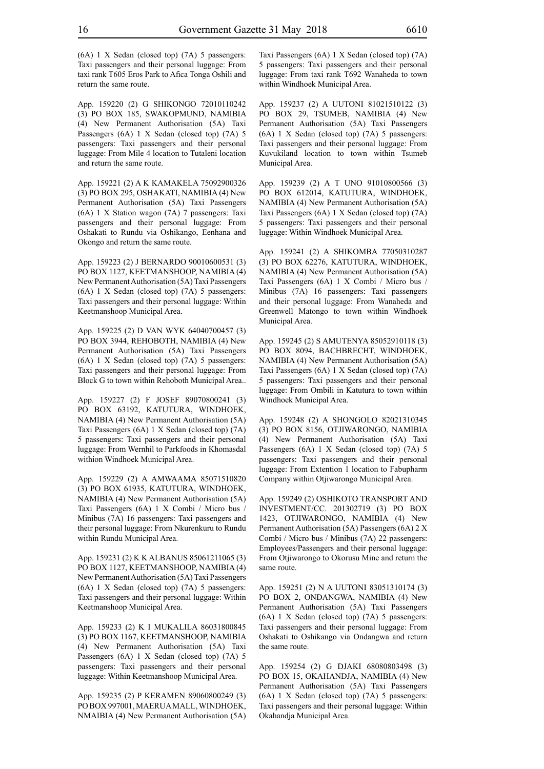(6A) 1 X Sedan (closed top) (7A) 5 passengers: Taxi passengers and their personal luggage: From taxi rank T605 Eros Park to Afica Tonga Oshili and return the same route.

App. 159220 (2) G SHIKONGO 72010110242 (3) PO BOX 185, SWAKOPMUND, NAMIBIA (4) New Permanent Authorisation (5A) Taxi Passengers (6A) 1 X Sedan (closed top) (7A) 5 passengers: Taxi passengers and their personal luggage: From Mile 4 location to Tutaleni location and return the same route.

App. 159221 (2) A K KAMAKELA 75092900326 (3) PO BOX 295, OSHAKATI, NAMIBIA (4) New Permanent Authorisation (5A) Taxi Passengers (6A) 1 X Station wagon (7A) 7 passengers: Taxi passengers and their personal luggage: From Oshakati to Rundu via Oshikango, Eenhana and Okongo and return the same route.

App. 159223 (2) J BERNARDO 90010600531 (3) PO BOX 1127, KEETMANSHOOP, NAMIBIA (4) New Permanent Authorisation (5A) Taxi Passengers (6A) 1 X Sedan (closed top) (7A) 5 passengers: Taxi passengers and their personal luggage: Within Keetmanshoop Municipal Area.

App. 159225 (2) D VAN WYK 64040700457 (3) PO BOX 3944, REHOBOTH, NAMIBIA (4) New Permanent Authorisation (5A) Taxi Passengers (6A) 1 X Sedan (closed top) (7A) 5 passengers: Taxi passengers and their personal luggage: From Block G to town within Rehoboth Municipal Area..

App. 159227 (2) F JOSEF 89070800241 (3) PO BOX 63192, KATUTURA, WINDHOEK, NAMIBIA (4) New Permanent Authorisation (5A) Taxi Passengers (6A) 1 X Sedan (closed top) (7A) 5 passengers: Taxi passengers and their personal luggage: From Wernhil to Parkfoods in Khomasdal withion Windhoek Municipal Area.

App. 159229 (2) A AMWAAMA 85071510820 (3) PO BOX 61935, KATUTURA, WINDHOEK, NAMIBIA (4) New Permanent Authorisation (5A) Taxi Passengers (6A) 1 X Combi / Micro bus / Minibus (7A) 16 passengers: Taxi passengers and their personal luggage: From Nkurenkuru to Rundu within Rundu Municipal Area.

App. 159231 (2) K K ALBANUS 85061211065 (3) PO BOX 1127, KEETMANSHOOP, NAMIBIA (4) New Permanent Authorisation (5A) Taxi Passengers (6A) 1 X Sedan (closed top) (7A) 5 passengers: Taxi passengers and their personal luggage: Within Keetmanshoop Municipal Area.

App. 159233 (2) K I MUKALILA 86031800845 (3) PO BOX 1167, KEETMANSHOOP, NAMIBIA (4) New Permanent Authorisation (5A) Taxi Passengers (6A) 1 X Sedan (closed top) (7A) 5 passengers: Taxi passengers and their personal luggage: Within Keetmanshoop Municipal Area.

App. 159235 (2) P KERAMEN 89060800249 (3) PO BOX 997001, MAERUA MALL, WINDHOEK, NMAIBIA (4) New Permanent Authorisation (5A) Taxi Passengers (6A) 1 X Sedan (closed top) (7A) 5 passengers: Taxi passengers and their personal luggage: From taxi rank T692 Wanaheda to town within Windhoek Municipal Area.

App. 159237 (2) A UUTONI 81021510122 (3) PO BOX 29, TSUMEB, NAMIBIA (4) New Permanent Authorisation (5A) Taxi Passengers (6A) 1 X Sedan (closed top) (7A) 5 passengers: Taxi passengers and their personal luggage: From Kuvukiland location to town within Tsumeb Municipal Area.

App. 159239 (2) A T UNO 91010800566 (3) PO BOX 612014, KATUTURA, WINDHOEK, NAMIBIA (4) New Permanent Authorisation (5A) Taxi Passengers (6A) 1 X Sedan (closed top) (7A) 5 passengers: Taxi passengers and their personal luggage: Within Windhoek Municipal Area.

App. 159241 (2) A SHIKOMBA 77050310287 (3) PO BOX 62276, KATUTURA, WINDHOEK, NAMIBIA (4) New Permanent Authorisation (5A) Taxi Passengers (6A) 1 X Combi / Micro bus / Minibus (7A) 16 passengers: Taxi passengers and their personal luggage: From Wanaheda and Greenwell Matongo to town within Windhoek Municipal Area.

App. 159245 (2) S AMUTENYA 85052910118 (3) PO BOX 8094, BACHBRECHT, WINDHOEK, NAMIBIA (4) New Permanent Authorisation (5A) Taxi Passengers (6A) 1 X Sedan (closed top) (7A) 5 passengers: Taxi passengers and their personal luggage: From Ombili in Katutura to town within Windhoek Municipal Area.

App. 159248 (2) A SHONGOLO 82021310345 (3) PO BOX 8156, OTJIWARONGO, NAMIBIA (4) New Permanent Authorisation (5A) Taxi Passengers (6A) 1 X Sedan (closed top) (7A) 5 passengers: Taxi passengers and their personal luggage: From Extention 1 location to Fabupharm Company within Otjiwarongo Municipal Area.

App. 159249 (2) OSHIKOTO TRANSPORT AND INVESTMENT/CC. 201302719 (3) PO BOX 1423, OTJIWARONGO, NAMIBIA (4) New Permanent Authorisation (5A) Passengers (6A) 2 X Combi / Micro bus / Minibus (7A) 22 passengers: Employees/Passengers and their personal luggage: From Otjiwarongo to Okorusu Mine and return the same route.

App. 159251 (2) N A UUTONI 83051310174 (3) PO BOX 2, ONDANGWA, NAMIBIA (4) New Permanent Authorisation (5A) Taxi Passengers (6A) 1 X Sedan (closed top) (7A) 5 passengers: Taxi passengers and their personal luggage: From Oshakati to Oshikango via Ondangwa and return the same route.

App. 159254 (2) G DJAKI 68080803498 (3) PO BOX 15, OKAHANDJA, NAMIBIA (4) New Permanent Authorisation (5A) Taxi Passengers (6A) 1 X Sedan (closed top) (7A) 5 passengers: Taxi passengers and their personal luggage: Within Okahandja Municipal Area.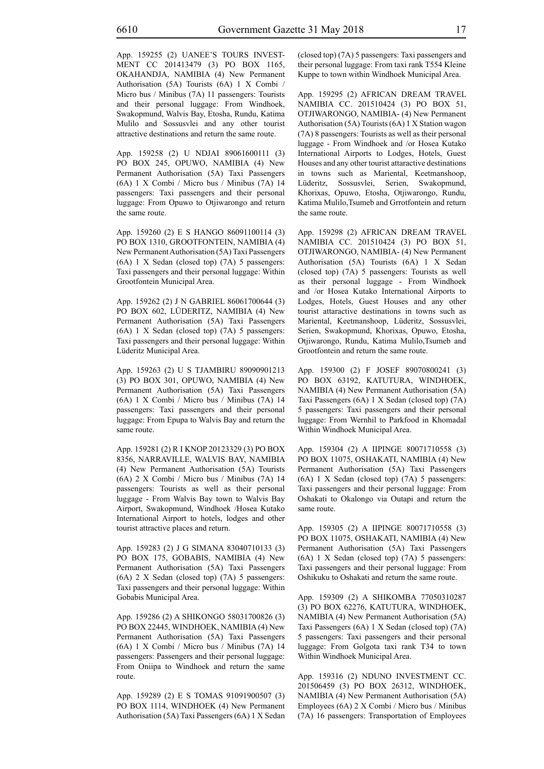App. 159255 (2) UANEE'S TOURS INVEST-MENT CC 201413479 (3) PO BOX 1165, OKAHANDJA, NAMIBIA (4) New Permanent Authorisation (5A) Tourists (6A) 1 X Combi / Micro bus / Minibus (7A) 11 passengers: Tourists and their personal luggage: From Windhoek, Swakopmund, Walvis Bay, Etosha, Rundu, Katima Mulilo and Sossusvlei and any other tourist attractive destinations and return the same route.

App. 159258 (2) U NDJAI 89061600111 (3) PO BOX 245, OPUWO, NAMIBIA (4) New Permanent Authorisation (5A) Taxi Passengers (6A) 1 X Combi / Micro bus / Minibus (7A) 14 passengers: Taxi passengers and their personal luggage: From Opuwo to Otjiwarongo and return the same route.

App. 159260 (2) E S HANGO 86091100114 (3) PO BOX 1310, GROOTFONTEIN, NAMIBIA (4) New Permanent Authorisation (5A) Taxi Passengers (6A) 1 X Sedan (closed top) (7A) 5 passengers: Taxi passengers and their personal luggage: Within Grootfontein Municipal Area.

App. 159262 (2) J N GABRIEL 86061700644 (3) PO BOX 602, LÜDERITZ, NAMIBIA (4) New Permanent Authorisation (5A) Taxi Passengers (6A) 1 X Sedan (closed top) (7A) 5 passengers: Taxi passengers and their personal luggage: Within Lüderitz Municipal Area.

App. 159263 (2) U S TJAMBIRU 89090901213 (3) PO BOX 301, OPUWO, NAMIBIA (4) New Permanent Authorisation (5A) Taxi Passengers (6A) 1 X Combi / Micro bus / Minibus (7A) 14 passengers: Taxi passengers and their personal luggage: From Epupa to Walvis Bay and return the same route.

App. 159281 (2) R I KNOP 20123329 (3) PO BOX 8356, NARRAVILLE, WALVIS BAY, NAMIBIA (4) New Permanent Authorisation (5A) Tourists (6A) 2 X Combi / Micro bus / Minibus (7A) 14 passengers: Tourists as well as their personal luggage - From Walvis Bay town to Walvis Bay Airport, Swakopmund, Windhoek /Hosea Kutako International Airport to hotels, lodges and other tourist attractive places and return.

App. 159283 (2) J G SIMANA 83040710133 (3) PO BOX 175, GOBABIS, NAMIBIA (4) New Permanent Authorisation (5A) Taxi Passengers (6A) 2 X Sedan (closed top) (7A) 5 passengers: Taxi passengers and their personal luggage: Within Gobabis Municipal Area.

App. 159286 (2) A SHIKONGO 58031700826 (3) PO BOX 22445, WINDHOEK, NAMIBIA (4) New Permanent Authorisation (5A) Taxi Passengers (6A) 1 X Combi / Micro bus / Minibus (7A) 14 passengers: Passengers and their personal luggage: From Oniipa to Windhoek and return the same route.

App. 159289 (2) E S TOMAS 91091900507 (3) PO BOX 1114, WINDHOEK (4) New Permanent Authorisation (5A) Taxi Passengers (6A) 1 X Sedan (closed top) (7A) 5 passengers: Taxi passengers and their personal luggage: From taxi rank T554 Kleine Kuppe to town within Windhoek Municipal Area.

App. 159295 (2) AFRICAN DREAM TRAVEL NAMIBIA CC. 201510424 (3) PO BOX 51, OTJIWARONGO, NAMIBIA- (4) New Permanent Authorisation (5A) Tourists (6A) 1 X Station wagon (7A) 8 passengers: Tourists as well as their personal luggage - From Windhoek and /or Hosea Kutako International Airports to Lodges, Hotels, Guest Houses and any other tourist attaractive destinations in towns such as Mariental, Keetmanshoop, Lüderitz, Sossusvlei, Serien, Swakopmund, Khorixas, Opuwo, Etosha, Otjiwarongo, Rundu, Katima Mulilo,Tsumeb and Grrotfontein and return the same route.

App. 159298 (2) AFRICAN DREAM TRAVEL NAMIBIA CC. 201510424 (3) PO BOX 51, OTJIWARONGO, NAMIBIA- (4) New Permanent Authorisation (5A) Tourists (6A) 1 X Sedan (closed top) (7A) 5 passengers: Tourists as well as their personal luggage - From Windhoek and /or Hosea Kutako International Airports to Lodges, Hotels, Guest Houses and any other tourist attaractive destinations in towns such as Mariental, Keetmanshoop, Lüderitz, Sossusvlei, Serien, Swakopmund, Khorixas, Opuwo, Etosha, Otjiwarongo, Rundu, Katima Mulilo,Tsumeb and Grootfontein and return the same route.

App. 159300 (2) F JOSEF 89070800241 (3) PO BOX 63192, KATUTURA, WINDHOEK, NAMIBIA (4) New Permanent Authorisation (5A) Taxi Passengers (6A) 1 X Sedan (closed top) (7A) 5 passengers: Taxi passengers and their personal luggage: From Wernhil to Parkfood in Khomadal Within Windhoek Municipal Area.

App. 159304 (2) A IIPINGE 80071710558 (3) PO BOX 11075, OSHAKATI, NAMIBIA (4) New Permanent Authorisation (5A) Taxi Passengers (6A) 1 X Sedan (closed top) (7A) 5 passengers: Taxi passengers and their personal luggage: From Oshakati to Okalongo via Outapi and return the same route.

App. 159305 (2) A IIPINGE 80071710558 (3) PO BOX 11075, OSHAKATI, NAMIBIA (4) New Permanent Authorisation (5A) Taxi Passengers (6A) 1 X Sedan (closed top) (7A) 5 passengers: Taxi passengers and their personal luggage: From Oshikuku to Oshakati and return the same route.

App. 159309 (2) A SHIKOMBA 77050310287 (3) PO BOX 62276, KATUTURA, WINDHOEK, NAMIBIA (4) New Permanent Authorisation (5A) Taxi Passengers (6A) 1 X Sedan (closed top) (7A) 5 passengers: Taxi passengers and their personal luggage: From Golgota taxi rank T34 to town Within Windhoek Municipal Area.

App. 159316 (2) NDUNO INVESTMENT CC. 201506459 (3) PO BOX 26312, WINDHOEK, NAMIBIA (4) New Permanent Authorisation (5A) Employees (6A) 2 X Combi / Micro bus / Minibus (7A) 16 passengers: Transportation of Employees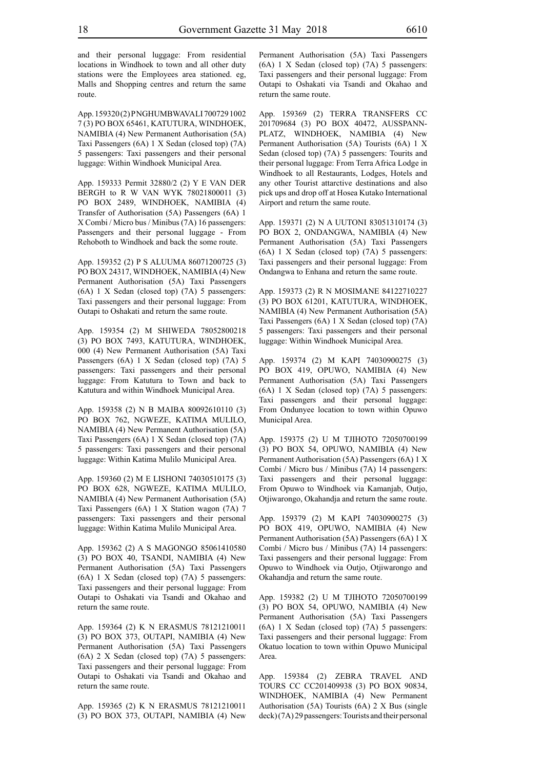and their personal luggage: From residential locations in Windhoek to town and all other duty stations were the Employees area stationed. eg, Malls and Shopping centres and return the same route.

App. 159320 (2) P NGHUMBWAVALI 700729 1002 7 (3) PO BOX 65461, KATUTURA, WINDHOEK, NAMIBIA (4) New Permanent Authorisation (5A) Taxi Passengers (6A) 1 X Sedan (closed top) (7A) 5 passengers: Taxi passengers and their personal luggage: Within Windhoek Municipal Area.

App. 159333 Permit 32880/2 (2) Y E VAN DER BERGH to R W VAN WYK 78021800011 (3) PO BOX 2489, WINDHOEK, NAMIBIA (4) Transfer of Authorisation (5A) Passengers (6A) 1 X Combi / Micro bus / Minibus (7A) 16 passengers: Passengers and their personal luggage - From Rehoboth to Windhoek and back the some route.

App. 159352 (2) P S ALUUMA 86071200725 (3) PO BOX 24317, WINDHOEK, NAMIBIA (4) New Permanent Authorisation (5A) Taxi Passengers (6A) 1 X Sedan (closed top) (7A) 5 passengers: Taxi passengers and their personal luggage: From Outapi to Oshakati and return the same route.

App. 159354 (2) M SHIWEDA 78052800218 (3) PO BOX 7493, KATUTURA, WINDHOEK, 000 (4) New Permanent Authorisation (5A) Taxi Passengers (6A) 1 X Sedan (closed top) (7A) 5 passengers: Taxi passengers and their personal luggage: From Katutura to Town and back to Katutura and within Windhoek Municipal Area.

App. 159358 (2) N B MAIBA 80092610110 (3) PO BOX 762, NGWEZE, KATIMA MULILO, NAMIBIA (4) New Permanent Authorisation (5A) Taxi Passengers (6A) 1 X Sedan (closed top) (7A) 5 passengers: Taxi passengers and their personal luggage: Within Katima Mulilo Municipal Area.

App. 159360 (2) M E LISHONI 74030510175 (3) PO BOX 628, NGWEZE, KATIMA MULILO, NAMIBIA (4) New Permanent Authorisation (5A) Taxi Passengers (6A) 1 X Station wagon (7A) 7 passengers: Taxi passengers and their personal luggage: Within Katima Mulilo Municipal Area.

App. 159362 (2) A S MAGONGO 85061410580 (3) PO BOX 40, TSANDI, NAMIBIA (4) New Permanent Authorisation (5A) Taxi Passengers (6A) 1 X Sedan (closed top) (7A) 5 passengers: Taxi passengers and their personal luggage: From Outapi to Oshakati via Tsandi and Okahao and return the same route.

App. 159364 (2) K N ERASMUS 78121210011 (3) PO BOX 373, OUTAPI, NAMIBIA (4) New Permanent Authorisation (5A) Taxi Passengers (6A) 2 X Sedan (closed top) (7A) 5 passengers: Taxi passengers and their personal luggage: From Outapi to Oshakati via Tsandi and Okahao and return the same route.

App. 159365 (2) K N ERASMUS 78121210011 (3) PO BOX 373, OUTAPI, NAMIBIA (4) New Permanent Authorisation (5A) Taxi Passengers (6A) 1 X Sedan (closed top) (7A) 5 passengers: Taxi passengers and their personal luggage: From Outapi to Oshakati via Tsandi and Okahao and return the same route.

App. 159369 (2) TERRA TRANSFERS CC 201709684 (3) PO BOX 40472, AUSSPANN-PLATZ, WINDHOEK, NAMIBIA (4) New Permanent Authorisation (5A) Tourists (6A) 1 X Sedan (closed top) (7A) 5 passengers: Tourits and their personal luggage: From Terra Africa Lodge in Windhoek to all Restaurants, Lodges, Hotels and any other Tourist attarctive destinations and also pick ups and drop off at Hosea Kutako International Airport and return the same route.

App. 159371 (2) N A UUTONI 83051310174 (3) PO BOX 2, ONDANGWA, NAMIBIA (4) New Permanent Authorisation (5A) Taxi Passengers (6A) 1 X Sedan (closed top) (7A) 5 passengers: Taxi passengers and their personal luggage: From Ondangwa to Enhana and return the same route.

App. 159373 (2) R N MOSIMANE 84122710227 (3) PO BOX 61201, KATUTURA, WINDHOEK, NAMIBIA (4) New Permanent Authorisation (5A) Taxi Passengers (6A) 1 X Sedan (closed top) (7A) 5 passengers: Taxi passengers and their personal luggage: Within Windhoek Municipal Area.

App. 159374 (2) M KAPI 74030900275 (3) PO BOX 419, OPUWO, NAMIBIA (4) New Permanent Authorisation (5A) Taxi Passengers (6A) 1 X Sedan (closed top) (7A) 5 passengers: Taxi passengers and their personal luggage: From Ondunyee location to town within Opuwo Municipal Area.

App. 159375 (2) U M TJIHOTO 72050700199 (3) PO BOX 54, OPUWO, NAMIBIA (4) New Permanent Authorisation (5A) Passengers (6A) 1 X Combi / Micro bus / Minibus (7A) 14 passengers: Taxi passengers and their personal luggage: From Opuwo to Windhoek via Kamanjab, Outjo, Otjiwarongo, Okahandja and return the same route.

App. 159379 (2) M KAPI 74030900275 (3) PO BOX 419, OPUWO, NAMIBIA (4) New Permanent Authorisation (5A) Passengers (6A) 1 X Combi / Micro bus / Minibus (7A) 14 passengers: Taxi passengers and their personal luggage: From Opuwo to Windhoek via Outjo, Otjiwarongo and Okahandja and return the same route.

App. 159382 (2) U M TJIHOTO 72050700199 (3) PO BOX 54, OPUWO, NAMIBIA (4) New Permanent Authorisation (5A) Taxi Passengers (6A) 1 X Sedan (closed top) (7A) 5 passengers: Taxi passengers and their personal luggage: From Okatuo location to town within Opuwo Municipal Area.

App. 159384 (2) ZEBRA TRAVEL AND TOURS CC CC201409938 (3) PO BOX 90834, WINDHOEK, NAMIBIA (4) New Permanent Authorisation (5A) Tourists (6A) 2 X Bus (single deck) (7A) 29 passengers: Tourists and their personal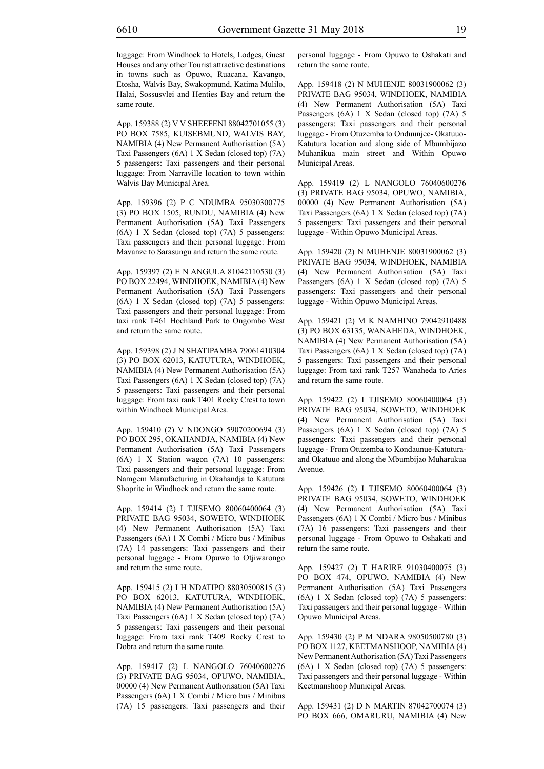luggage: From Windhoek to Hotels, Lodges, Guest Houses and any other Tourist attractive destinations in towns such as Opuwo, Ruacana, Kavango, Etosha, Walvis Bay, Swakopmund, Katima Mulilo, Halai, Sossusvlei and Henties Bay and return the same route.

App. 159388 (2) V V SHEEFENI 88042701055 (3) PO BOX 7585, KUISEBMUND, WALVIS BAY, NAMIBIA (4) New Permanent Authorisation (5A) Taxi Passengers (6A) 1 X Sedan (closed top) (7A) 5 passengers: Taxi passengers and their personal luggage: From Narraville location to town within Walvis Bay Municipal Area.

App. 159396 (2) P C NDUMBA 95030300775 (3) PO BOX 1505, RUNDU, NAMIBIA (4) New Permanent Authorisation (5A) Taxi Passengers (6A) 1 X Sedan (closed top) (7A) 5 passengers: Taxi passengers and their personal luggage: From Mavanze to Sarasungu and return the same route.

App. 159397 (2) E N ANGULA 81042110530 (3) PO BOX 22494, WINDHOEK, NAMIBIA (4) New Permanent Authorisation (5A) Taxi Passengers (6A) 1 X Sedan (closed top) (7A) 5 passengers: Taxi passengers and their personal luggage: From taxi rank T461 Hochland Park to Ongombo West and return the same route.

App. 159398 (2) J N SHATIPAMBA 79061410304 (3) PO BOX 62013, KATUTURA, WINDHOEK, NAMIBIA (4) New Permanent Authorisation (5A) Taxi Passengers (6A) 1 X Sedan (closed top) (7A) 5 passengers: Taxi passengers and their personal luggage: From taxi rank T401 Rocky Crest to town within Windhoek Municipal Area.

App. 159410 (2) V NDONGO 59070200694 (3) PO BOX 295, OKAHANDJA, NAMIBIA (4) New Permanent Authorisation (5A) Taxi Passengers (6A) 1 X Station wagon (7A) 10 passengers: Taxi passengers and their personal luggage: From Namgem Manufacturing in Okahandja to Katutura Shoprite in Windhoek and return the same route.

App. 159414 (2) I TJISEMO 80060400064 (3) PRIVATE BAG 95034, SOWETO, WINDHOEK (4) New Permanent Authorisation (5A) Taxi Passengers (6A) 1 X Combi / Micro bus / Minibus (7A) 14 passengers: Taxi passengers and their personal luggage - From Opuwo to Otjiwarongo and return the same route.

App. 159415 (2) I H NDATIPO 88030500815 (3) PO BOX 62013, KATUTURA, WINDHOEK, NAMIBIA (4) New Permanent Authorisation (5A) Taxi Passengers (6A) 1 X Sedan (closed top) (7A) 5 passengers: Taxi passengers and their personal luggage: From taxi rank T409 Rocky Crest to Dobra and return the same route.

App. 159417 (2) L NANGOLO 76040600276 (3) PRIVATE BAG 95034, OPUWO, NAMIBIA, 00000 (4) New Permanent Authorisation (5A) Taxi Passengers (6A) 1 X Combi / Micro bus / Minibus (7A) 15 passengers: Taxi passengers and their

personal luggage - From Opuwo to Oshakati and return the same route.

App. 159418 (2) N MUHENJE 80031900062 (3) PRIVATE BAG 95034, WINDHOEK, NAMIBIA (4) New Permanent Authorisation (5A) Taxi Passengers (6A) 1 X Sedan (closed top) (7A) 5 passengers: Taxi passengers and their personal luggage - From Otuzemba to Onduunjee- Okatuuo-Katutura location and along side of Mbumbijazo Muhanikua main street and Within Opuwo Municipal Areas.

App. 159419 (2) L NANGOLO 76040600276 (3) PRIVATE BAG 95034, OPUWO, NAMIBIA, 00000 (4) New Permanent Authorisation (5A) Taxi Passengers (6A) 1 X Sedan (closed top) (7A) 5 passengers: Taxi passengers and their personal luggage - Within Opuwo Municipal Areas.

App. 159420 (2) N MUHENJE 80031900062 (3) PRIVATE BAG 95034, WINDHOEK, NAMIBIA (4) New Permanent Authorisation (5A) Taxi Passengers (6A) 1 X Sedan (closed top) (7A) 5 passengers: Taxi passengers and their personal luggage - Within Opuwo Municipal Areas.

App. 159421 (2) M K NAMHINO 79042910488 (3) PO BOX 63135, WANAHEDA, WINDHOEK, NAMIBIA (4) New Permanent Authorisation (5A) Taxi Passengers (6A) 1 X Sedan (closed top) (7A) 5 passengers: Taxi passengers and their personal luggage: From taxi rank T257 Wanaheda to Aries and return the same route.

App. 159422 (2) I TJISEMO 80060400064 (3) PRIVATE BAG 95034, SOWETO, WINDHOEK (4) New Permanent Authorisation (5A) Taxi Passengers (6A) 1 X Sedan (closed top) (7A) 5 passengers: Taxi passengers and their personal luggage - From Otuzemba to Kondaunue-Katuturaand Okatuuo and along the Mbumbijao Muharukua Avenue.

App. 159426 (2) I TJISEMO 80060400064 (3) PRIVATE BAG 95034, SOWETO, WINDHOEK (4) New Permanent Authorisation (5A) Taxi Passengers (6A) 1 X Combi / Micro bus / Minibus (7A) 16 passengers: Taxi passengers and their personal luggage - From Opuwo to Oshakati and return the same route.

App. 159427 (2) T HARIRE 91030400075 (3) PO BOX 474, OPUWO, NAMIBIA (4) New Permanent Authorisation (5A) Taxi Passengers (6A) 1 X Sedan (closed top) (7A) 5 passengers: Taxi passengers and their personal luggage - Within Opuwo Municipal Areas.

App. 159430 (2) P M NDARA 98050500780 (3) PO BOX 1127, KEETMANSHOOP, NAMIBIA (4) New Permanent Authorisation (5A) Taxi Passengers (6A) 1 X Sedan (closed top) (7A) 5 passengers: Taxi passengers and their personal luggage - Within Keetmanshoop Municipal Areas.

App. 159431 (2) D N MARTIN 87042700074 (3) PO BOX 666, OMARURU, NAMIBIA (4) New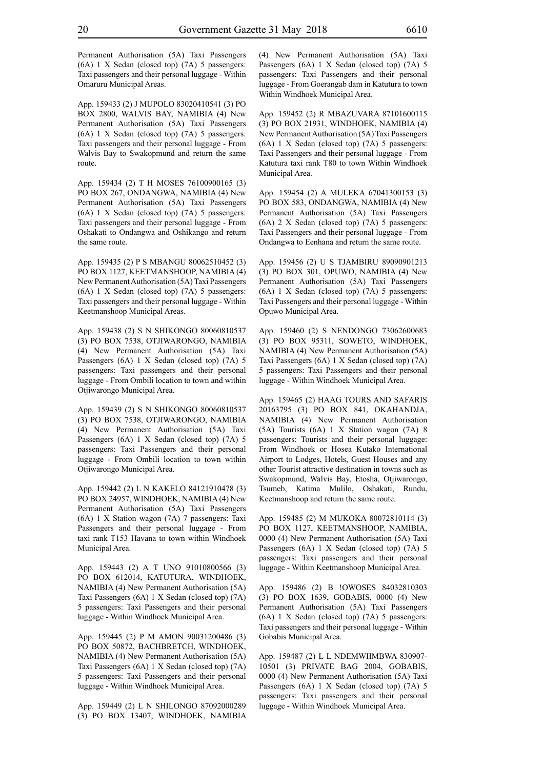Permanent Authorisation (5A) Taxi Passengers (6A) 1 X Sedan (closed top) (7A) 5 passengers: Taxi passengers and their personal luggage - Within Omaruru Municipal Areas.

App. 159433 (2) J MUPOLO 83020410541 (3) PO BOX 2800, WALVIS BAY, NAMIBIA (4) New Permanent Authorisation (5A) Taxi Passengers (6A) 1 X Sedan (closed top) (7A) 5 passengers: Taxi passengers and their personal luggage - From Walvis Bay to Swakopmund and return the same route.

App. 159434 (2) T H MOSES 76100900165 (3) PO BOX 267, ONDANGWA, NAMIBIA (4) New Permanent Authorisation (5A) Taxi Passengers (6A) 1 X Sedan (closed top) (7A) 5 passengers: Taxi passengers and their personal luggage - From Oshakati to Ondangwa and Oshikango and return the same route.

App. 159435 (2) P S MBANGU 80062510452 (3) PO BOX 1127, KEETMANSHOOP, NAMIBIA (4) New Permanent Authorisation (5A) Taxi Passengers (6A) 1 X Sedan (closed top) (7A) 5 passengers: Taxi passengers and their personal luggage - Within Keetmanshoop Municipal Areas.

App. 159438 (2) S N SHIKONGO 80060810537 (3) PO BOX 7538, OTJIWARONGO, NAMIBIA (4) New Permanent Authorisation (5A) Taxi Passengers (6A) 1 X Sedan (closed top) (7A) 5 passengers: Taxi passengers and their personal luggage - From Ombili location to town and within Otjiwarongo Municipal Area.

App. 159439 (2) S N SHIKONGO 80060810537 (3) PO BOX 7538, OTJIWARONGO, NAMIBIA (4) New Permanent Authorisation (5A) Taxi Passengers (6A) 1 X Sedan (closed top) (7A) 5 passengers: Taxi Passengers and their personal luggage - From Ombili location to town within Otjiwarongo Municipal Area.

App. 159442 (2) L N KAKELO 84121910478 (3) PO BOX 24957, WINDHOEK, NAMIBIA (4) New Permanent Authorisation (5A) Taxi Passengers (6A) 1 X Station wagon (7A) 7 passengers: Taxi Passengers and their personal luggage - From taxi rank T153 Havana to town within Windhoek Municipal Area.

App. 159443 (2) A T UNO 91010800566 (3) PO BOX 612014, KATUTURA, WINDHOEK, NAMIBIA (4) New Permanent Authorisation (5A) Taxi Passengers (6A) 1 X Sedan (closed top) (7A) 5 passengers: Taxi Passengers and their personal luggage - Within Windhoek Municipal Area.

App. 159445 (2) P M AMON 90031200486 (3) PO BOX 50872, BACHBRETCH, WINDHOEK, NAMIBIA (4) New Permanent Authorisation (5A) Taxi Passengers (6A) 1 X Sedan (closed top) (7A) 5 passengers: Taxi Passengers and their personal luggage - Within Windhoek Municipal Area.

App. 159449 (2) L N SHILONGO 87092000289 (3) PO BOX 13407, WINDHOEK, NAMIBIA (4) New Permanent Authorisation (5A) Taxi Passengers (6A) 1 X Sedan (closed top) (7A) 5 passengers: Taxi Passengers and their personal luggage - From Goerangab dam in Katutura to town Within Windhoek Municipal Area.

App. 159452 (2) R MBAZUVARA 87101600115 (3) PO BOX 21931, WINDHOEK, NAMIBIA (4) New Permanent Authorisation (5A) Taxi Passengers (6A) 1 X Sedan (closed top) (7A) 5 passengers: Taxi Passengers and their personal luggage - From Katutura taxi rank T80 to town Within Windhoek Municipal Area.

App. 159454 (2) A MULEKA 67041300153 (3) PO BOX 583, ONDANGWA, NAMIBIA (4) New Permanent Authorisation (5A) Taxi Passengers (6A) 2 X Sedan (closed top) (7A) 5 passengers: Taxi Passengers and their personal luggage - From Ondangwa to Eenhana and return the same route.

App. 159456 (2) U S TJAMBIRU 89090901213 (3) PO BOX 301, OPUWO, NAMIBIA (4) New Permanent Authorisation (5A) Taxi Passengers (6A) 1 X Sedan (closed top) (7A) 5 passengers: Taxi Passengers and their personal luggage - Within Opuwo Municipal Area.

App. 159460 (2) S NENDONGO 73062600683 (3) PO BOX 95311, SOWETO, WINDHOEK, NAMIBIA (4) New Permanent Authorisation (5A) Taxi Passengers (6A) 1 X Sedan (closed top) (7A) 5 passengers: Taxi Passengers and their personal luggage - Within Windhoek Municipal Area.

App. 159465 (2) HAAG TOURS AND SAFARIS 20163795 (3) PO BOX 841, OKAHANDJA, NAMIBIA (4) New Permanent Authorisation (5A) Tourists (6A) 1 X Station wagon (7A) 8 passengers: Tourists and their personal luggage: From Windhoek or Hosea Kutako International Airport to Lodges, Hotels, Guest Houses and any other Tourist attractive destination in towns such as Swakopmund, Walvis Bay, Etosha, Otjiwarongo, Tsumeb, Katima Mulilo, Oshakati, Rundu, Keetmanshoop and return the same route.

App. 159485 (2) M MUKOKA 80072810114 (3) PO BOX 1127, KEETMANSHOOP, NAMIBIA, 0000 (4) New Permanent Authorisation (5A) Taxi Passengers (6A) 1 X Sedan (closed top) (7A) 5 passengers: Taxi passengers and their personal luggage - Within Keetmanshoop Municipal Area.

App. 159486 (2) B !OWOSES 84032810303 (3) PO BOX 1639, GOBABIS, 0000 (4) New Permanent Authorisation (5A) Taxi Passengers (6A) 1 X Sedan (closed top) (7A) 5 passengers: Taxi passengers and their personal luggage - Within Gobabis Municipal Area.

App. 159487 (2) L L NDEMWIIMBWA 830907- 10501 (3) PRIVATE BAG 2004, GOBABIS, 0000 (4) New Permanent Authorisation (5A) Taxi Passengers (6A) 1 X Sedan (closed top) (7A) 5 passengers: Taxi passengers and their personal luggage - Within Windhoek Municipal Area.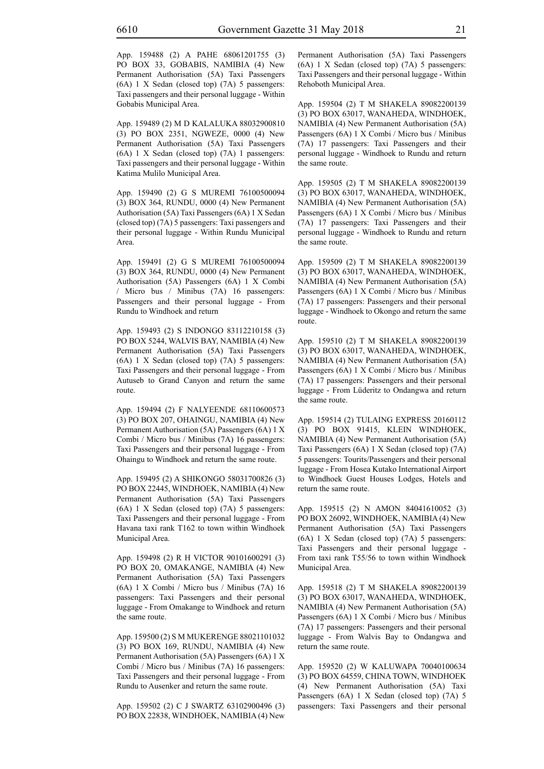App. 159488 (2) A PAHE 68061201755 (3) PO BOX 33, GOBABIS, NAMIBIA (4) New Permanent Authorisation (5A) Taxi Passengers (6A) 1 X Sedan (closed top) (7A) 5 passengers: Taxi passengers and their personal luggage - Within Gobabis Municipal Area.

App. 159489 (2) M D KALALUKA 88032900810 (3) PO BOX 2351, NGWEZE, 0000 (4) New Permanent Authorisation (5A) Taxi Passengers (6A) 1 X Sedan (closed top) (7A) 1 passengers: Taxi passengers and their personal luggage - Within Katima Mulilo Municipal Area.

App. 159490 (2) G S MUREMI 76100500094 (3) BOX 364, RUNDU, 0000 (4) New Permanent Authorisation (5A) Taxi Passengers (6A) 1 X Sedan (closed top) (7A) 5 passengers: Taxi passengers and their personal luggage - Within Rundu Municipal Area.

App. 159491 (2) G S MUREMI 76100500094 (3) BOX 364, RUNDU, 0000 (4) New Permanent Authorisation (5A) Passengers (6A) 1 X Combi / Micro bus / Minibus (7A) 16 passengers: Passengers and their personal luggage - From Rundu to Windhoek and return

App. 159493 (2) S INDONGO 83112210158 (3) PO BOX 5244, WALVIS BAY, NAMIBIA (4) New Permanent Authorisation (5A) Taxi Passengers (6A) 1 X Sedan (closed top) (7A) 5 passengers: Taxi Passengers and their personal luggage - From Autuseb to Grand Canyon and return the same route.

App. 159494 (2) F NALYEENDE 68110600573 (3) PO BOX 207, OHAINGU, NAMIBIA (4) New Permanent Authorisation (5A) Passengers (6A) 1 X Combi / Micro bus / Minibus (7A) 16 passengers: Taxi Passengers and their personal luggage - From Ohaingu to Windhoek and return the same route.

App. 159495 (2) A SHIKONGO 58031700826 (3) PO BOX 22445, WINDHOEK, NAMIBIA (4) New Permanent Authorisation (5A) Taxi Passengers (6A) 1 X Sedan (closed top) (7A) 5 passengers: Taxi Passengers and their personal luggage - From Havana taxi rank T162 to town within Windhoek Municipal Area.

App. 159498 (2) R H VICTOR 90101600291 (3) PO BOX 20, OMAKANGE, NAMIBIA (4) New Permanent Authorisation (5A) Taxi Passengers (6A) 1 X Combi / Micro bus / Minibus (7A) 16 passengers: Taxi Passengers and their personal luggage - From Omakange to Windhoek and return the same route.

App. 159500 (2) S M MUKERENGE 88021101032 (3) PO BOX 169, RUNDU, NAMIBIA (4) New Permanent Authorisation (5A) Passengers (6A) 1 X Combi / Micro bus / Minibus (7A) 16 passengers: Taxi Passengers and their personal luggage - From Rundu to Ausenker and return the same route.

App. 159502 (2) C J SWARTZ 63102900496 (3) PO BOX 22838, WINDHOEK, NAMIBIA (4) New Permanent Authorisation (5A) Taxi Passengers (6A) 1 X Sedan (closed top) (7A) 5 passengers: Taxi Passengers and their personal luggage - Within Rehoboth Municipal Area.

App. 159504 (2) T M SHAKELA 89082200139 (3) PO BOX 63017, WANAHEDA, WINDHOEK, NAMIBIA (4) New Permanent Authorisation (5A) Passengers (6A) 1 X Combi / Micro bus / Minibus (7A) 17 passengers: Taxi Passengers and their personal luggage - Windhoek to Rundu and return the same route.

App. 159505 (2) T M SHAKELA 89082200139 (3) PO BOX 63017, WANAHEDA, WINDHOEK, NAMIBIA (4) New Permanent Authorisation (5A) Passengers (6A) 1 X Combi / Micro bus / Minibus (7A) 17 passengers: Taxi Passengers and their personal luggage - Windhoek to Rundu and return the same route.

App. 159509 (2) T M SHAKELA 89082200139 (3) PO BOX 63017, WANAHEDA, WINDHOEK, NAMIBIA (4) New Permanent Authorisation (5A) Passengers (6A) 1 X Combi / Micro bus / Minibus (7A) 17 passengers: Passengers and their personal luggage - Windhoek to Okongo and return the same route.

App. 159510 (2) T M SHAKELA 89082200139 (3) PO BOX 63017, WANAHEDA, WINDHOEK, NAMIBIA (4) New Permanent Authorisation (5A) Passengers (6A) 1 X Combi / Micro bus / Minibus (7A) 17 passengers: Passengers and their personal luggage - From Lüderitz to Ondangwa and return the same route.

App. 159514 (2) TULAING EXPRESS 20160112 (3) PO BOX 91415, KLEIN WINDHOEK, NAMIBIA (4) New Permanent Authorisation (5A) Taxi Passengers (6A) 1 X Sedan (closed top) (7A) 5 passengers: Tourits/Passengers and their personal luggage - From Hosea Kutako International Airport to Windhoek Guest Houses Lodges, Hotels and return the same route.

App. 159515 (2) N AMON 84041610052 (3) PO BOX 26092, WINDHOEK, NAMIBIA (4) New Permanent Authorisation (5A) Taxi Passengers (6A) 1 X Sedan (closed top) (7A) 5 passengers: Taxi Passengers and their personal luggage - From taxi rank T55/56 to town within Windhoek Municipal Area.

App. 159518 (2) T M SHAKELA 89082200139 (3) PO BOX 63017, WANAHEDA, WINDHOEK, NAMIBIA (4) New Permanent Authorisation (5A) Passengers (6A) 1 X Combi / Micro bus / Minibus (7A) 17 passengers: Passengers and their personal luggage - From Walvis Bay to Ondangwa and return the same route.

App. 159520 (2) W KALUWAPA 70040100634 (3) PO BOX 64559, CHINA TOWN, WINDHOEK (4) New Permanent Authorisation (5A) Taxi Passengers (6A) 1 X Sedan (closed top) (7A) 5 passengers: Taxi Passengers and their personal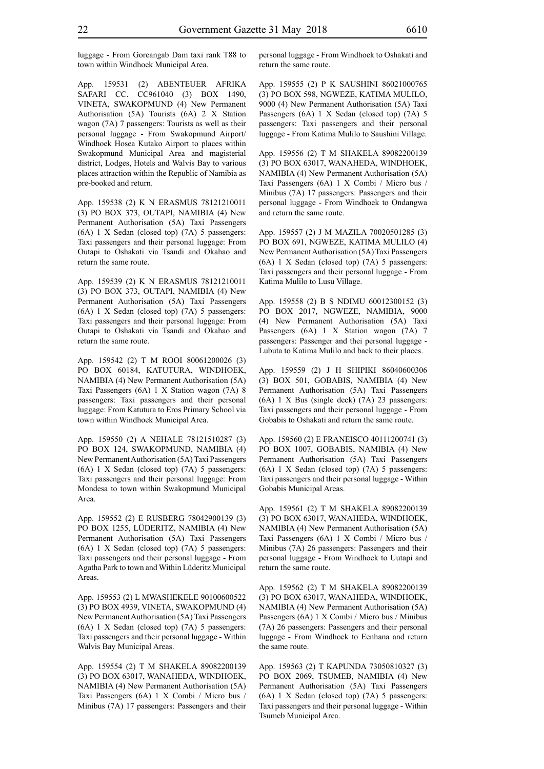luggage - From Goreangab Dam taxi rank T88 to town within Windhoek Municipal Area.

App. 159531 (2) ABENTEUER AFRIKA SAFARI CC. CC961040 (3) BOX 1490, VINETA, SWAKOPMUND (4) New Permanent Authorisation (5A) Tourists (6A) 2 X Station wagon (7A) 7 passengers: Tourists as well as their personal luggage - From Swakopmund Airport/ Windhoek Hosea Kutako Airport to places within Swakopmund Municipal Area and magisterial district, Lodges, Hotels and Walvis Bay to various places attraction within the Republic of Namibia as pre-booked and return.

App. 159538 (2) K N ERASMUS 78121210011 (3) PO BOX 373, OUTAPI, NAMIBIA (4) New Permanent Authorisation (5A) Taxi Passengers (6A) 1 X Sedan (closed top) (7A) 5 passengers: Taxi passengers and their personal luggage: From Outapi to Oshakati via Tsandi and Okahao and return the same route.

App. 159539 (2) K N ERASMUS 78121210011 (3) PO BOX 373, OUTAPI, NAMIBIA (4) New Permanent Authorisation (5A) Taxi Passengers (6A) 1 X Sedan (closed top) (7A) 5 passengers: Taxi passengers and their personal luggage: From Outapi to Oshakati via Tsandi and Okahao and return the same route.

App. 159542 (2) T M ROOI 80061200026 (3) PO BOX 60184, KATUTURA, WINDHOEK, NAMIBIA (4) New Permanent Authorisation (5A) Taxi Passengers (6A) 1 X Station wagon (7A) 8 passengers: Taxi passengers and their personal luggage: From Katutura to Eros Primary School via town within Windhoek Municipal Area.

App. 159550 (2) A NEHALE 78121510287 (3) PO BOX 124, SWAKOPMUND, NAMIBIA (4) New Permanent Authorisation (5A) Taxi Passengers (6A) 1 X Sedan (closed top) (7A) 5 passengers: Taxi passengers and their personal luggage: From Mondesa to town within Swakopmund Municipal Area.

App. 159552 (2) E RUSBERG 78042900139 (3) PO BOX 1255, LÜDERITZ, NAMIBIA (4) New Permanent Authorisation (5A) Taxi Passengers (6A) 1 X Sedan (closed top) (7A) 5 passengers: Taxi passengers and their personal luggage - From Agatha Park to town and Within Lüderitz Municipal Areas.

App. 159553 (2) L MWASHEKELE 90100600522 (3) PO BOX 4939, VINETA, SWAKOPMUND (4) New Permanent Authorisation (5A) Taxi Passengers (6A) 1 X Sedan (closed top) (7A) 5 passengers: Taxi passengers and their personal luggage - Within Walvis Bay Municipal Areas.

App. 159554 (2) T M SHAKELA 89082200139 (3) PO BOX 63017, WANAHEDA, WINDHOEK, NAMIBIA (4) New Permanent Authorisation (5A) Taxi Passengers (6A) 1 X Combi / Micro bus / Minibus (7A) 17 passengers: Passengers and their personal luggage - From Windhoek to Oshakati and return the same route.

App. 159555 (2) P K SAUSHINI 86021000765 (3) PO BOX 598, NGWEZE, KATIMA MULILO, 9000 (4) New Permanent Authorisation (5A) Taxi Passengers (6A) 1 X Sedan (closed top) (7A) 5 passengers: Taxi passengers and their personal luggage - From Katima Mulilo to Saushini Village.

App. 159556 (2) T M SHAKELA 89082200139 (3) PO BOX 63017, WANAHEDA, WINDHOEK, NAMIBIA (4) New Permanent Authorisation (5A) Taxi Passengers (6A) 1 X Combi / Micro bus / Minibus (7A) 17 passengers: Passengers and their personal luggage - From Windhoek to Ondangwa and return the same route.

App. 159557 (2) J M MAZILA 70020501285 (3) PO BOX 691, NGWEZE, KATIMA MULILO (4) New Permanent Authorisation (5A) Taxi Passengers (6A) 1 X Sedan (closed top) (7A) 5 passengers: Taxi passengers and their personal luggage - From Katima Mulilo to Lusu Village.

App. 159558 (2) B S NDIMU 60012300152 (3) PO BOX 2017, NGWEZE, NAMIBIA, 9000 (4) New Permanent Authorisation (5A) Taxi Passengers (6A) 1 X Station wagon (7A) 7 passengers: Passenger and thei personal luggage - Lubuta to Katima Mulilo and back to their places.

App. 159559 (2) J H SHIPIKI 86040600306 (3) BOX 501, GOBABIS, NAMIBIA (4) New Permanent Authorisation (5A) Taxi Passengers (6A) 1 X Bus (single deck) (7A) 23 passengers: Taxi passengers and their personal luggage - From Gobabis to Oshakati and return the same route.

App. 159560 (2) E FRANEISCO 40111200741 (3) PO BOX 1007, GOBABIS, NAMIBIA (4) New Permanent Authorisation (5A) Taxi Passengers (6A) 1 X Sedan (closed top) (7A) 5 passengers: Taxi passengers and their personal luggage - Within Gobabis Municipal Areas.

App. 159561 (2) T M SHAKELA 89082200139 (3) PO BOX 63017, WANAHEDA, WINDHOEK, NAMIBIA (4) New Permanent Authorisation (5A) Taxi Passengers (6A) 1 X Combi / Micro bus / Minibus (7A) 26 passengers: Passengers and their personal luggage - From Windhoek to Uutapi and return the same route.

App. 159562 (2) T M SHAKELA 89082200139 (3) PO BOX 63017, WANAHEDA, WINDHOEK, NAMIBIA (4) New Permanent Authorisation (5A) Passengers (6A) 1 X Combi / Micro bus / Minibus (7A) 26 passengers: Passengers and their personal luggage - From Windhoek to Eenhana and return the same route.

App. 159563 (2) T KAPUNDA 73050810327 (3) PO BOX 2069, TSUMEB, NAMIBIA (4) New Permanent Authorisation (5A) Taxi Passengers (6A) 1 X Sedan (closed top) (7A) 5 passengers: Taxi passengers and their personal luggage - Within Tsumeb Municipal Area.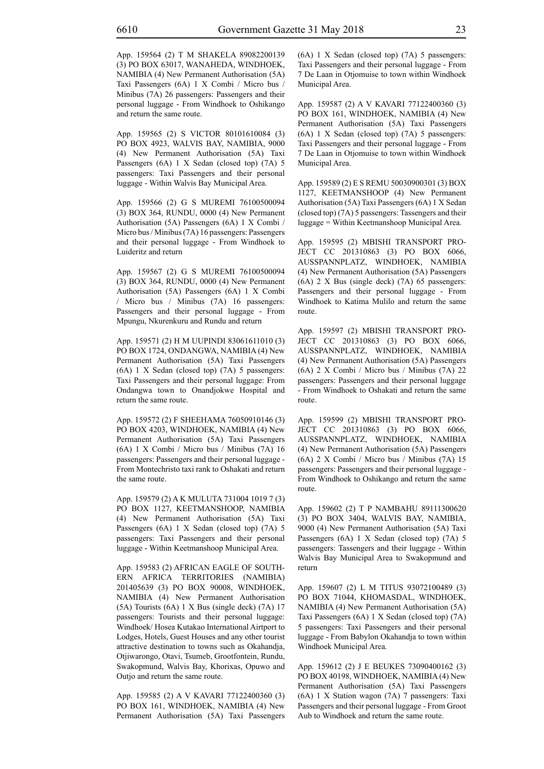App. 159564 (2) T M SHAKELA 89082200139 (3) PO BOX 63017, WANAHEDA, WINDHOEK, NAMIBIA (4) New Permanent Authorisation (5A) Taxi Passengers (6A) 1 X Combi / Micro bus / Minibus (7A) 26 passengers: Passengers and their personal luggage - From Windhoek to Oshikango and return the same route.

App. 159565 (2) S VICTOR 80101610084 (3) PO BOX 4923, WALVIS BAY, NAMIBIA, 9000 (4) New Permanent Authorisation (5A) Taxi Passengers (6A) 1 X Sedan (closed top) (7A) 5 passengers: Taxi Passengers and their personal luggage - Within Walvis Bay Municipal Area.

App. 159566 (2) G S MUREMI 76100500094 (3) BOX 364, RUNDU, 0000 (4) New Permanent Authorisation (5A) Passengers (6A) 1 X Combi / Micro bus / Minibus (7A) 16 passengers: Passengers and their personal luggage - From Windhoek to Luideritz and return

App. 159567 (2) G S MUREMI 76100500094 (3) BOX 364, RUNDU, 0000 (4) New Permanent Authorisation (5A) Passengers (6A) 1 X Combi / Micro bus / Minibus (7A) 16 passengers: Passengers and their personal luggage - From Mpungu, Nkurenkuru and Rundu and return

App. 159571 (2) H M UUPINDI 83061611010 (3) PO BOX 1724, ONDANGWA, NAMIBIA (4) New Permanent Authorisation (5A) Taxi Passengers (6A) 1 X Sedan (closed top) (7A) 5 passengers: Taxi Passengers and their personal luggage: From Ondangwa town to Onandjokwe Hospital and return the same route.

App. 159572 (2) F SHEEHAMA 76050910146 (3) PO BOX 4203, WINDHOEK, NAMIBIA (4) New Permanent Authorisation (5A) Taxi Passengers (6A) 1 X Combi / Micro bus / Minibus (7A) 16 passengers: Passengers and their personal luggage - From Montechristo taxi rank to Oshakati and return the same route.

App. 159579 (2) A K MULUTA 731004 1019 7 (3) PO BOX 1127, KEETMANSHOOP, NAMIBIA (4) New Permanent Authorisation (5A) Taxi Passengers (6A) 1 X Sedan (closed top) (7A) 5 passengers: Taxi Passengers and their personal luggage - Within Keetmanshoop Municipal Area.

App. 159583 (2) AFRICAN EAGLE OF SOUTH-ERN AFRICA TERRITORIES (NAMIBIA) 201405639 (3) PO BOX 90008, WINDHOEK, NAMIBIA (4) New Permanent Authorisation (5A) Tourists (6A) 1 X Bus (single deck) (7A) 17 passengers: Tourists and their personal luggage: Windhoek/ Hosea Kutakao International Airtport to Lodges, Hotels, Guest Houses and any other tourist attractive destination to towns such as Okahandja, Otjiwarongo, Otavi, Tsumeb, Grootfontein, Rundu, Swakopmund, Walvis Bay, Khorixas, Opuwo and Outjo and return the same route.

App. 159585 (2) A V KAVARI 77122400360 (3) PO BOX 161, WINDHOEK, NAMIBIA (4) New Permanent Authorisation (5A) Taxi Passengers (6A) 1 X Sedan (closed top) (7A) 5 passengers: Taxi Passengers and their personal luggage - From 7 De Laan in Otjomuise to town within Windhoek Municipal Area.

App. 159587 (2) A V KAVARI 77122400360 (3) PO BOX 161, WINDHOEK, NAMIBIA (4) New Permanent Authorisation (5A) Taxi Passengers (6A) 1 X Sedan (closed top) (7A) 5 passengers: Taxi Passengers and their personal luggage - From 7 De Laan in Otjomuise to town within Windhoek Municipal Area.

App. 159589 (2) E S REMU 50030900301 (3) BOX 1127, KEETMANSHOOP (4) New Permanent Authorisation (5A) Taxi Passengers (6A) 1 X Sedan (closed top) (7A) 5 passengers: Tassengers and their luggage = Within Keetmanshoop Municipal Area.

App. 159595 (2) MBISHI TRANSPORT PRO-JECT CC 201310863 (3) PO BOX 6066, AUSSPANNPLATZ, WINDHOEK, NAMIBIA (4) New Permanent Authorisation (5A) Passengers (6A) 2 X Bus (single deck) (7A) 65 passengers: Passengers and their personal luggage - From Windhoek to Katima Mulilo and return the same route.

App. 159597 (2) MBISHI TRANSPORT PRO-JECT CC 201310863 (3) PO BOX 6066, AUSSPANNPLATZ, WINDHOEK, NAMIBIA (4) New Permanent Authorisation (5A) Passengers (6A) 2 X Combi / Micro bus / Minibus (7A) 22 passengers: Passengers and their personal luggage - From Windhoek to Oshakati and return the same route.

App. 159599 (2) MBISHI TRANSPORT PRO-JECT CC 201310863 (3) PO BOX 6066, AUSSPANNPLATZ, WINDHOEK, NAMIBIA (4) New Permanent Authorisation (5A) Passengers (6A) 2 X Combi / Micro bus / Minibus (7A) 15 passengers: Passengers and their personal luggage - From Windhoek to Oshikango and return the same route.

App. 159602 (2) T P NAMBAHU 89111300620 (3) PO BOX 3404, WALVIS BAY, NAMIBIA, 9000 (4) New Permanent Authorisation (5A) Taxi Passengers (6A) 1 X Sedan (closed top) (7A) 5 passengers: Tassengers and their luggage - Within Walvis Bay Municipal Area to Swakopmund and return

App. 159607 (2) L M TITUS 93072100489 (3) PO BOX 71044, KHOMASDAL, WINDHOEK, NAMIBIA (4) New Permanent Authorisation (5A) Taxi Passengers (6A) 1 X Sedan (closed top) (7A) 5 passengers: Taxi Passengers and their personal luggage - From Babylon Okahandja to town within Windhoek Municipal Area.

App. 159612 (2) J E BEUKES 73090400162 (3) PO BOX 40198, WINDHOEK, NAMIBIA (4) New Permanent Authorisation (5A) Taxi Passengers (6A) 1 X Station wagon (7A) 7 passengers: Taxi Passengers and their personal luggage - From Groot Aub to Windhoek and return the same route.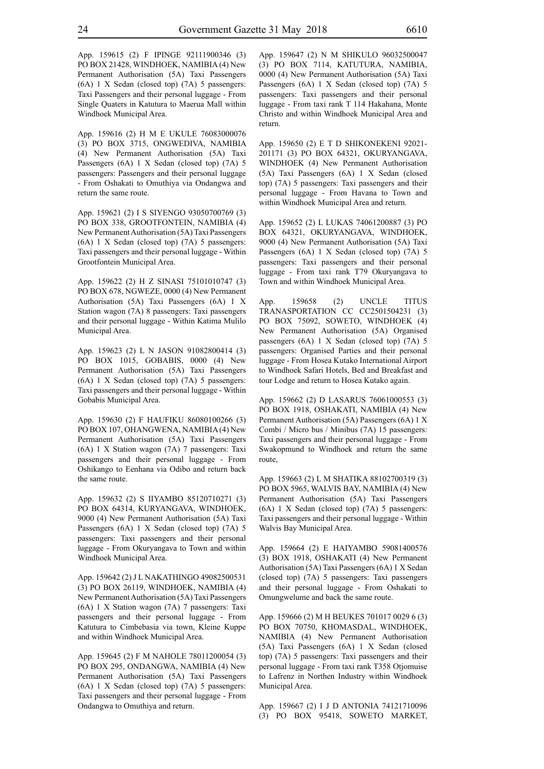App. 159615 (2) F IPINGE 92111900346 (3) PO BOX 21428, WINDHOEK, NAMIBIA (4) New Permanent Authorisation (5A) Taxi Passengers (6A) 1 X Sedan (closed top) (7A) 5 passengers: Taxi Passengers and their personal luggage - From Single Quaters in Katutura to Maerua Mall within Windhoek Municipal Area.

App. 159616 (2) H M E UKULE 76083000076 (3) PO BOX 3715, ONGWEDIVA, NAMIBIA (4) New Permanent Authorisation (5A) Taxi Passengers (6A) 1 X Sedan (closed top) (7A) 5 passengers: Passengers and their personal luggage - From Oshakati to Omuthiya via Ondangwa and return the same route.

App. 159621 (2) I S SIYENGO 93050700769 (3) PO BOX 338, GROOTFONTEIN, NAMIBIA (4) New Permanent Authorisation (5A) Taxi Passengers (6A) 1 X Sedan (closed top) (7A) 5 passengers: Taxi passengers and their personal luggage - Within Grootfontein Municipal Area.

App. 159622 (2) H Z SINASI 75101010747 (3) PO BOX 678, NGWEZE, 0000 (4) New Permanent Authorisation (5A) Taxi Passengers (6A) 1 X Station wagon (7A) 8 passengers: Taxi passengers and their personal luggage - Within Katima Mulilo Municipal Area.

App. 159623 (2) L N JASON 91082800414 (3) PO BOX 1015, GOBABIS, 0000 (4) New Permanent Authorisation (5A) Taxi Passengers (6A) 1 X Sedan (closed top) (7A) 5 passengers: Taxi passengers and their personal luggage - Within Gobabis Municipal Area.

App. 159630 (2) F HAUFIKU 86080100266 (3) PO BOX 107, OHANGWENA, NAMIBIA (4) New Permanent Authorisation (5A) Taxi Passengers (6A) 1 X Station wagon (7A) 7 passengers: Taxi passengers and their personal luggage - From Oshikango to Eenhana via Odibo and return back the same route.

App. 159632 (2) S IIYAMBO 85120710271 (3) PO BOX 64314, KURYANGAVA, WINDHOEK, 9000 (4) New Permanent Authorisation (5A) Taxi Passengers (6A) 1 X Sedan (closed top) (7A) 5 passengers: Taxi passengers and their personal luggage - From Okuryangava to Town and within Windhoek Municipal Area.

App. 159642 (2) J L NAKATHINGO 49082500531 (3) PO BOX 26119, WINDHOEK, NAMIBIA (4) New Permanent Authorisation (5A) Taxi Passengers (6A) 1 X Station wagon (7A) 7 passengers: Taxi passengers and their personal luggage - From Katutura to Cimbebasia via town, Kleine Kuppe and within Windhoek Municipal Area.

App. 159645 (2) F M NAHOLE 78011200054 (3) PO BOX 295, ONDANGWA, NAMIBIA (4) New Permanent Authorisation (5A) Taxi Passengers (6A) 1 X Sedan (closed top) (7A) 5 passengers: Taxi passengers and their personal luggage - From Ondangwa to Omuthiya and return.

App. 159647 (2) N M SHIKULO 96032500047 (3) PO BOX 7114, KATUTURA, NAMIBIA, 0000 (4) New Permanent Authorisation (5A) Taxi Passengers (6A) 1 X Sedan (closed top) (7A) 5 passengers: Taxi passengers and their personal luggage - From taxi rank T 114 Hakahana, Monte Christo and within Windhoek Municipal Area and return.

App. 159650 (2) E T D SHIKONEKENI 92021- 201171 (3) PO BOX 64321, OKURYANGAVA, WINDHOEK (4) New Permanent Authorisation (5A) Taxi Passengers (6A) 1 X Sedan (closed top) (7A) 5 passengers: Taxi passengers and their personal luggage - From Havana to Town and within Windhoek Municipal Area and return.

App. 159652 (2) L LUKAS 74061200887 (3) PO BOX 64321, OKURYANGAVA, WINDHOEK, 9000 (4) New Permanent Authorisation (5A) Taxi Passengers (6A) 1 X Sedan (closed top) (7A) 5 passengers: Taxi passengers and their personal luggage - From taxi rank T79 Okuryangava to Town and within Windhoek Municipal Area.

App. 159658 (2) UNCLE TITUS TRANASPORTATION CC CC2501504231 (3) PO BOX 75092, SOWETO, WINDHOEK (4) New Permanent Authorisation (5A) Organised passengers (6A) 1 X Sedan (closed top) (7A) 5 passengers: Organised Parties and their personal luggage - From Hosea Kutako International Airport to Windhoek Safari Hotels, Bed and Breakfast and tour Lodge and return to Hosea Kutako again.

App. 159662 (2) D LASARUS 76061000553 (3) PO BOX 1918, OSHAKATI, NAMIBIA (4) New Permanent Authorisation (5A) Passengers (6A) 1 X Combi / Micro bus / Minibus (7A) 15 passengers: Taxi passengers and their personal luggage - From Swakopmund to Windhoek and return the same route,

App. 159663 (2) L M SHATIKA 88102700319 (3) PO BOX 5965, WALVIS BAY, NAMIBIA (4) New Permanent Authorisation (5A) Taxi Passengers (6A) 1 X Sedan (closed top) (7A) 5 passengers: Taxi passengers and their personal luggage - Within Walvis Bay Municipal Area.

App. 159664 (2) E HAIYAMBO 59081400576 (3) BOX 1918, OSHAKATI (4) New Permanent Authorisation (5A) Taxi Passengers (6A) 1 X Sedan (closed top) (7A) 5 passengers: Taxi passengers and their personal luggage - From Oshakati to Omungwelume and back the same route.

App. 159666 (2) M H BEUKES 701017 0029 6 (3) PO BOX 70750, KHOMASDAL, WINDHOEK, NAMIBIA (4) New Permanent Authorisation (5A) Taxi Passengers (6A) 1 X Sedan (closed top) (7A) 5 passengers: Taxi passengers and their personal luggage - From taxi rank T358 Otjomuise to Lafrenz in Northen Industry within Windhoek Municipal Area.

App. 159667 (2) I J D ANTONIA 74121710096 (3) PO BOX 95418, SOWETO MARKET,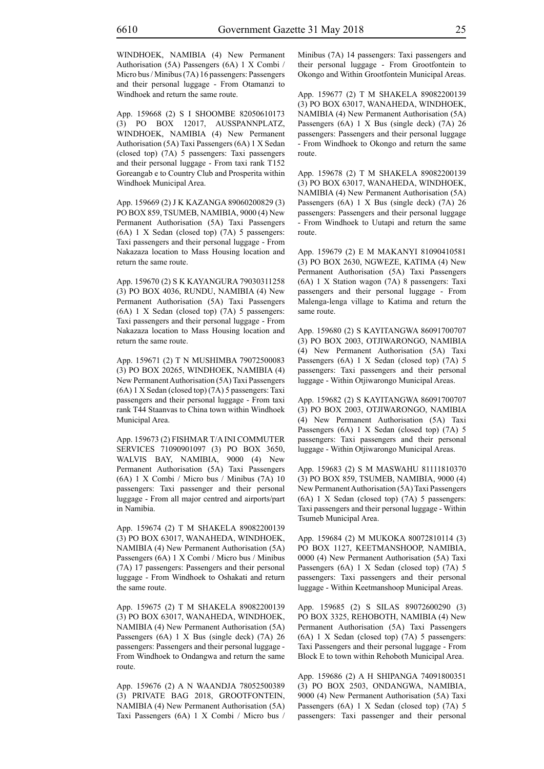WINDHOEK, NAMIBIA (4) New Permanent Authorisation (5A) Passengers (6A) 1 X Combi / Micro bus / Minibus (7A) 16 passengers: Passengers and their personal luggage - From Otamanzi to Windhoek and return the same route.

App. 159668 (2) S I SHOOMBE 82050610173 (3) PO BOX 12017, AUSSPANNPLATZ, WINDHOEK, NAMIBIA (4) New Permanent Authorisation (5A) Taxi Passengers (6A) 1 X Sedan (closed top) (7A) 5 passengers: Taxi passengers and their personal luggage - From taxi rank T152 Goreangab e to Country Club and Prosperita within Windhoek Municipal Area.

App. 159669 (2) J K KAZANGA 89060200829 (3) PO BOX 859, TSUMEB, NAMIBIA, 9000 (4) New Permanent Authorisation (5A) Taxi Passengers (6A) 1 X Sedan (closed top) (7A) 5 passengers: Taxi passengers and their personal luggage - From Nakazaza location to Mass Housing location and return the same route.

App. 159670 (2) S K KAYANGURA 79030311258 (3) PO BOX 4036, RUNDU, NAMIBIA (4) New Permanent Authorisation (5A) Taxi Passengers (6A) 1 X Sedan (closed top) (7A) 5 passengers: Taxi passengers and their personal luggage - From Nakazaza location to Mass Housing location and return the same route.

App. 159671 (2) T N MUSHIMBA 79072500083 (3) PO BOX 20265, WINDHOEK, NAMIBIA (4) New Permanent Authorisation (5A) Taxi Passengers (6A) 1 X Sedan (closed top) (7A) 5 passengers: Taxi passengers and their personal luggage - From taxi rank T44 Staanvas to China town within Windhoek Municipal Area.

App. 159673 (2) FISHMAR T/A INI COMMUTER SERVICES 71090901097 (3) PO BOX 3650, WALVIS BAY, NAMIBIA, 9000 (4) New Permanent Authorisation (5A) Taxi Passengers (6A) 1 X Combi / Micro bus / Minibus (7A) 10 passengers: Taxi passenger and their personal luggage - From all major centred and airports/part in Namibia.

App. 159674 (2) T M SHAKELA 89082200139 (3) PO BOX 63017, WANAHEDA, WINDHOEK, NAMIBIA (4) New Permanent Authorisation (5A) Passengers (6A) 1 X Combi / Micro bus / Minibus (7A) 17 passengers: Passengers and their personal luggage - From Windhoek to Oshakati and return the same route.

App. 159675 (2) T M SHAKELA 89082200139 (3) PO BOX 63017, WANAHEDA, WINDHOEK, NAMIBIA (4) New Permanent Authorisation (5A) Passengers (6A) 1 X Bus (single deck) (7A) 26 passengers: Passengers and their personal luggage - From Windhoek to Ondangwa and return the same route.

App. 159676 (2) A N WAANDJA 78052500389 (3) PRIVATE BAG 2018, GROOTFONTEIN, NAMIBIA (4) New Permanent Authorisation (5A) Taxi Passengers (6A) 1 X Combi / Micro bus / Minibus (7A) 14 passengers: Taxi passengers and their personal luggage - From Grootfontein to Okongo and Within Grootfontein Municipal Areas.

App. 159677 (2) T M SHAKELA 89082200139 (3) PO BOX 63017, WANAHEDA, WINDHOEK, NAMIBIA (4) New Permanent Authorisation (5A) Passengers (6A) 1 X Bus (single deck) (7A) 26 passengers: Passengers and their personal luggage - From Windhoek to Okongo and return the same route.

App. 159678 (2) T M SHAKELA 89082200139 (3) PO BOX 63017, WANAHEDA, WINDHOEK, NAMIBIA (4) New Permanent Authorisation (5A) Passengers (6A) 1 X Bus (single deck) (7A) 26 passengers: Passengers and their personal luggage - From Windhoek to Uutapi and return the same route.

App. 159679 (2) E M MAKANYI 81090410581 (3) PO BOX 2630, NGWEZE, KATIMA (4) New Permanent Authorisation (5A) Taxi Passengers (6A) 1 X Station wagon (7A) 8 passengers: Taxi passengers and their personal luggage - From Malenga-lenga village to Katima and return the same route.

App. 159680 (2) S KAYITANGWA 86091700707 (3) PO BOX 2003, OTJIWARONGO, NAMIBIA (4) New Permanent Authorisation (5A) Taxi Passengers (6A) 1 X Sedan (closed top) (7A) 5 passengers: Taxi passengers and their personal luggage - Within Otjiwarongo Municipal Areas.

App. 159682 (2) S KAYITANGWA 86091700707 (3) PO BOX 2003, OTJIWARONGO, NAMIBIA (4) New Permanent Authorisation (5A) Taxi Passengers (6A) 1 X Sedan (closed top) (7A) 5 passengers: Taxi passengers and their personal luggage - Within Otjiwarongo Municipal Areas.

App. 159683 (2) S M MASWAHU 81111810370 (3) PO BOX 859, TSUMEB, NAMIBIA, 9000 (4) New Permanent Authorisation (5A) Taxi Passengers (6A) 1 X Sedan (closed top) (7A) 5 passengers: Taxi passengers and their personal luggage - Within Tsumeb Municipal Area.

App. 159684 (2) M MUKOKA 80072810114 (3) PO BOX 1127, KEETMANSHOOP, NAMIBIA, 0000 (4) New Permanent Authorisation (5A) Taxi Passengers (6A) 1 X Sedan (closed top) (7A) 5 passengers: Taxi passengers and their personal luggage - Within Keetmanshoop Municipal Areas.

App. 159685 (2) S SILAS 89072600290 (3) PO BOX 3325, REHOBOTH, NAMIBIA (4) New Permanent Authorisation (5A) Taxi Passengers (6A) 1 X Sedan (closed top) (7A) 5 passengers: Taxi Passengers and their personal luggage - From Block E to town within Rehoboth Municipal Area.

App. 159686 (2) A H SHIPANGA 74091800351 (3) PO BOX 2503, ONDANGWA, NAMIBIA, 9000 (4) New Permanent Authorisation (5A) Taxi Passengers (6A) 1 X Sedan (closed top) (7A) 5 passengers: Taxi passenger and their personal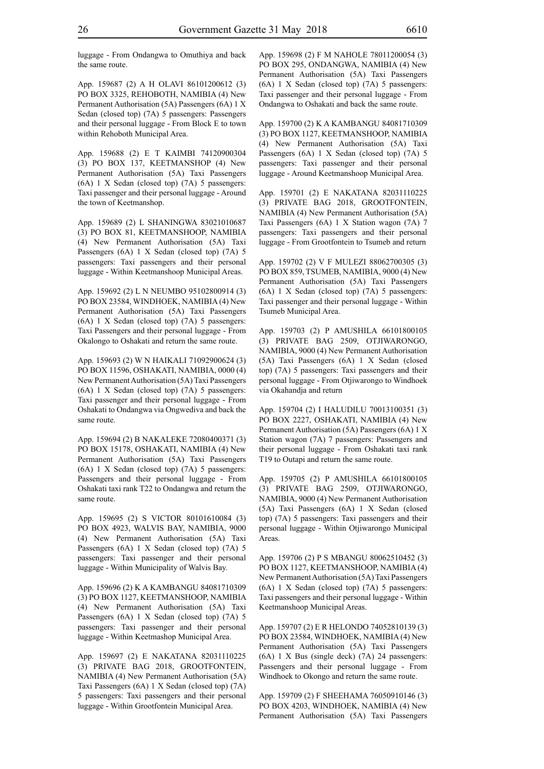luggage - From Ondangwa to Omuthiya and back the same route.

App. 159687 (2) A H OLAVI 86101200612 (3) PO BOX 3325, REHOBOTH, NAMIBIA (4) New Permanent Authorisation (5A) Passengers (6A) 1 X Sedan (closed top) (7A) 5 passengers: Passengers and their personal luggage - From Block E to town within Rehoboth Municipal Area.

App. 159688 (2) E T KAIMBI 74120900304 (3) PO BOX 137, KEETMANSHOP (4) New Permanent Authorisation (5A) Taxi Passengers (6A) 1 X Sedan (closed top) (7A) 5 passengers: Taxi passenger and their personal luggage - Around the town of Keetmanshop.

App. 159689 (2) L SHANINGWA 83021010687 (3) PO BOX 81, KEETMANSHOOP, NAMIBIA (4) New Permanent Authorisation (5A) Taxi Passengers (6A) 1 X Sedan (closed top) (7A) 5 passengers: Taxi passengers and their personal luggage - Within Keetmanshoop Municipal Areas.

App. 159692 (2) L N NEUMBO 95102800914 (3) PO BOX 23584, WINDHOEK, NAMIBIA (4) New Permanent Authorisation (5A) Taxi Passengers (6A) 1 X Sedan (closed top) (7A) 5 passengers: Taxi Passengers and their personal luggage - From Okalongo to Oshakati and return the same route.

App. 159693 (2) W N HAIKALI 71092900624 (3) PO BOX 11596, OSHAKATI, NAMIBIA, 0000 (4) New Permanent Authorisation (5A) Taxi Passengers (6A) 1 X Sedan (closed top) (7A) 5 passengers: Taxi passenger and their personal luggage - From Oshakati to Ondangwa via Ongwediva and back the same route.

App. 159694 (2) B NAKALEKE 72080400371 (3) PO BOX 15178, OSHAKATI, NAMIBIA (4) New Permanent Authorisation (5A) Taxi Passengers (6A) 1 X Sedan (closed top) (7A) 5 passengers: Passengers and their personal luggage - From Oshakati taxi rank T22 to Ondangwa and return the same route.

App. 159695 (2) S VICTOR 80101610084 (3) PO BOX 4923, WALVIS BAY, NAMIBIA, 9000 (4) New Permanent Authorisation (5A) Taxi Passengers (6A) 1 X Sedan (closed top) (7A) 5 passengers: Taxi passenger and their personal luggage - Within Municipality of Walvis Bay.

App. 159696 (2) K A KAMBANGU 84081710309 (3) PO BOX 1127, KEETMANSHOOP, NAMIBIA (4) New Permanent Authorisation (5A) Taxi Passengers (6A) 1 X Sedan (closed top) (7A) 5 passengers: Taxi passenger and their personal luggage - Within Keetmashop Municipal Area.

App. 159697 (2) E NAKATANA 82031110225 (3) PRIVATE BAG 2018, GROOTFONTEIN, NAMIBIA (4) New Permanent Authorisation (5A) Taxi Passengers (6A) 1 X Sedan (closed top) (7A) 5 passengers: Taxi passengers and their personal luggage - Within Grootfontein Municipal Area.

App. 159698 (2) F M NAHOLE 78011200054 (3) PO BOX 295, ONDANGWA, NAMIBIA (4) New Permanent Authorisation (5A) Taxi Passengers (6A) 1 X Sedan (closed top) (7A) 5 passengers: Taxi passenger and their personal luggage - From Ondangwa to Oshakati and back the same route.

App. 159700 (2) K A KAMBANGU 84081710309 (3) PO BOX 1127, KEETMANSHOOP, NAMIBIA (4) New Permanent Authorisation (5A) Taxi Passengers (6A) 1 X Sedan (closed top) (7A) 5 passengers: Taxi passenger and their personal luggage - Around Keetmanshoop Municipal Area.

App. 159701 (2) E NAKATANA 82031110225 (3) PRIVATE BAG 2018, GROOTFONTEIN, NAMIBIA (4) New Permanent Authorisation (5A) Taxi Passengers (6A) 1 X Station wagon (7A) 7 passengers: Taxi passengers and their personal luggage - From Grootfontein to Tsumeb and return

App. 159702 (2) V F MULEZI 88062700305 (3) PO BOX 859, TSUMEB, NAMIBIA, 9000 (4) New Permanent Authorisation (5A) Taxi Passengers (6A) 1 X Sedan (closed top) (7A) 5 passengers: Taxi passenger and their personal luggage - Within Tsumeb Municipal Area.

App. 159703 (2) P AMUSHILA 66101800105 (3) PRIVATE BAG 2509, OTJIWARONGO, NAMIBIA, 9000 (4) New Permanent Authorisation (5A) Taxi Passengers (6A) 1 X Sedan (closed top) (7A) 5 passengers: Taxi passengers and their personal luggage - From Otjiwarongo to Windhoek via Okahandja and return

App. 159704 (2) I HALUDILU 70013100351 (3) PO BOX 2227, OSHAKATI, NAMIBIA (4) New Permanent Authorisation (5A) Passengers (6A) 1 X Station wagon (7A) 7 passengers: Passengers and their personal luggage - From Oshakati taxi rank T19 to Outapi and return the same route.

App. 159705 (2) P AMUSHILA 66101800105 (3) PRIVATE BAG 2509, OTJIWARONGO, NAMIBIA, 9000 (4) New Permanent Authorisation (5A) Taxi Passengers (6A) 1 X Sedan (closed top) (7A) 5 passengers: Taxi passengers and their personal luggage - Within Otjiwarongo Municipal Areas.

App. 159706 (2) P S MBANGU 80062510452 (3) PO BOX 1127, KEETMANSHOOP, NAMIBIA (4) New Permanent Authorisation (5A) Taxi Passengers (6A) 1 X Sedan (closed top) (7A) 5 passengers: Taxi passengers and their personal luggage - Within Keetmanshoop Municipal Areas.

App. 159707 (2) E R HELONDO 74052810139 (3) PO BOX 23584, WINDHOEK, NAMIBIA (4) New Permanent Authorisation (5A) Taxi Passengers (6A) 1 X Bus (single deck) (7A) 24 passengers: Passengers and their personal luggage - From Windhoek to Okongo and return the same route.

App. 159709 (2) F SHEEHAMA 76050910146 (3) PO BOX 4203, WINDHOEK, NAMIBIA (4) New Permanent Authorisation (5A) Taxi Passengers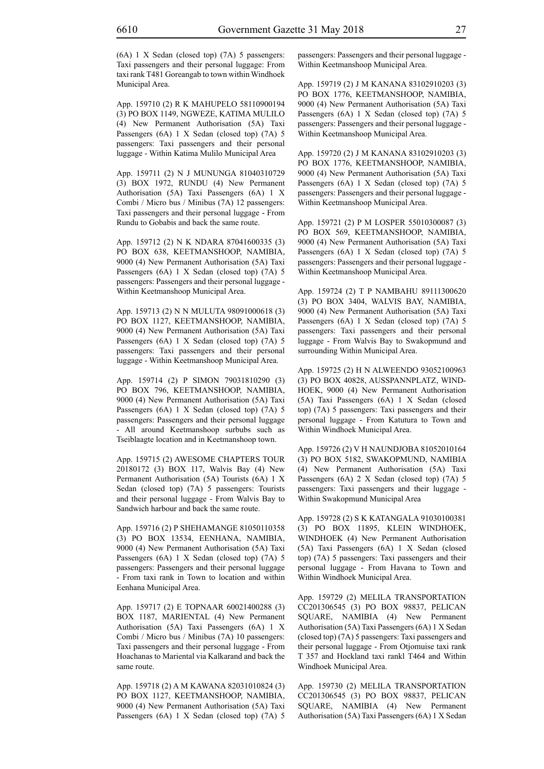(6A) 1 X Sedan (closed top) (7A) 5 passengers: Taxi passengers and their personal luggage: From taxi rank T481 Goreangab to town within Windhoek Municipal Area.

App. 159710 (2) R K MAHUPELO 58110900194 (3) PO BOX 1149, NGWEZE, KATIMA MULILO (4) New Permanent Authorisation (5A) Taxi Passengers (6A) 1 X Sedan (closed top) (7A) 5 passengers: Taxi passengers and their personal luggage - Within Katima Mulilo Municipal Area

App. 159711 (2) N J MUNUNGA 81040310729 (3) BOX 1972, RUNDU (4) New Permanent Authorisation (5A) Taxi Passengers (6A) 1 X Combi / Micro bus / Minibus (7A) 12 passengers: Taxi passengers and their personal luggage - From Rundu to Gobabis and back the same route.

App. 159712 (2) N K NDARA 87041600335 (3) PO BOX 638, KEETMANSHOOP, NAMIBIA, 9000 (4) New Permanent Authorisation (5A) Taxi Passengers (6A) 1 X Sedan (closed top) (7A) 5 passengers: Passengers and their personal luggage - Within Keetmanshoop Municipal Area.

App. 159713 (2) N N MULUTA 98091000618 (3) PO BOX 1127, KEETMANSHOOP, NAMIBIA, 9000 (4) New Permanent Authorisation (5A) Taxi Passengers (6A) 1 X Sedan (closed top) (7A) 5 passengers: Taxi passengers and their personal luggage - Within Keetmanshoop Municipal Area.

App. 159714 (2) P SIMON 79031810290 (3) PO BOX 796, KEETMANSHOOP, NAMIBIA, 9000 (4) New Permanent Authorisation (5A) Taxi Passengers (6A) 1 X Sedan (closed top) (7A) 5 passengers: Passengers and their personal luggage - All around Keetmanshoop surbubs such as Tseiblaagte location and in Keetmanshoop town.

App. 159715 (2) AWESOME CHAPTERS TOUR 20180172 (3) BOX 117, Walvis Bay (4) New Permanent Authorisation (5A) Tourists (6A) 1 X Sedan (closed top) (7A) 5 passengers: Tourists and their personal luggage - From Walvis Bay to Sandwich harbour and back the same route.

App. 159716 (2) P SHEHAMANGE 81050110358 (3) PO BOX 13534, EENHANA, NAMIBIA, 9000 (4) New Permanent Authorisation (5A) Taxi Passengers (6A) 1 X Sedan (closed top) (7A) 5 passengers: Passengers and their personal luggage - From taxi rank in Town to location and within Eenhana Municipal Area.

App. 159717 (2) E TOPNAAR 60021400288 (3) BOX 1187, MARIENTAL (4) New Permanent Authorisation (5A) Taxi Passengers (6A) 1 X Combi / Micro bus / Minibus (7A) 10 passengers: Taxi passengers and their personal luggage - From Hoachanas to Mariental via Kalkarand and back the same route.

App. 159718 (2) A M KAWANA 82031010824 (3) PO BOX 1127, KEETMANSHOOP, NAMIBIA, 9000 (4) New Permanent Authorisation (5A) Taxi Passengers (6A) 1 X Sedan (closed top) (7A) 5 passengers: Passengers and their personal luggage - Within Keetmanshoop Municipal Area.

App. 159719 (2) J M KANANA 83102910203 (3) PO BOX 1776, KEETMANSHOOP, NAMIBIA, 9000 (4) New Permanent Authorisation (5A) Taxi Passengers (6A) 1 X Sedan (closed top) (7A) 5 passengers: Passengers and their personal luggage - Within Keetmanshoop Municipal Area.

App. 159720 (2) J M KANANA 83102910203 (3) PO BOX 1776, KEETMANSHOOP, NAMIBIA, 9000 (4) New Permanent Authorisation (5A) Taxi Passengers (6A) 1 X Sedan (closed top) (7A) 5 passengers: Passengers and their personal luggage - Within Keetmanshoop Municipal Area.

App. 159721 (2) P M LOSPER 55010300087 (3) PO BOX 569, KEETMANSHOOP, NAMIBIA, 9000 (4) New Permanent Authorisation (5A) Taxi Passengers (6A) 1 X Sedan (closed top) (7A) 5 passengers: Passengers and their personal luggage - Within Keetmanshoop Municipal Area.

App. 159724 (2) T P NAMBAHU 89111300620 (3) PO BOX 3404, WALVIS BAY, NAMIBIA, 9000 (4) New Permanent Authorisation (5A) Taxi Passengers (6A) 1 X Sedan (closed top) (7A) 5 passengers: Taxi passengers and their personal luggage - From Walvis Bay to Swakopmund and surrounding Within Municipal Area.

App. 159725 (2) H N ALWEENDO 93052100963 (3) PO BOX 40828, AUSSPANNPLATZ, WIND-HOEK, 9000 (4) New Permanent Authorisation (5A) Taxi Passengers (6A) 1 X Sedan (closed top) (7A) 5 passengers: Taxi passengers and their personal luggage - From Katutura to Town and Within Windhoek Municipal Area.

App. 159726 (2) V H NAUNDJOBA 81052010164 (3) PO BOX 5182, SWAKOPMUND, NAMIBIA (4) New Permanent Authorisation (5A) Taxi Passengers (6A) 2 X Sedan (closed top) (7A) 5 passengers: Taxi passengers and their luggage - Within Swakopmund Municipal Area

App. 159728 (2) S K KATANGALA 91030100381 (3) PO BOX 11895, KLEIN WINDHOEK, WINDHOEK (4) New Permanent Authorisation (5A) Taxi Passengers (6A) 1 X Sedan (closed top) (7A) 5 passengers: Taxi passengers and their personal luggage - From Havana to Town and Within Windhoek Municipal Area.

App. 159729 (2) MELILA TRANSPORTATION CC201306545 (3) PO BOX 98837, PELICAN SQUARE, NAMIBIA (4) New Permanent Authorisation (5A) Taxi Passengers (6A) 1 X Sedan (closed top) (7A) 5 passengers: Taxi passengers and their personal luggage - From Otjomuise taxi rank T 357 and Hockland taxi rankl T464 and Within Windhoek Municipal Area.

App. 159730 (2) MELILA TRANSPORTATION CC201306545 (3) PO BOX 98837, PELICAN SQUARE, NAMIBIA (4) New Permanent Authorisation (5A) Taxi Passengers (6A) 1 X Sedan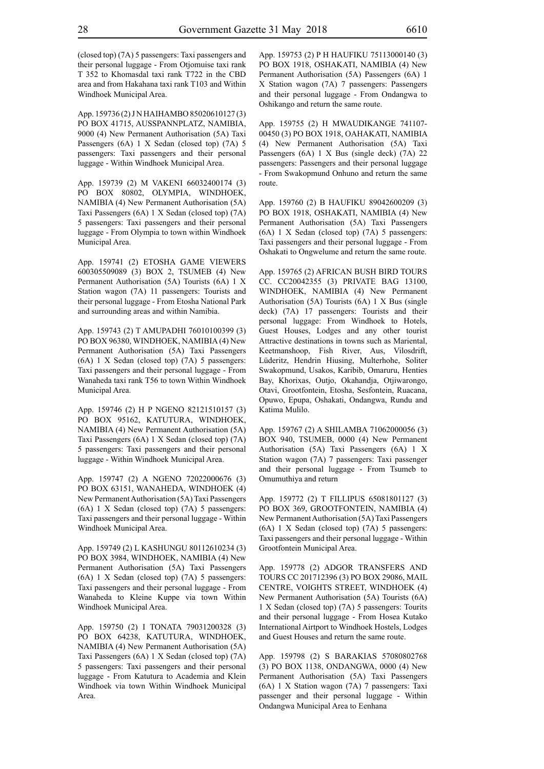(closed top) (7A) 5 passengers: Taxi passengers and their personal luggage - From Otjomuise taxi rank T 352 to Khomasdal taxi rank T722 in the CBD area and from Hakahana taxi rank T103 and Within Windhoek Municipal Area.

App. 159736 (2) J N HAIHAMBO 85020610127 (3) PO BOX 41715, AUSSPANNPLATZ, NAMIBIA, 9000 (4) New Permanent Authorisation (5A) Taxi Passengers (6A) 1 X Sedan (closed top) (7A) 5 passengers: Taxi passengers and their personal luggage - Within Windhoek Municipal Area.

App. 159739 (2) M VAKENI 66032400174 (3) PO BOX 80802, OLYMPIA, WINDHOEK, NAMIBIA (4) New Permanent Authorisation (5A) Taxi Passengers (6A) 1 X Sedan (closed top) (7A) 5 passengers: Taxi passengers and their personal luggage - From Olympia to town within Windhoek Municipal Area.

App. 159741 (2) ETOSHA GAME VIEWERS 600305509089 (3) BOX 2, TSUMEB (4) New Permanent Authorisation (5A) Tourists (6A) 1 X Station wagon (7A) 11 passengers: Tourists and their personal luggage - From Etosha National Park and surrounding areas and within Namibia.

App. 159743 (2) T AMUPADHI 76010100399 (3) PO BOX 96380, WINDHOEK, NAMIBIA (4) New Permanent Authorisation (5A) Taxi Passengers (6A) 1 X Sedan (closed top) (7A) 5 passengers: Taxi passengers and their personal luggage - From Wanaheda taxi rank T56 to town Within Windhoek Municipal Area.

App. 159746 (2) H P NGENO 82121510157 (3) PO BOX 95162, KATUTURA, WINDHOEK, NAMIBIA (4) New Permanent Authorisation (5A) Taxi Passengers (6A) 1 X Sedan (closed top) (7A) 5 passengers: Taxi passengers and their personal luggage - Within Windhoek Municipal Area.

App. 159747 (2) A NGENO 72022000676 (3) PO BOX 63151, WANAHEDA, WINDHOEK (4) New Permanent Authorisation (5A) Taxi Passengers (6A) 1 X Sedan (closed top) (7A) 5 passengers: Taxi passengers and their personal luggage - Within Windhoek Municipal Area.

App. 159749 (2) L KASHUNGU 80112610234 (3) PO BOX 3984, WINDHOEK, NAMIBIA (4) New Permanent Authorisation (5A) Taxi Passengers (6A) 1 X Sedan (closed top) (7A) 5 passengers: Taxi passengers and their personal luggage - From Wanaheda to Kleine Kuppe via town Within Windhoek Municipal Area.

App. 159750 (2) I TONATA 79031200328 (3) PO BOX 64238, KATUTURA, WINDHOEK, NAMIBIA (4) New Permanent Authorisation (5A) Taxi Passengers (6A) 1 X Sedan (closed top) (7A) 5 passengers: Taxi passengers and their personal luggage - From Katutura to Academia and Klein Windhoek via town Within Windhoek Municipal Area.

App. 159753 (2) P H HAUFIKU 75113000140 (3) PO BOX 1918, OSHAKATI, NAMIBIA (4) New Permanent Authorisation (5A) Passengers (6A) 1 X Station wagon (7A) 7 passengers: Passengers and their personal luggage - From Ondangwa to Oshikango and return the same route.

App. 159755 (2) H MWAUDIKANGE 741107- 00450 (3) PO BOX 1918, OAHAKATI, NAMIBIA (4) New Permanent Authorisation (5A) Taxi Passengers (6A) 1 X Bus (single deck) (7A) 22 passengers: Passengers and their personal luggage - From Swakopmund Onhuno and return the same route.

App. 159760 (2) B HAUFIKU 89042600209 (3) PO BOX 1918, OSHAKATI, NAMIBIA (4) New Permanent Authorisation (5A) Taxi Passengers (6A) 1 X Sedan (closed top) (7A) 5 passengers: Taxi passengers and their personal luggage - From Oshakati to Ongwelume and return the same route.

App. 159765 (2) AFRICAN BUSH BIRD TOURS CC. CC20042355 (3) PRIVATE BAG 13100, WINDHOEK, NAMIBIA (4) New Permanent Authorisation (5A) Tourists (6A) 1 X Bus (single deck) (7A) 17 passengers: Tourists and their personal luggage: From Windhoek to Hotels, Guest Houses, Lodges and any other tourist Attractive destinations in towns such as Mariental, Keetmanshoop, Fish River, Aus, Vilosdrift, Lüderitz, Hendrin Hiusing, Multerhohe, Soliter Swakopmund, Usakos, Karibib, Omaruru, Henties Bay, Khorixas, Outjo, Okahandja, Otjiwarongo, Otavi, Grootfontein, Etosha, Sesfontein, Ruacana, Opuwo, Epupa, Oshakati, Ondangwa, Rundu and Katima Mulilo.

App. 159767 (2) A SHILAMBA 71062000056 (3) BOX 940, TSUMEB, 0000 (4) New Permanent Authorisation (5A) Taxi Passengers (6A) 1 X Station wagon (7A) 7 passengers: Taxi passenger and their personal luggage - From Tsumeb to Omumuthiya and return

App. 159772 (2) T FILLIPUS 65081801127 (3) PO BOX 369, GROOTFONTEIN, NAMIBIA (4) New Permanent Authorisation (5A) Taxi Passengers (6A) 1 X Sedan (closed top) (7A) 5 passengers: Taxi passengers and their personal luggage - Within Grootfontein Municipal Area.

App. 159778 (2) ADGOR TRANSFERS AND TOURS CC 201712396 (3) PO BOX 29086, MAIL CENTRE, VOIGHTS STREET, WINDHOEK (4) New Permanent Authorisation (5A) Tourists (6A) 1 X Sedan (closed top) (7A) 5 passengers: Tourits and their personal luggage - From Hosea Kutako International Airtport to Windhoek Hostels, Lodges and Guest Houses and return the same route.

App. 159798 (2) S BARAKIAS 57080802768 (3) PO BOX 1138, ONDANGWA, 0000 (4) New Permanent Authorisation (5A) Taxi Passengers (6A) 1 X Station wagon (7A) 7 passengers: Taxi passenger and their personal luggage - Within Ondangwa Municipal Area to Eenhana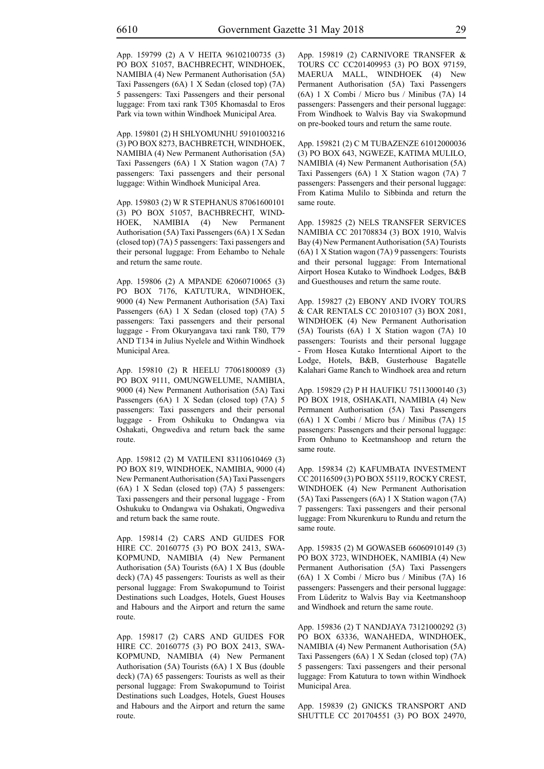App. 159799 (2) A V HEITA 96102100735 (3) PO BOX 51057, BACHBRECHT, WINDHOEK, NAMIBIA (4) New Permanent Authorisation (5A) Taxi Passengers (6A) 1 X Sedan (closed top) (7A) 5 passengers: Taxi Passengers and their personal luggage: From taxi rank T305 Khomasdal to Eros Park via town within Windhoek Municipal Area.

App. 159801 (2) H SHLYOMUNHU 59101003216 (3) PO BOX 8273, BACHBRETCH, WINDHOEK, NAMIBIA (4) New Permanent Authorisation (5A) Taxi Passengers (6A) 1 X Station wagon (7A) 7 passengers: Taxi passengers and their personal luggage: Within Windhoek Municipal Area.

App. 159803 (2) W R STEPHANUS 87061600101 (3) PO BOX 51057, BACHBRECHT, WIND-HOEK, NAMIBIA (4) New Permanent Authorisation (5A) Taxi Passengers (6A) 1 X Sedan (closed top) (7A) 5 passengers: Taxi passengers and their personal luggage: From Eehambo to Nehale and return the same route.

App. 159806 (2) A MPANDE 62060710065 (3) PO BOX 7176, KATUTURA, WINDHOEK, 9000 (4) New Permanent Authorisation (5A) Taxi Passengers (6A) 1 X Sedan (closed top) (7A) 5 passengers: Taxi passengers and their personal luggage - From Okuryangava taxi rank T80, T79 AND T134 in Julius Nyelele and Within Windhoek Municipal Area.

App. 159810 (2) R HEELU 77061800089 (3) PO BOX 9111, OMUNGWELUME, NAMIBIA, 9000 (4) New Permanent Authorisation (5A) Taxi Passengers (6A) 1 X Sedan (closed top) (7A) 5 passengers: Taxi passengers and their personal luggage - From Oshikuku to Ondangwa via Oshakati, Ongwediva and return back the same route.

App. 159812 (2) M VATILENI 83110610469 (3) PO BOX 819, WINDHOEK, NAMIBIA, 9000 (4) New Permanent Authorisation (5A) Taxi Passengers (6A) 1 X Sedan (closed top) (7A) 5 passengers: Taxi passengers and their personal luggage - From Oshukuku to Ondangwa via Oshakati, Ongwediva and return back the same route.

App. 159814 (2) CARS AND GUIDES FOR HIRE CC. 20160775 (3) PO BOX 2413, SWA-KOPMUND, NAMIBIA (4) New Permanent Authorisation (5A) Tourists (6A) 1 X Bus (double deck) (7A) 45 passengers: Tourists as well as their personal luggage: From Swakopumund to Toirist Destinations such Loadges, Hotels, Guest Houses and Habours and the Airport and return the same route.

App. 159817 (2) CARS AND GUIDES FOR HIRE CC. 20160775 (3) PO BOX 2413, SWA-KOPMUND, NAMIBIA (4) New Permanent Authorisation (5A) Tourists (6A) 1 X Bus (double deck) (7A) 65 passengers: Tourists as well as their personal luggage: From Swakopumund to Toirist Destinations such Loadges, Hotels, Guest Houses and Habours and the Airport and return the same route.

App. 159819 (2) CARNIVORE TRANSFER & TOURS CC CC201409953 (3) PO BOX 97159, MAERUA MALL, WINDHOEK (4) New Permanent Authorisation (5A) Taxi Passengers (6A) 1 X Combi / Micro bus / Minibus (7A) 14 passengers: Passengers and their personal luggage: From Windhoek to Walvis Bay via Swakopmund on pre-booked tours and return the same route.

App. 159821 (2) C M TUBAZENZE 61012000036 (3) PO BOX 643, NGWEZE, KATIMA MULILO, NAMIBIA (4) New Permanent Authorisation (5A) Taxi Passengers (6A) 1 X Station wagon (7A) 7 passengers: Passengers and their personal luggage: From Katima Mulilo to Sibbinda and return the same route.

App. 159825 (2) NELS TRANSFER SERVICES NAMIBIA CC 201708834 (3) BOX 1910, Walvis Bay (4) New Permanent Authorisation (5A) Tourists (6A) 1 X Station wagon (7A) 9 passengers: Tourists and their personal luggage: From International Airport Hosea Kutako to Windhoek Lodges, B&B and Guesthouses and return the same route.

App. 159827 (2) EBONY AND IVORY TOURS & CAR RENTALS CC 20103107 (3) BOX 2081, WINDHOEK (4) New Permanent Authorisation (5A) Tourists (6A) 1 X Station wagon (7A) 10 passengers: Tourists and their personal luggage - From Hosea Kutako Interntional Aiport to the Lodge, Hotels, B&B, Gusterhouse Bagatelle Kalahari Game Ranch to Windhoek area and return

App. 159829 (2) P H HAUFIKU 75113000140 (3) PO BOX 1918, OSHAKATI, NAMIBIA (4) New Permanent Authorisation (5A) Taxi Passengers (6A) 1 X Combi / Micro bus / Minibus (7A) 15 passengers: Passengers and their personal luggage: From Onhuno to Keetmanshoop and return the same route.

App. 159834 (2) KAFUMBATA INVESTMENT CC 20116509 (3) PO BOX 55119, ROCKY CREST, WINDHOEK (4) New Permanent Authorisation (5A) Taxi Passengers (6A) 1 X Station wagon (7A) 7 passengers: Taxi passengers and their personal luggage: From Nkurenkuru to Rundu and return the same route.

App. 159835 (2) M GOWASEB 66060910149 (3) PO BOX 3723, WINDHOEK, NAMIBIA (4) New Permanent Authorisation (5A) Taxi Passengers (6A) 1 X Combi / Micro bus / Minibus (7A) 16 passengers: Passengers and their personal luggage: From Lüderitz to Walvis Bay via Keetmanshoop and Windhoek and return the same route.

App. 159836 (2) T NANDJAYA 73121000292 (3) PO BOX 63336, WANAHEDA, WINDHOEK, NAMIBIA (4) New Permanent Authorisation (5A) Taxi Passengers (6A) 1 X Sedan (closed top) (7A) 5 passengers: Taxi passengers and their personal luggage: From Katutura to town within Windhoek Municipal Area.

App. 159839 (2) GNICKS TRANSPORT AND SHUTTLE CC 201704551 (3) PO BOX 24970,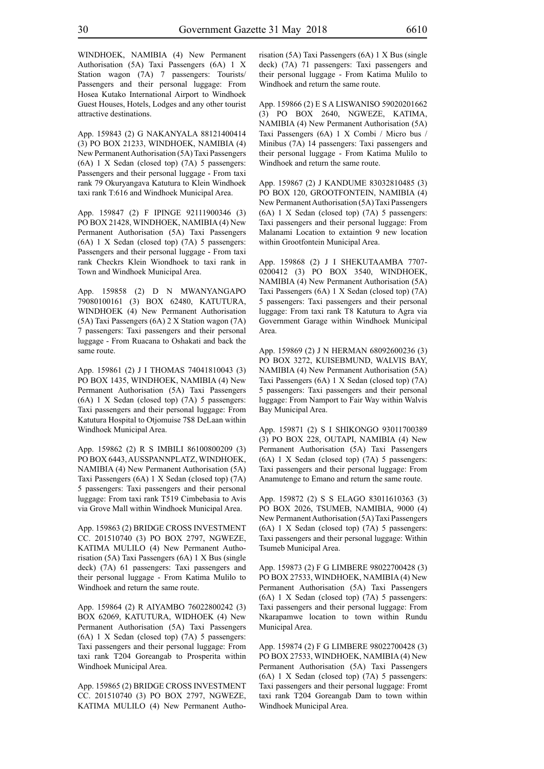WINDHOEK, NAMIBIA (4) New Permanent Authorisation (5A) Taxi Passengers (6A) 1 X Station wagon (7A) 7 passengers: Tourists/ Passengers and their personal luggage: From Hosea Kutako International Airport to Windhoek Guest Houses, Hotels, Lodges and any other tourist attractive destinations.

App. 159843 (2) G NAKANYALA 88121400414 (3) PO BOX 21233, WINDHOEK, NAMIBIA (4) New Permanent Authorisation (5A) Taxi Passengers (6A) 1 X Sedan (closed top) (7A) 5 passengers: Passengers and their personal luggage - From taxi rank 79 Okuryangava Katutura to Klein Windhoek taxi rank T:616 and Windhoek Municipal Area.

App. 159847 (2) F IPINGE 92111900346 (3) PO BOX 21428, WINDHOEK, NAMIBIA (4) New Permanent Authorisation (5A) Taxi Passengers (6A) 1 X Sedan (closed top) (7A) 5 passengers: Passengers and their personal luggage - From taxi rank Checkrs Klein Wiondhoek to taxi rank in Town and Windhoek Municipal Area.

App. 159858 (2) D N MWANYANGAPO 79080100161 (3) BOX 62480, KATUTURA, WINDHOEK (4) New Permanent Authorisation (5A) Taxi Passengers (6A) 2 X Station wagon (7A) 7 passengers: Taxi passengers and their personal luggage - From Ruacana to Oshakati and back the same route.

App. 159861 (2) J I THOMAS 74041810043 (3) PO BOX 1435, WINDHOEK, NAMIBIA (4) New Permanent Authorisation (5A) Taxi Passengers (6A) 1 X Sedan (closed top) (7A) 5 passengers: Taxi passengers and their personal luggage: From Katutura Hospital to Otjomuise 7\$8 DeLaan within Windhoek Municipal Area.

App. 159862 (2) R S IMBILI 86100800209 (3) PO BOX 6443, AUSSPANNPLATZ, WINDHOEK, NAMIBIA (4) New Permanent Authorisation (5A) Taxi Passengers (6A) 1 X Sedan (closed top) (7A) 5 passengers: Taxi passengers and their personal luggage: From taxi rank T519 Cimbebasia to Avis via Grove Mall within Windhoek Municipal Area.

App. 159863 (2) BRIDGE CROSS INVESTMENT CC. 201510740 (3) PO BOX 2797, NGWEZE, KATIMA MULILO (4) New Permanent Authorisation (5A) Taxi Passengers (6A) 1 X Bus (single deck) (7A) 61 passengers: Taxi passengers and their personal luggage - From Katima Mulilo to Windhoek and return the same route.

App. 159864 (2) R AIYAMBO 76022800242 (3) BOX 62069, KATUTURA, WIDHOEK (4) New Permanent Authorisation (5A) Taxi Passengers (6A) 1 X Sedan (closed top) (7A) 5 passengers: Taxi passengers and their personal luggage: From taxi rank T204 Goreangab to Prosperita within Windhoek Municipal Area.

App. 159865 (2) BRIDGE CROSS INVESTMENT CC. 201510740 (3) PO BOX 2797, NGWEZE, KATIMA MULILO (4) New Permanent Authorisation (5A) Taxi Passengers (6A) 1 X Bus (single deck) (7A) 71 passengers: Taxi passengers and their personal luggage - From Katima Mulilo to Windhoek and return the same route.

App. 159866 (2) E S A LISWANISO 59020201662 (3) PO BOX 2640, NGWEZE, KATIMA, NAMIBIA (4) New Permanent Authorisation (5A) Taxi Passengers (6A) 1 X Combi / Micro bus / Minibus (7A) 14 passengers: Taxi passengers and their personal luggage - From Katima Mulilo to Windhoek and return the same route.

App. 159867 (2) J KANDUME 83032810485 (3) PO BOX 120, GROOTFONTEIN, NAMIBIA (4) New Permanent Authorisation (5A) Taxi Passengers (6A) 1 X Sedan (closed top) (7A) 5 passengers: Taxi passengers and their personal luggage: From Malanami Location to extaintion 9 new location within Grootfontein Municipal Area.

App. 159868 (2) J I SHEKUTAAMBA 7707- 0200412 (3) PO BOX 3540, WINDHOEK, NAMIBIA (4) New Permanent Authorisation (5A) Taxi Passengers (6A) 1 X Sedan (closed top) (7A) 5 passengers: Taxi passengers and their personal luggage: From taxi rank T8 Katutura to Agra via Government Garage within Windhoek Municipal Area.

App. 159869 (2) J N HERMAN 68092600236 (3) PO BOX 3272, KUISEBMUND, WALVIS BAY, NAMIBIA (4) New Permanent Authorisation (5A) Taxi Passengers (6A) 1 X Sedan (closed top) (7A) 5 passengers: Taxi passengers and their personal luggage: From Namport to Fair Way within Walvis Bay Municipal Area.

App. 159871 (2) S I SHIKONGO 93011700389 (3) PO BOX 228, OUTAPI, NAMIBIA (4) New Permanent Authorisation (5A) Taxi Passengers (6A) 1 X Sedan (closed top) (7A) 5 passengers: Taxi passengers and their personal luggage: From Anamutenge to Emano and return the same route.

App. 159872 (2) S S ELAGO 83011610363 (3) PO BOX 2026, TSUMEB, NAMIBIA, 9000 (4) New Permanent Authorisation (5A) Taxi Passengers (6A) 1 X Sedan (closed top) (7A) 5 passengers: Taxi passengers and their personal luggage: Within Tsumeb Municipal Area.

App. 159873 (2) F G LIMBERE 98022700428 (3) PO BOX 27533, WINDHOEK, NAMIBIA (4) New Permanent Authorisation (5A) Taxi Passengers (6A) 1 X Sedan (closed top) (7A) 5 passengers: Taxi passengers and their personal luggage: From Nkarapamwe location to town within Rundu Municipal Area.

App. 159874 (2) F G LIMBERE 98022700428 (3) PO BOX 27533, WINDHOEK, NAMIBIA (4) New Permanent Authorisation (5A) Taxi Passengers (6A) 1 X Sedan (closed top) (7A) 5 passengers: Taxi passengers and their personal luggage: Fromt taxi rank T204 Goreangab Dam to town within Windhoek Municipal Area.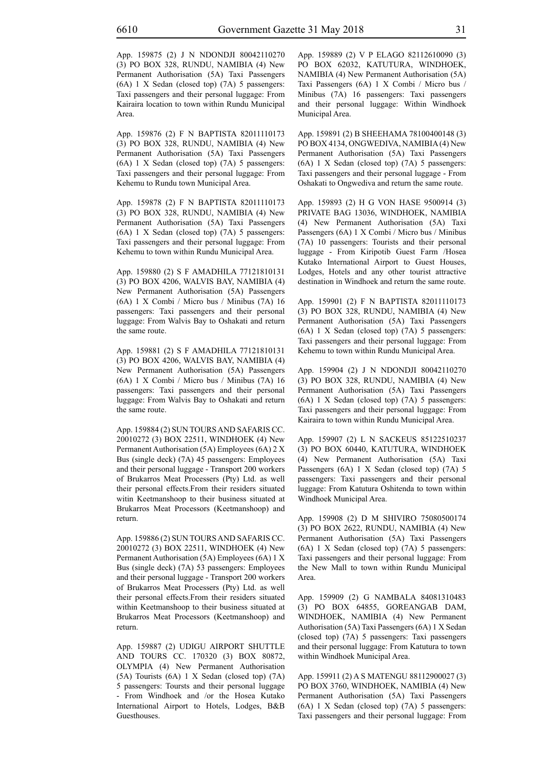App. 159875 (2) J N NDONDJI 80042110270 (3) PO BOX 328, RUNDU, NAMIBIA (4) New Permanent Authorisation (5A) Taxi Passengers (6A) 1 X Sedan (closed top) (7A) 5 passengers: Taxi passengers and their personal luggage: From Kairaira location to town within Rundu Municipal Area.

App. 159876 (2) F N BAPTISTA 82011110173 (3) PO BOX 328, RUNDU, NAMIBIA (4) New Permanent Authorisation (5A) Taxi Passengers (6A) 1 X Sedan (closed top) (7A) 5 passengers: Taxi passengers and their personal luggage: From Kehemu to Rundu town Municipal Area.

App. 159878 (2) F N BAPTISTA 82011110173 (3) PO BOX 328, RUNDU, NAMIBIA (4) New Permanent Authorisation (5A) Taxi Passengers (6A) 1 X Sedan (closed top) (7A) 5 passengers: Taxi passengers and their personal luggage: From Kehemu to town within Rundu Municipal Area.

App. 159880 (2) S F AMADHILA 77121810131 (3) PO BOX 4206, WALVIS BAY, NAMIBIA (4) New Permanent Authorisation (5A) Passengers (6A) 1 X Combi / Micro bus / Minibus (7A) 16 passengers: Taxi passengers and their personal luggage: From Walvis Bay to Oshakati and return the same route.

App. 159881 (2) S F AMADHILA 77121810131 (3) PO BOX 4206, WALVIS BAY, NAMIBIA (4) New Permanent Authorisation (5A) Passengers (6A) 1 X Combi / Micro bus / Minibus (7A) 16 passengers: Taxi passengers and their personal luggage: From Walvis Bay to Oshakati and return the same route.

App. 159884 (2) SUN TOURS AND SAFARIS CC. 20010272 (3) BOX 22511, WINDHOEK (4) New Permanent Authorisation (5A) Employees (6A) 2 X Bus (single deck) (7A) 45 passengers: Employees and their personal luggage - Transport 200 workers of Brukarros Meat Processers (Pty) Ltd. as well their personal effects.From their residers situated witin Keetmanshoop to their business situated at Brukarros Meat Processors (Keetmanshoop) and return.

App. 159886 (2) SUN TOURS AND SAFARIS CC. 20010272 (3) BOX 22511, WINDHOEK (4) New Permanent Authorisation (5A) Employees (6A) 1 X Bus (single deck) (7A) 53 passengers: Employees and their personal luggage - Transport 200 workers of Brukarros Meat Processers (Pty) Ltd. as well their personal effects.From their residers situated within Keetmanshoop to their business situated at Brukarros Meat Processors (Keetmanshoop) and return.

App. 159887 (2) UDIGU AIRPORT SHUTTLE AND TOURS CC. 170320 (3) BOX 80872, OLYMPIA (4) New Permanent Authorisation (5A) Tourists (6A) 1 X Sedan (closed top) (7A) 5 passengers: Toursts and their personal luggage - From Windhoek and /or the Hosea Kutako International Airport to Hotels, Lodges, B&B Guesthouses.

App. 159889 (2) V P ELAGO 82112610090 (3) PO BOX 62032, KATUTURA, WINDHOEK, NAMIBIA (4) New Permanent Authorisation (5A) Taxi Passengers (6A) 1 X Combi / Micro bus / Minibus (7A) 16 passengers: Taxi passengers and their personal luggage: Within Windhoek Municipal Area.

App. 159891 (2) B SHEEHAMA 78100400148 (3) PO BOX 4134, ONGWEDIVA, NAMIBIA (4) New Permanent Authorisation (5A) Taxi Passengers (6A) 1 X Sedan (closed top) (7A) 5 passengers: Taxi passengers and their personal luggage - From Oshakati to Ongwediva and return the same route.

App. 159893 (2) H G VON HASE 9500914 (3) PRIVATE BAG 13036, WINDHOEK, NAMIBIA (4) New Permanent Authorisation (5A) Taxi Passengers (6A) 1 X Combi / Micro bus / Minibus (7A) 10 passengers: Tourists and their personal luggage - From Kiripotib Guest Farm /Hosea Kutako International Airport to Guest Houses, Lodges, Hotels and any other tourist attractive destination in Windhoek and return the same route.

App. 159901 (2) F N BAPTISTA 82011110173 (3) PO BOX 328, RUNDU, NAMIBIA (4) New Permanent Authorisation (5A) Taxi Passengers (6A) 1 X Sedan (closed top) (7A) 5 passengers: Taxi passengers and their personal luggage: From Kehemu to town within Rundu Municipal Area.

App. 159904 (2) J N NDONDJI 80042110270 (3) PO BOX 328, RUNDU, NAMIBIA (4) New Permanent Authorisation (5A) Taxi Passengers (6A) 1 X Sedan (closed top) (7A) 5 passengers: Taxi passengers and their personal luggage: From Kairaira to town within Rundu Municipal Area.

App. 159907 (2) L N SACKEUS 85122510237 (3) PO BOX 60440, KATUTURA, WINDHOEK (4) New Permanent Authorisation (5A) Taxi Passengers (6A) 1 X Sedan (closed top) (7A) 5 passengers: Taxi passengers and their personal luggage: From Katutura Oshitenda to town within Windhoek Municipal Area.

App. 159908 (2) D M SHIVIRO 75080500174 (3) PO BOX 2622, RUNDU, NAMIBIA (4) New Permanent Authorisation (5A) Taxi Passengers (6A) 1 X Sedan (closed top) (7A) 5 passengers: Taxi passengers and their personal luggage: From the New Mall to town within Rundu Municipal Area.

App. 159909 (2) G NAMBALA 84081310483 (3) PO BOX 64855, GOREANGAB DAM, WINDHOEK, NAMIBIA (4) New Permanent Authorisation (5A) Taxi Passengers (6A) 1 X Sedan (closed top) (7A) 5 passengers: Taxi passengers and their personal luggage: From Katutura to town within Windhoek Municipal Area.

App. 159911 (2) A S MATENGU 88112900027 (3) PO BOX 3760, WINDHOEK, NAMIBIA (4) New Permanent Authorisation (5A) Taxi Passengers (6A) 1 X Sedan (closed top) (7A) 5 passengers: Taxi passengers and their personal luggage: From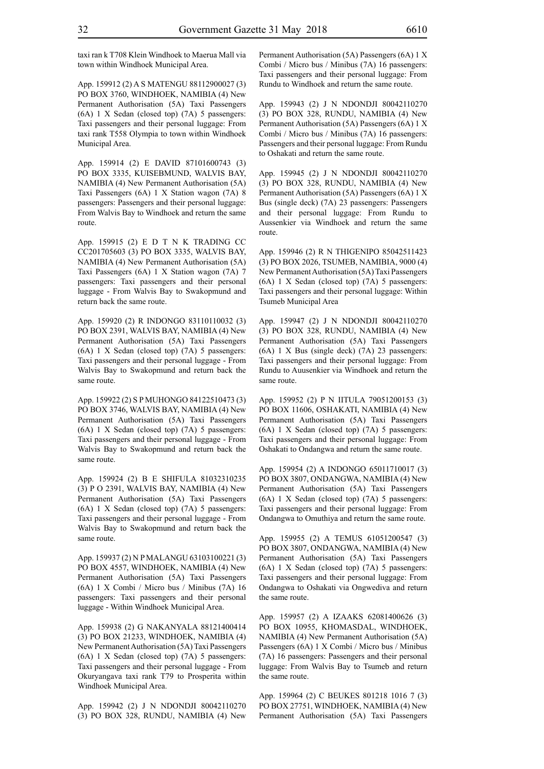taxi ran k T708 Klein Windhoek to Maerua Mall via town within Windhoek Municipal Area.

App. 159912 (2) A S MATENGU 88112900027 (3) PO BOX 3760, WINDHOEK, NAMIBIA (4) New Permanent Authorisation (5A) Taxi Passengers (6A) 1 X Sedan (closed top) (7A) 5 passengers: Taxi passengers and their personal luggage: From taxi rank T558 Olympia to town within Windhoek Municipal Area.

App. 159914 (2) E DAVID 87101600743 (3) PO BOX 3335, KUISEBMUND, WALVIS BAY, NAMIBIA (4) New Permanent Authorisation (5A) Taxi Passengers (6A) 1 X Station wagon (7A) 8 passengers: Passengers and their personal luggage: From Walvis Bay to Windhoek and return the same route.

App. 159915 (2) E D T N K TRADING CC CC201705603 (3) PO BOX 3335, WALVIS BAY, NAMIBIA (4) New Permanent Authorisation (5A) Taxi Passengers (6A) 1 X Station wagon (7A) 7 passengers: Taxi passengers and their personal luggage - From Walvis Bay to Swakopmund and return back the same route.

App. 159920 (2) R INDONGO 83110110032 (3) PO BOX 2391, WALVIS BAY, NAMIBIA (4) New Permanent Authorisation (5A) Taxi Passengers (6A) 1 X Sedan (closed top) (7A) 5 passengers: Taxi passengers and their personal luggage - From Walvis Bay to Swakopmund and return back the same route.

App. 159922 (2) S P MUHONGO 84122510473 (3) PO BOX 3746, WALVIS BAY, NAMIBIA (4) New Permanent Authorisation (5A) Taxi Passengers (6A) 1 X Sedan (closed top) (7A) 5 passengers: Taxi passengers and their personal luggage - From Walvis Bay to Swakopmund and return back the same route.

App. 159924 (2) B E SHIFULA 81032310235 (3) P O 2391, WALVIS BAY, NAMIBIA (4) New Permanent Authorisation (5A) Taxi Passengers (6A) 1 X Sedan (closed top) (7A) 5 passengers: Taxi passengers and their personal luggage - From Walvis Bay to Swakopmund and return back the same route.

App. 159937 (2) N P MALANGU 63103100221 (3) PO BOX 4557, WINDHOEK, NAMIBIA (4) New Permanent Authorisation (5A) Taxi Passengers (6A) 1 X Combi / Micro bus / Minibus (7A) 16 passengers: Taxi passengers and their personal luggage - Within Windhoek Municipal Area.

App. 159938 (2) G NAKANYALA 88121400414 (3) PO BOX 21233, WINDHOEK, NAMIBIA (4) New Permanent Authorisation (5A) Taxi Passengers (6A) 1 X Sedan (closed top) (7A) 5 passengers: Taxi passengers and their personal luggage - From Okuryangava taxi rank T79 to Prosperita within Windhoek Municipal Area.

App. 159942 (2) J N NDONDJI 80042110270 (3) PO BOX 328, RUNDU, NAMIBIA (4) New Permanent Authorisation (5A) Passengers (6A) 1 X Combi / Micro bus / Minibus (7A) 16 passengers: Taxi passengers and their personal luggage: From Rundu to Windhoek and return the same route.

App. 159943 (2) J N NDONDJI 80042110270 (3) PO BOX 328, RUNDU, NAMIBIA (4) New Permanent Authorisation (5A) Passengers (6A) 1 X Combi / Micro bus / Minibus (7A) 16 passengers: Passengers and their personal luggage: From Rundu to Oshakati and return the same route.

App. 159945 (2) J N NDONDJI 80042110270  $(3)$  PO BOX 328, RUNDU, NAMIBIA  $(4)$  New Permanent Authorisation (5A) Passengers (6A) 1 X Bus (single deck) (7A) 23 passengers: Passengers and their personal luggage: From Rundu to Aussenkier via Windhoek and return the same route.

App. 159946 (2) R N THIGENIPO 85042511423 (3) PO BOX 2026, TSUMEB, NAMIBIA, 9000 (4) New Permanent Authorisation (5A) Taxi Passengers (6A) 1 X Sedan (closed top) (7A) 5 passengers: Taxi passengers and their personal luggage: Within Tsumeb Municipal Area

App. 159947 (2) J N NDONDJI 80042110270 (3) PO BOX 328, RUNDU, NAMIBIA (4) New Permanent Authorisation (5A) Taxi Passengers (6A) 1 X Bus (single deck) (7A) 23 passengers: Taxi passengers and their personal luggage: From Rundu to Auusenkier via Windhoek and return the same route.

App. 159952 (2) P N IITULA 79051200153 (3) PO BOX 11606, OSHAKATI, NAMIBIA (4) New Permanent Authorisation (5A) Taxi Passengers (6A) 1 X Sedan (closed top) (7A) 5 passengers: Taxi passengers and their personal luggage: From Oshakati to Ondangwa and return the same route.

App. 159954 (2) A INDONGO 65011710017 (3) PO BOX 3807, ONDANGWA, NAMIBIA (4) New Permanent Authorisation (5A) Taxi Passengers (6A) 1 X Sedan (closed top) (7A) 5 passengers: Taxi passengers and their personal luggage: From Ondangwa to Omuthiya and return the same route.

App. 159955 (2) A TEMUS 61051200547 (3) PO BOX 3807, ONDANGWA, NAMIBIA (4) New Permanent Authorisation (5A) Taxi Passengers (6A) 1 X Sedan (closed top) (7A) 5 passengers: Taxi passengers and their personal luggage: From Ondangwa to Oshakati via Ongwediva and return the same route.

App. 159957 (2) A IZAAKS 62081400626 (3) PO BOX 10955, KHOMASDAL, WINDHOEK, NAMIBIA (4) New Permanent Authorisation (5A) Passengers (6A) 1 X Combi / Micro bus / Minibus (7A) 16 passengers: Passengers and their personal luggage: From Walvis Bay to Tsumeb and return the same route.

App. 159964 (2) C BEUKES 801218 1016 7 (3) PO BOX 27751, WINDHOEK, NAMIBIA (4) New Permanent Authorisation (5A) Taxi Passengers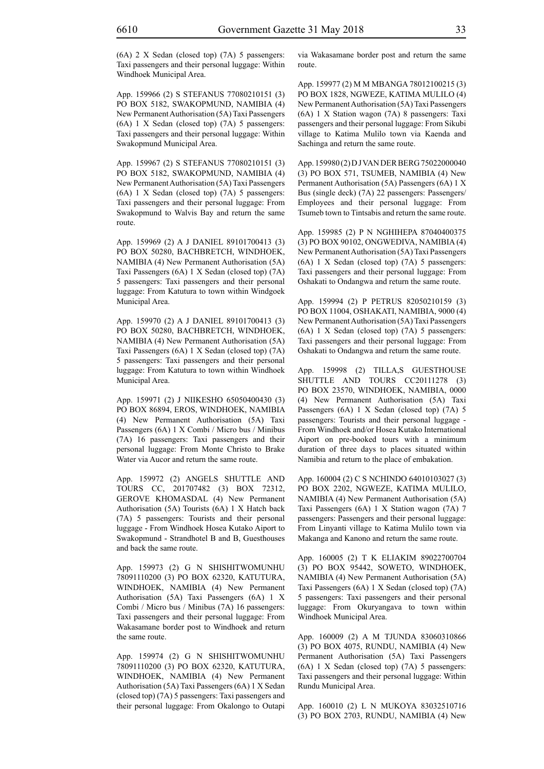App. 159966 (2) S STEFANUS 77080210151 (3) PO BOX 5182, SWAKOPMUND, NAMIBIA (4) New Permanent Authorisation (5A) Taxi Passengers (6A) 1 X Sedan (closed top) (7A) 5 passengers: Taxi passengers and their personal luggage: Within Swakopmund Municipal Area.

App. 159967 (2) S STEFANUS 77080210151 (3) PO BOX 5182, SWAKOPMUND, NAMIBIA (4) New Permanent Authorisation (5A) Taxi Passengers (6A) 1 X Sedan (closed top) (7A) 5 passengers: Taxi passengers and their personal luggage: From Swakopmund to Walvis Bay and return the same route.

App. 159969 (2) A J DANIEL 89101700413 (3) PO BOX 50280, BACHBRETCH, WINDHOEK, NAMIBIA (4) New Permanent Authorisation (5A) Taxi Passengers (6A) 1 X Sedan (closed top) (7A) 5 passengers: Taxi passengers and their personal luggage: From Katutura to town within Windgoek Municipal Area.

App. 159970 (2) A J DANIEL 89101700413 (3) PO BOX 50280, BACHBRETCH, WINDHOEK, NAMIBIA (4) New Permanent Authorisation (5A) Taxi Passengers (6A) 1 X Sedan (closed top) (7A) 5 passengers: Taxi passengers and their personal luggage: From Katutura to town within Windhoek Municipal Area.

App. 159971 (2) J NIIKESHO 65050400430 (3) PO BOX 86894, EROS, WINDHOEK, NAMIBIA (4) New Permanent Authorisation (5A) Taxi Passengers (6A) 1 X Combi / Micro bus / Minibus (7A) 16 passengers: Taxi passengers and their personal luggage: From Monte Christo to Brake Water via Aucor and return the same route.

App. 159972 (2) ANGELS SHUTTLE AND TOURS CC, 201707482 (3) BOX 72312, GEROVE KHOMASDAL (4) New Permanent Authorisation (5A) Tourists (6A) 1 X Hatch back (7A) 5 passengers: Tourists and their personal luggage - From Windhoek Hosea Kutako Aiport to Swakopmund - Strandhotel B and B, Guesthouses and back the same route.

App. 159973 (2) G N SHISHITWOMUNHU 78091110200 (3) PO BOX 62320, KATUTURA, WINDHOEK, NAMIBIA (4) New Permanent Authorisation (5A) Taxi Passengers (6A) 1 X Combi / Micro bus / Minibus (7A) 16 passengers: Taxi passengers and their personal luggage: From Wakasamane border post to Windhoek and return the same route.

App. 159974 (2) G N SHISHITWOMUNHU 78091110200 (3) PO BOX 62320, KATUTURA, WINDHOEK, NAMIBIA (4) New Permanent Authorisation (5A) Taxi Passengers (6A) 1 X Sedan (closed top) (7A) 5 passengers: Taxi passengers and their personal luggage: From Okalongo to Outapi

via Wakasamane border post and return the same route.

App. 159977 (2) M M MBANGA 78012100215 (3) PO BOX 1828, NGWEZE, KATIMA MULILO (4) New Permanent Authorisation (5A) Taxi Passengers (6A) 1 X Station wagon (7A) 8 passengers: Taxi passengers and their personal luggage: From Sikubi village to Katima Mulilo town via Kaenda and Sachinga and return the same route.

App. 159980 (2) D J VAN DER BERG 75022000040 (3) PO BOX 571, TSUMEB, NAMIBIA (4) New Permanent Authorisation (5A) Passengers (6A) 1 X Bus (single deck) (7A) 22 passengers: Passengers/ Employees and their personal luggage: From Tsumeb town to Tintsabis and return the same route.

App. 159985 (2) P N NGHIHEPA 87040400375 (3) PO BOX 90102, ONGWEDIVA, NAMIBIA (4) New Permanent Authorisation (5A) Taxi Passengers (6A) 1 X Sedan (closed top) (7A) 5 passengers: Taxi passengers and their personal luggage: From Oshakati to Ondangwa and return the same route.

App. 159994 (2) P PETRUS 82050210159 (3) PO BOX 11004, OSHAKATI, NAMIBIA, 9000 (4) New Permanent Authorisation (5A) Taxi Passengers (6A) 1 X Sedan (closed top) (7A) 5 passengers: Taxi passengers and their personal luggage: From Oshakati to Ondangwa and return the same route.

App. 159998 (2) TILLA,S GUESTHOUSE SHUTTLE AND TOURS CC20111278 (3) PO BOX 23570, WINDHOEK, NAMIBIA, 0000 (4) New Permanent Authorisation (5A) Taxi Passengers (6A) 1 X Sedan (closed top) (7A) 5 passengers: Tourists and their personal luggage - From Windhoek and/or Hosea Kutako International Aiport on pre-booked tours with a minimum duration of three days to places situated within Namibia and return to the place of embakation.

App. 160004 (2) C S NCHINDO 64010103027 (3) PO BOX 2202, NGWEZE, KATIMA MULILO, NAMIBIA (4) New Permanent Authorisation (5A) Taxi Passengers (6A) 1 X Station wagon (7A) 7 passengers: Passengers and their personal luggage: From Linyanti village to Katima Mulilo town via Makanga and Kanono and return the same route.

App. 160005 (2) T K ELIAKIM 89022700704 (3) PO BOX 95442, SOWETO, WINDHOEK, NAMIBIA (4) New Permanent Authorisation (5A) Taxi Passengers (6A) 1 X Sedan (closed top) (7A) 5 passengers: Taxi passengers and their personal luggage: From Okuryangava to town within Windhoek Municipal Area.

App. 160009 (2) A M TJUNDA 83060310866 (3) PO BOX 4075, RUNDU, NAMIBIA (4) New Permanent Authorisation (5A) Taxi Passengers (6A) 1 X Sedan (closed top) (7A) 5 passengers: Taxi passengers and their personal luggage: Within Rundu Municipal Area.

App. 160010 (2) L N MUKOYA 83032510716 (3) PO BOX 2703, RUNDU, NAMIBIA (4) New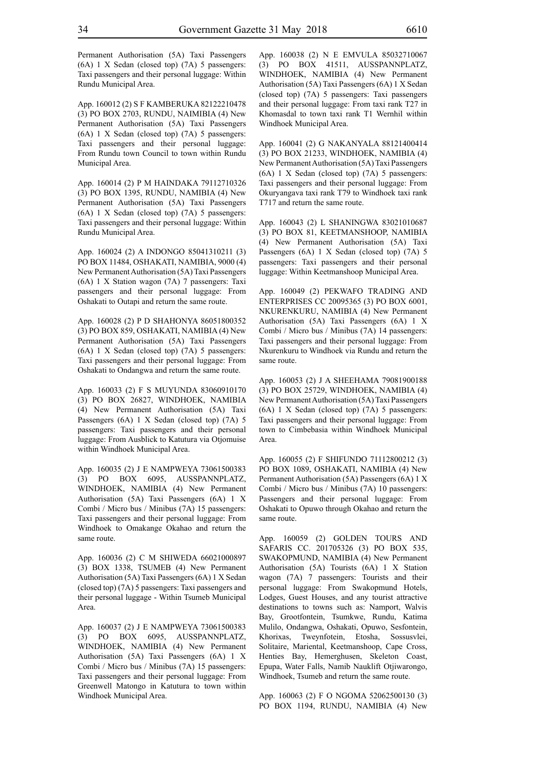Permanent Authorisation (5A) Taxi Passengers (6A) 1 X Sedan (closed top) (7A) 5 passengers: Taxi passengers and their personal luggage: Within Rundu Municipal Area.

App. 160012 (2) S F KAMBERUKA 82122210478 (3) PO BOX 2703, RUNDU, NAIMIBIA (4) New Permanent Authorisation (5A) Taxi Passengers (6A) 1 X Sedan (closed top) (7A) 5 passengers: Taxi passengers and their personal luggage: From Rundu town Council to town within Rundu Municipal Area.

App. 160014 (2) P M HAINDAKA 79112710326 (3) PO BOX 1395, RUNDU, NAMIBIA (4) New Permanent Authorisation (5A) Taxi Passengers (6A) 1 X Sedan (closed top) (7A) 5 passengers: Taxi passengers and their personal luggage: Within Rundu Municipal Area.

App. 160024 (2) A INDONGO 85041310211 (3) PO BOX 11484, OSHAKATI, NAMIBIA, 9000 (4) New Permanent Authorisation (5A) Taxi Passengers (6A) 1 X Station wagon (7A) 7 passengers: Taxi passengers and their personal luggage: From Oshakati to Outapi and return the same route.

App. 160028 (2) P D SHAHONYA 86051800352 (3) PO BOX 859, OSHAKATI, NAMIBIA (4) New Permanent Authorisation (5A) Taxi Passengers (6A) 1 X Sedan (closed top) (7A) 5 passengers: Taxi passengers and their personal luggage: From Oshakati to Ondangwa and return the same route.

App. 160033 (2) F S MUYUNDA 83060910170 (3) PO BOX 26827, WINDHOEK, NAMIBIA (4) New Permanent Authorisation (5A) Taxi Passengers (6A) 1 X Sedan (closed top) (7A) 5 passengers: Taxi passengers and their personal luggage: From Ausblick to Katutura via Otjomuise within Windhoek Municipal Area.

App. 160035 (2) J E NAMPWEYA 73061500383 (3) PO BOX 6095, AUSSPANNPLATZ, WINDHOEK, NAMIBIA (4) New Permanent Authorisation (5A) Taxi Passengers (6A) 1 X Combi / Micro bus / Minibus (7A) 15 passengers: Taxi passengers and their personal luggage: From Windhoek to Omakange Okahao and return the same route.

App. 160036 (2) C M SHIWEDA 66021000897 (3) BOX 1338, TSUMEB (4) New Permanent Authorisation (5A) Taxi Passengers (6A) 1 X Sedan (closed top) (7A) 5 passengers: Taxi passengers and their personal luggage - Within Tsumeb Municipal Area.

App. 160037 (2) J E NAMPWEYA 73061500383 (3) PO BOX 6095, AUSSPANNPLATZ, WINDHOEK, NAMIBIA (4) New Permanent Authorisation (5A) Taxi Passengers (6A) 1 X Combi / Micro bus / Minibus (7A) 15 passengers: Taxi passengers and their personal luggage: From Greenwell Matongo in Katutura to town within Windhoek Municipal Area.

App. 160038 (2) N E EMVULA 85032710067 (3) PO BOX 41511, AUSSPANNPLATZ, WINDHOEK, NAMIBIA (4) New Permanent Authorisation (5A) Taxi Passengers (6A) 1 X Sedan (closed top) (7A) 5 passengers: Taxi passengers and their personal luggage: From taxi rank T27 in Khomasdal to town taxi rank T1 Wernhil within Windhoek Municipal Area.

App. 160041 (2) G NAKANYALA 88121400414 (3) PO BOX 21233, WINDHOEK, NAMIBIA (4) New Permanent Authorisation (5A) Taxi Passengers (6A) 1 X Sedan (closed top) (7A) 5 passengers: Taxi passengers and their personal luggage: From Okuryangava taxi rank T79 to Windhoek taxi rank T717 and return the same route.

App. 160043 (2) L SHANINGWA 83021010687 (3) PO BOX 81, KEETMANSHOOP, NAMIBIA (4) New Permanent Authorisation (5A) Taxi Passengers (6A) 1 X Sedan (closed top) (7A) 5 passengers: Taxi passengers and their personal luggage: Within Keetmanshoop Municipal Area.

App. 160049 (2) PEKWAFO TRADING AND ENTERPRISES CC 20095365 (3) PO BOX 6001, NKURENKURU, NAMIBIA (4) New Permanent Authorisation (5A) Taxi Passengers (6A) 1 X Combi / Micro bus / Minibus (7A) 14 passengers: Taxi passengers and their personal luggage: From Nkurenkuru to Windhoek via Rundu and return the same route.

App. 160053 (2) J A SHEEHAMA 79081900188 (3) PO BOX 25729, WINDHOEK, NAMIBIA (4) New Permanent Authorisation (5A) Taxi Passengers (6A) 1 X Sedan (closed top) (7A) 5 passengers: Taxi passengers and their personal luggage: From town to Cimbebasia within Windhoek Municipal Area.

App. 160055 (2) F SHIFUNDO 71112800212 (3) PO BOX 1089, OSHAKATI, NAMIBIA (4) New Permanent Authorisation (5A) Passengers (6A) 1 X Combi / Micro bus / Minibus (7A) 10 passengers: Passengers and their personal luggage: From Oshakati to Opuwo through Okahao and return the same route.

App. 160059 (2) GOLDEN TOURS AND SAFARIS CC. 201705326 (3) PO BOX 535, SWAKOPMUND, NAMIBIA (4) New Permanent Authorisation (5A) Tourists (6A) 1 X Station wagon (7A) 7 passengers: Tourists and their personal luggage: From Swakopmund Hotels, Lodges, Guest Houses, and any tourist attractive destinations to towns such as: Namport, Walvis Bay, Grootfontein, Tsumkwe, Rundu, Katima Mulilo, Ondangwa, Oshakati, Opuwo, Sesfontein, Khorixas, Tweynfotein, Etosha, Sossusvlei, Solitaire, Mariental, Keetmanshoop, Cape Cross, Henties Bay, Hemerghusen, Skeleton Coast, Epupa, Water Falls, Namib Nauklift Otjiwarongo, Windhoek, Tsumeb and return the same route.

App. 160063 (2) F O NGOMA 52062500130 (3) PO BOX 1194, RUNDU, NAMIBIA (4) New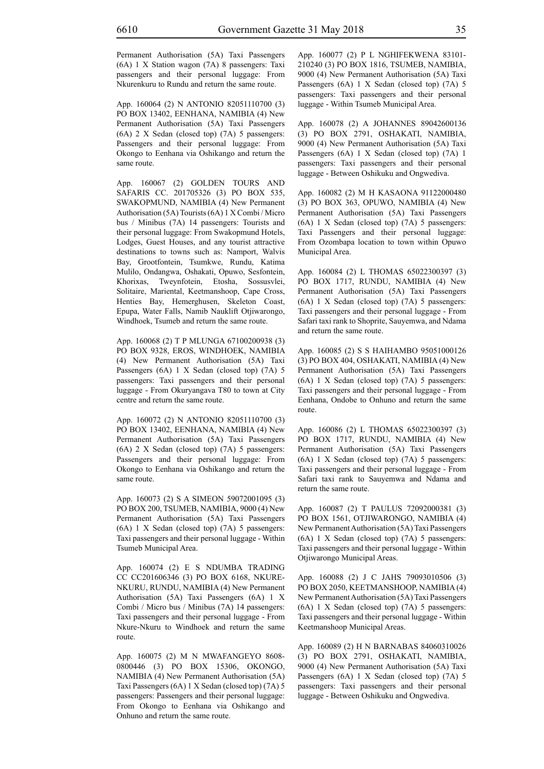Permanent Authorisation (5A) Taxi Passengers (6A) 1 X Station wagon (7A) 8 passengers: Taxi passengers and their personal luggage: From Nkurenkuru to Rundu and return the same route.

App. 160064 (2) N ANTONIO 82051110700 (3) PO BOX 13402, EENHANA, NAMIBIA (4) New Permanent Authorisation (5A) Taxi Passengers (6A) 2 X Sedan (closed top) (7A) 5 passengers: Passengers and their personal luggage: From Okongo to Eenhana via Oshikango and return the same route.

App. 160067 (2) GOLDEN TOURS AND SAFARIS CC. 201705326 (3) PO BOX 535, SWAKOPMUND, NAMIBIA (4) New Permanent Authorisation (5A) Tourists (6A) 1 X Combi / Micro bus / Minibus (7A) 14 passengers: Tourists and their personal luggage: From Swakopmund Hotels, Lodges, Guest Houses, and any tourist attractive destinations to towns such as: Namport, Walvis Bay, Grootfontein, Tsumkwe, Rundu, Katima Mulilo, Ondangwa, Oshakati, Opuwo, Sesfontein, Khorixas, Tweynfotein, Etosha, Sossusvlei, Solitaire, Mariental, Keetmanshoop, Cape Cross, Henties Bay, Hemerghusen, Skeleton Coast, Epupa, Water Falls, Namib Nauklift Otjiwarongo, Windhoek, Tsumeb and return the same route.

App. 160068 (2) T P MLUNGA 67100200938 (3) PO BOX 9328, EROS, WINDHOEK, NAMIBIA (4) New Permanent Authorisation (5A) Taxi Passengers (6A) 1 X Sedan (closed top) (7A) 5 passengers: Taxi passengers and their personal luggage - From Okuryangava T80 to town at City centre and return the same route.

App. 160072 (2) N ANTONIO 82051110700 (3) PO BOX 13402, EENHANA, NAMIBIA (4) New Permanent Authorisation (5A) Taxi Passengers (6A) 2 X Sedan (closed top) (7A) 5 passengers: Passengers and their personal luggage: From Okongo to Eenhana via Oshikango and return the same route.

App. 160073 (2) S A SIMEON 59072001095 (3) PO BOX 200, TSUMEB, NAMIBIA, 9000 (4) New Permanent Authorisation (5A) Taxi Passengers (6A) 1 X Sedan (closed top) (7A) 5 passengers: Taxi passengers and their personal luggage - Within Tsumeb Municipal Area.

App. 160074 (2) E S NDUMBA TRADING CC CC201606346 (3) PO BOX 6168, NKURE-NKURU, RUNDU, NAMIBIA (4) New Permanent Authorisation (5A) Taxi Passengers (6A) 1 X Combi / Micro bus / Minibus (7A) 14 passengers: Taxi passengers and their personal luggage - From Nkure-Nkuru to Windhoek and return the same route.

App. 160075 (2) M N MWAFANGEYO 8608- 0800446 (3) PO BOX 15306, OKONGO, NAMIBIA (4) New Permanent Authorisation (5A) Taxi Passengers (6A) 1 X Sedan (closed top) (7A) 5 passengers: Passengers and their personal luggage: From Okongo to Eenhana via Oshikango and Onhuno and return the same route.

App. 160077 (2) P L NGHIFEKWENA 83101- 210240 (3) PO BOX 1816, TSUMEB, NAMIBIA, 9000 (4) New Permanent Authorisation (5A) Taxi Passengers (6A) 1 X Sedan (closed top) (7A) 5 passengers: Taxi passengers and their personal luggage - Within Tsumeb Municipal Area.

App. 160078 (2) A JOHANNES 89042600136 (3) PO BOX 2791, OSHAKATI, NAMIBIA, 9000 (4) New Permanent Authorisation (5A) Taxi Passengers (6A) 1 X Sedan (closed top) (7A) 1 passengers: Taxi passengers and their personal luggage - Between Oshikuku and Ongwediva.

App. 160082 (2) M H KASAONA 91122000480 (3) PO BOX 363, OPUWO, NAMIBIA (4) New Permanent Authorisation (5A) Taxi Passengers (6A) 1 X Sedan (closed top) (7A) 5 passengers: Taxi Passengers and their personal luggage: From Ozombapa location to town within Opuwo Municipal Area.

App. 160084 (2) L THOMAS 65022300397 (3) PO BOX 1717, RUNDU, NAMIBIA (4) New Permanent Authorisation (5A) Taxi Passengers (6A) 1 X Sedan (closed top) (7A) 5 passengers: Taxi passengers and their personal luggage - From Safari taxi rank to Shoprite, Sauyemwa, and Ndama and return the same route.

App. 160085 (2) S S HAIHAMBO 95051000126 (3) PO BOX 404, OSHAKATI, NAMIBIA (4) New Permanent Authorisation (5A) Taxi Passengers (6A) 1 X Sedan (closed top) (7A) 5 passengers: Taxi passengers and their personal luggage - From Eenhana, Ondobe to Onhuno and return the same route.

App. 160086 (2) L THOMAS 65022300397 (3) PO BOX 1717, RUNDU, NAMIBIA (4) New Permanent Authorisation (5A) Taxi Passengers (6A) 1 X Sedan (closed top) (7A) 5 passengers: Taxi passengers and their personal luggage - From Safari taxi rank to Sauyemwa and Ndama and return the same route.

App. 160087 (2) T PAULUS 72092000381 (3) PO BOX 1561, OTJIWARONGO, NAMIBIA (4) New Permanent Authorisation (5A) Taxi Passengers (6A) 1 X Sedan (closed top) (7A) 5 passengers: Taxi passengers and their personal luggage - Within Otjiwarongo Municipal Areas.

App. 160088 (2) J C JAHS 79093010506 (3) PO BOX 2050, KEETMANSHOOP, NAMIBIA (4) New Permanent Authorisation (5A) Taxi Passengers (6A) 1 X Sedan (closed top) (7A) 5 passengers: Taxi passengers and their personal luggage - Within Keetmanshoop Municipal Areas.

App. 160089 (2) H N BARNABAS 84060310026 (3) PO BOX 2791, OSHAKATI, NAMIBIA, 9000 (4) New Permanent Authorisation (5A) Taxi Passengers (6A) 1 X Sedan (closed top) (7A) 5 passengers: Taxi passengers and their personal luggage - Between Oshikuku and Ongwediva.